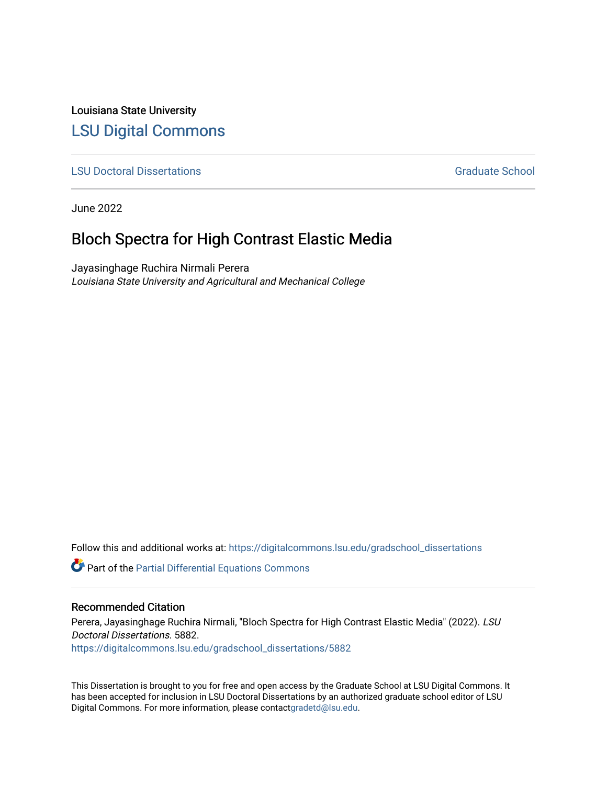Louisiana State University [LSU Digital Commons](https://digitalcommons.lsu.edu/)

**[LSU Doctoral Dissertations](https://digitalcommons.lsu.edu/gradschool_dissertations) Graduate School** Controller Controller Controller Controller Controller Controller Controller Controller Controller Controller Controller Controller Controller Controller Controller Controller C

June 2022

## Bloch Spectra for High Contrast Elastic Media

Jayasinghage Ruchira Nirmali Perera Louisiana State University and Agricultural and Mechanical College

Follow this and additional works at: [https://digitalcommons.lsu.edu/gradschool\\_dissertations](https://digitalcommons.lsu.edu/gradschool_dissertations?utm_source=digitalcommons.lsu.edu%2Fgradschool_dissertations%2F5882&utm_medium=PDF&utm_campaign=PDFCoverPages)

Part of the [Partial Differential Equations Commons](https://network.bepress.com/hgg/discipline/120?utm_source=digitalcommons.lsu.edu%2Fgradschool_dissertations%2F5882&utm_medium=PDF&utm_campaign=PDFCoverPages) 

### Recommended Citation

Perera, Jayasinghage Ruchira Nirmali, "Bloch Spectra for High Contrast Elastic Media" (2022). LSU Doctoral Dissertations. 5882. [https://digitalcommons.lsu.edu/gradschool\\_dissertations/5882](https://digitalcommons.lsu.edu/gradschool_dissertations/5882?utm_source=digitalcommons.lsu.edu%2Fgradschool_dissertations%2F5882&utm_medium=PDF&utm_campaign=PDFCoverPages)

This Dissertation is brought to you for free and open access by the Graduate School at LSU Digital Commons. It has been accepted for inclusion in LSU Doctoral Dissertations by an authorized graduate school editor of LSU Digital Commons. For more information, please contac[tgradetd@lsu.edu.](mailto:gradetd@lsu.edu)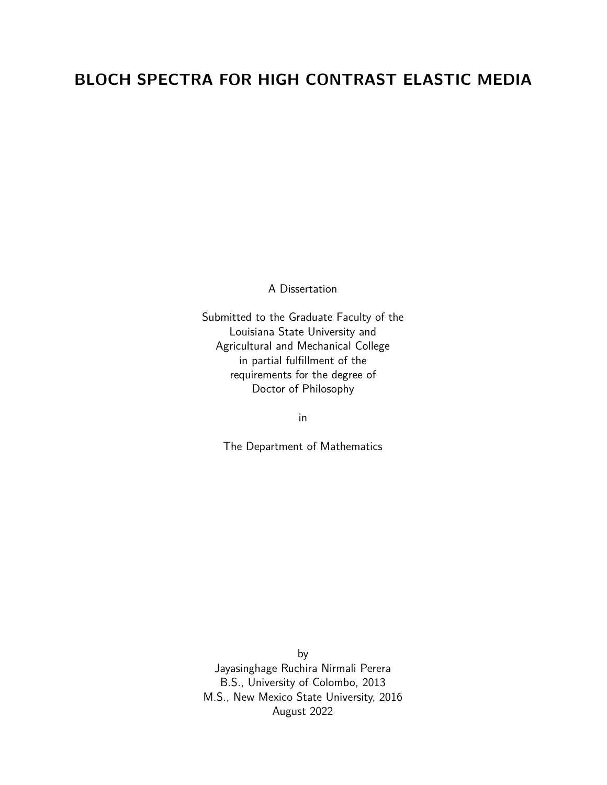# **BLOCH SPECTRA FOR HIGH CONTRAST ELASTIC MEDIA**

A Dissertation

Submitted to the Graduate Faculty of the Louisiana State University and Agricultural and Mechanical College in partial fulfillment of the requirements for the degree of Doctor of Philosophy

in

The Department of Mathematics

by Jayasinghage Ruchira Nirmali Perera B.S., University of Colombo, 2013 M.S., New Mexico State University, 2016 August 2022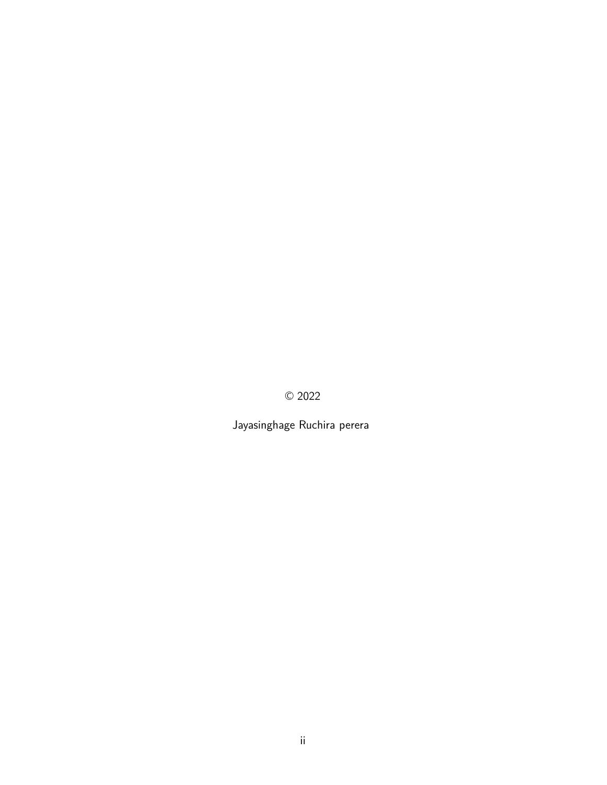© 2022

Jayasinghage Ruchira perera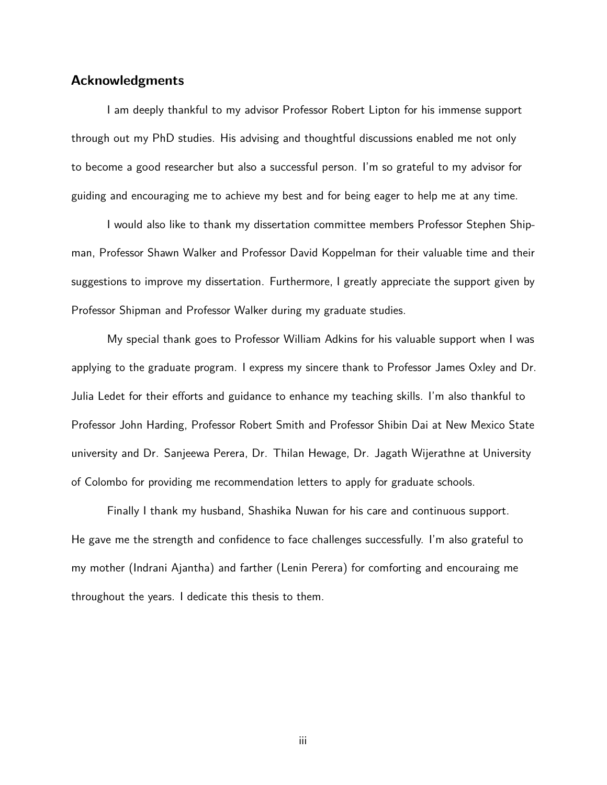## **Acknowledgments**

I am deeply thankful to my advisor Professor Robert Lipton for his immense support through out my PhD studies. His advising and thoughtful discussions enabled me not only to become a good researcher but also a successful person. I'm so grateful to my advisor for guiding and encouraging me to achieve my best and for being eager to help me at any time.

I would also like to thank my dissertation committee members Professor Stephen Shipman, Professor Shawn Walker and Professor David Koppelman for their valuable time and their suggestions to improve my dissertation. Furthermore, I greatly appreciate the support given by Professor Shipman and Professor Walker during my graduate studies.

My special thank goes to Professor William Adkins for his valuable support when I was applying to the graduate program. I express my sincere thank to Professor James Oxley and Dr. Julia Ledet for their efforts and guidance to enhance my teaching skills. I'm also thankful to Professor John Harding, Professor Robert Smith and Professor Shibin Dai at New Mexico State university and Dr. Sanjeewa Perera, Dr. Thilan Hewage, Dr. Jagath Wijerathne at University of Colombo for providing me recommendation letters to apply for graduate schools.

Finally I thank my husband, Shashika Nuwan for his care and continuous support. He gave me the strength and confidence to face challenges successfully. I'm also grateful to my mother (Indrani Ajantha) and farther (Lenin Perera) for comforting and encouraing me throughout the years. I dedicate this thesis to them.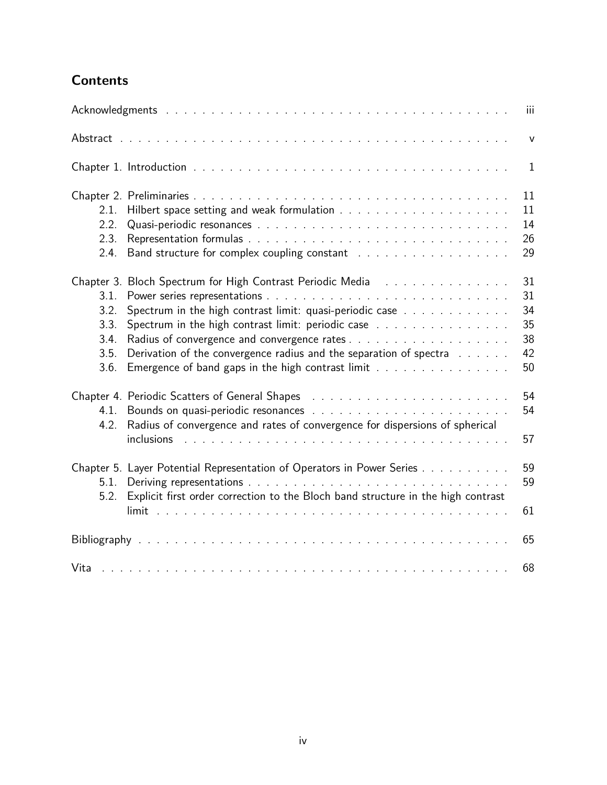# **Contents**

|                                                            |                                                                                                                                                                                                                                                                                                   | Ш                                      |
|------------------------------------------------------------|---------------------------------------------------------------------------------------------------------------------------------------------------------------------------------------------------------------------------------------------------------------------------------------------------|----------------------------------------|
|                                                            |                                                                                                                                                                                                                                                                                                   | $\mathsf{V}$                           |
|                                                            |                                                                                                                                                                                                                                                                                                   | $\mathbf{1}$                           |
| 2.1.<br>2.2.<br>2.3.<br>2.4.                               |                                                                                                                                                                                                                                                                                                   | 11<br>11<br>14<br>26<br>29             |
| Chapter 3.<br>3.1.<br>3.2.<br>3.3.<br>3.4.<br>3.5.<br>3.6. | Bloch Spectrum for High Contrast Periodic Media Fig.<br>Spectrum in the high contrast limit: quasi-periodic case<br>Spectrum in the high contrast limit: periodic case<br>Derivation of the convergence radius and the separation of spectra<br>Emergence of band gaps in the high contrast limit | 31<br>31<br>34<br>35<br>38<br>42<br>50 |
| 4.1.<br>4.2.                                               | Chapter 4. Periodic Scatters of General Shapes (also contained also contained a seriodic seriodic seriodic ser<br>Radius of convergence and rates of convergence for dispersions of spherical                                                                                                     | 54<br>54<br>57                         |
| 5.1.<br>5.2.                                               | Chapter 5. Layer Potential Representation of Operators in Power Series<br>Explicit first order correction to the Bloch band structure in the high contrast                                                                                                                                        | 59<br>59<br>61                         |
|                                                            |                                                                                                                                                                                                                                                                                                   | 65                                     |
|                                                            |                                                                                                                                                                                                                                                                                                   | 68                                     |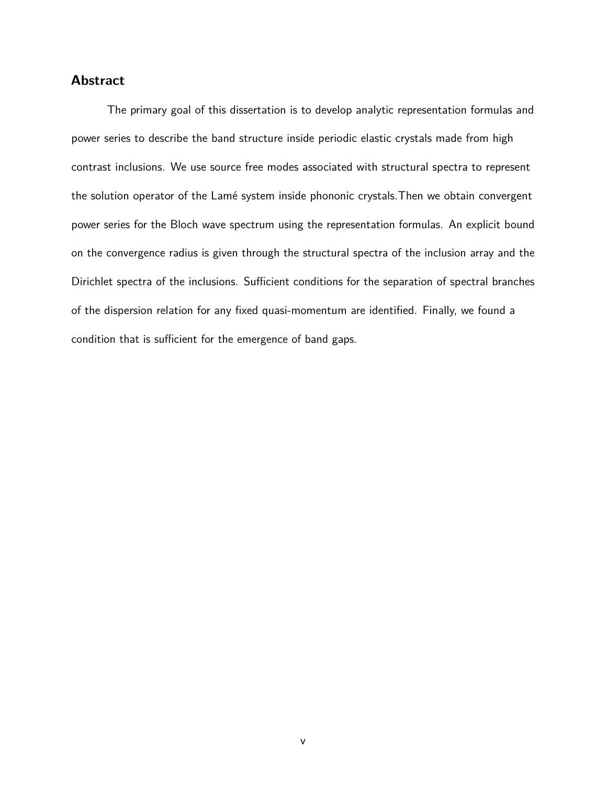## **Abstract**

The primary goal of this dissertation is to develop analytic representation formulas and power series to describe the band structure inside periodic elastic crystals made from high contrast inclusions. We use source free modes associated with structural spectra to represent the solution operator of the Lamé system inside phononic crystals. Then we obtain convergent power series for the Bloch wave spectrum using the representation formulas. An explicit bound on the convergence radius is given through the structural spectra of the inclusion array and the Dirichlet spectra of the inclusions. Sufficient conditions for the separation of spectral branches of the dispersion relation for any fixed quasi-momentum are identified. Finally, we found a condition that is sufficient for the emergence of band gaps.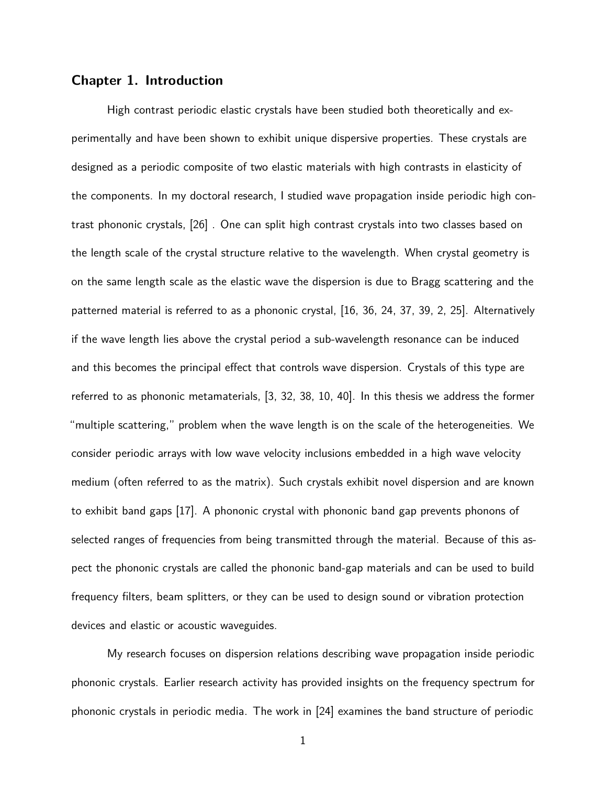## **Chapter 1. Introduction**

High contrast periodic elastic crystals have been studied both theoretically and experimentally and have been shown to exhibit unique dispersive properties. These crystals are designed as a periodic composite of two elastic materials with high contrasts in elasticity of the components. In my doctoral research, I studied wave propagation inside periodic high contrast phononic crystals, [26] . One can split high contrast crystals into two classes based on the length scale of the crystal structure relative to the wavelength. When crystal geometry is on the same length scale as the elastic wave the dispersion is due to Bragg scattering and the patterned material is referred to as a phononic crystal, [16, 36, 24, 37, 39, 2, 25]. Alternatively if the wave length lies above the crystal period a sub-wavelength resonance can be induced and this becomes the principal effect that controls wave dispersion. Crystals of this type are referred to as phononic metamaterials, [3, 32, 38, 10, 40]. In this thesis we address the former "multiple scattering," problem when the wave length is on the scale of the heterogeneities. We consider periodic arrays with low wave velocity inclusions embedded in a high wave velocity medium (often referred to as the matrix). Such crystals exhibit novel dispersion and are known to exhibit band gaps [17]. A phononic crystal with phononic band gap prevents phonons of selected ranges of frequencies from being transmitted through the material. Because of this aspect the phononic crystals are called the phononic band-gap materials and can be used to build frequency filters, beam splitters, or they can be used to design sound or vibration protection devices and elastic or acoustic waveguides.

My research focuses on dispersion relations describing wave propagation inside periodic phononic crystals. Earlier research activity has provided insights on the frequency spectrum for phononic crystals in periodic media. The work in [24] examines the band structure of periodic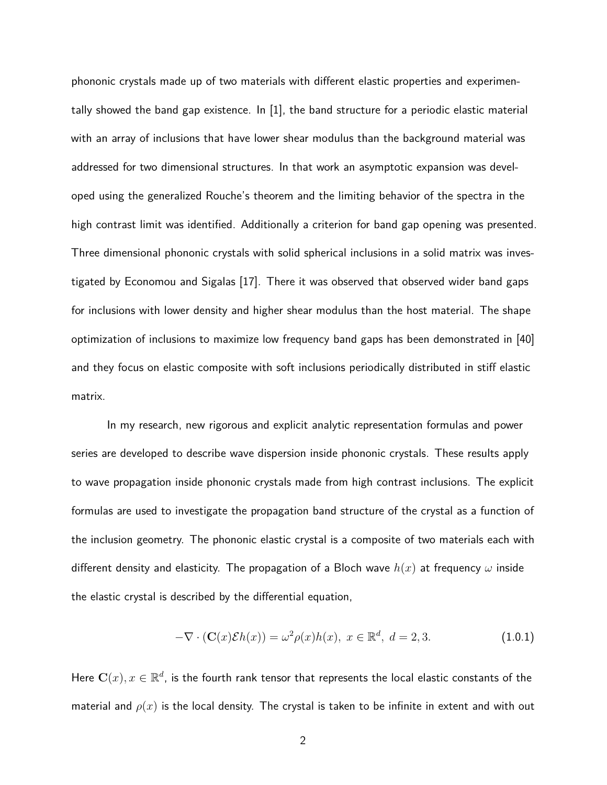phononic crystals made up of two materials with different elastic properties and experimentally showed the band gap existence. In [1], the band structure for a periodic elastic material with an array of inclusions that have lower shear modulus than the background material was addressed for two dimensional structures. In that work an asymptotic expansion was developed using the generalized Rouche's theorem and the limiting behavior of the spectra in the high contrast limit was identified. Additionally a criterion for band gap opening was presented. Three dimensional phononic crystals with solid spherical inclusions in a solid matrix was investigated by Economou and Sigalas [17]. There it was observed that observed wider band gaps for inclusions with lower density and higher shear modulus than the host material. The shape optimization of inclusions to maximize low frequency band gaps has been demonstrated in [40] and they focus on elastic composite with soft inclusions periodically distributed in stiff elastic matrix.

In my research, new rigorous and explicit analytic representation formulas and power series are developed to describe wave dispersion inside phononic crystals. These results apply to wave propagation inside phononic crystals made from high contrast inclusions. The explicit formulas are used to investigate the propagation band structure of the crystal as a function of the inclusion geometry. The phononic elastic crystal is a composite of two materials each with different density and elasticity. The propagation of a Bloch wave  $h(x)$  at frequency  $\omega$  inside the elastic crystal is described by the differential equation,

$$
-\nabla \cdot (\mathbf{C}(x)\mathcal{E}h(x)) = \omega^2 \rho(x)h(x), \ x \in \mathbb{R}^d, \ d = 2, 3. \tag{1.0.1}
$$

Here  $\mathbf{C}(x), x \in \mathbb{R}^d$ , is the fourth rank tensor that represents the local elastic constants of the material and  $\rho(x)$  is the local density. The crystal is taken to be infinite in extent and with out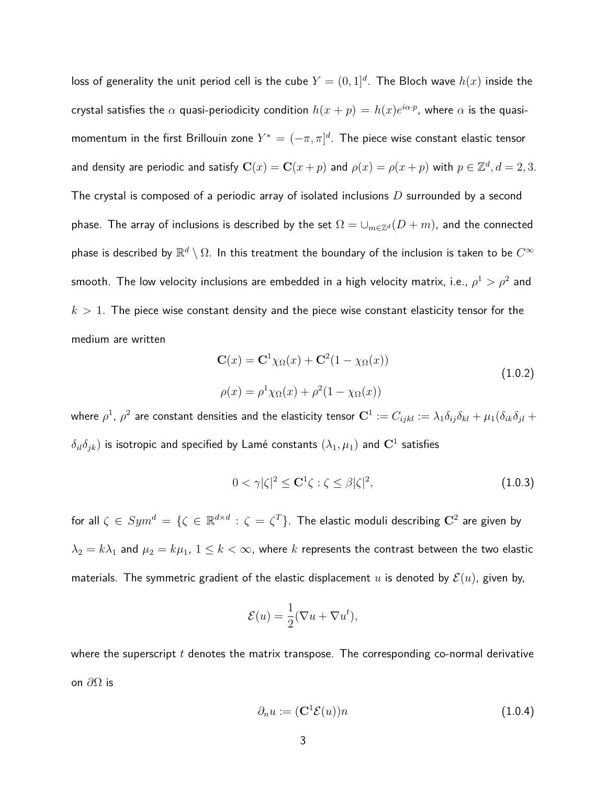loss of generality the unit period cell is the cube  $Y = (0,1]^d.$  The Bloch wave  $h(x)$  inside the crystal satisfies the  $\alpha$  quasi-periodicity condition  $h(x+p)=h(x)e^{i\alpha\cdot p}$ , where  $\alpha$  is the quasimomentum in the first Brillouin zone  $Y^* = (-\pi, \pi]^d$ . The piece wise constant elastic tensor and density are periodic and satisfy  $\mathbf{C}(x) = \mathbf{C}(x+p)$  and  $\rho(x) = \rho(x+p)$  with  $p \in \mathbb{Z}^d, d = 2,3$ . The crystal is composed of a periodic array of isolated inclusions *D* surrounded by a second phase. The array of inclusions is described by the set  $\Omega = \cup_{m \in \mathbb{Z}^d} (D + m)$ , and the connected phase is described by  $\mathbb{R}^d \setminus \Omega.$  In this treatment the boundary of the inclusion is taken to be  $C^\infty$ smooth. The low velocity inclusions are embedded in a high velocity matrix, i.e.,  $\rho^1 > \rho^2$  and  $k > 1$ . The piece wise constant density and the piece wise constant elasticity tensor for the medium are written

$$
\mathbf{C}(x) = \mathbf{C}^1 \chi_{\Omega}(x) + \mathbf{C}^2 (1 - \chi_{\Omega}(x))
$$
  
\n
$$
\rho(x) = \rho^1 \chi_{\Omega}(x) + \rho^2 (1 - \chi_{\Omega}(x))
$$
\n(1.0.2)

where  $\rho^1$ ,  $\rho^2$  are constant densities and the elasticity tensor  ${\bf C}^1:=C_{ijkl}:=\lambda_1\delta_{ij}\delta_{kl}+\mu_1(\delta_{ik}\delta_{jl}+1)$  $\delta_{il}\delta_{jk})$  is isotropic and specified by Lamé constants  $(\lambda_1,\mu_1)$  and  ${\bf C}^1$  satisfies

$$
0 < \gamma |\zeta|^2 \le \mathbf{C}^1 \zeta : \zeta \le \beta |\zeta|^2,\tag{1.0.3}
$$

for all  $\zeta\,\in\, Sym^d\,=\,\{\zeta\,\in\,\mathbb{R}^{d\times d}\,:\,\zeta\,=\,\zeta^T\}.$  The elastic moduli describing  ${\bf C}^2$  are given by  $\lambda_2 = k\lambda_1$  and  $\mu_2 = k\mu_1$ ,  $1 \leq k < \infty$ , where *k* represents the contrast between the two elastic materials. The symmetric gradient of the elastic displacement  $u$  is denoted by  $\mathcal{E}(u)$ , given by,

$$
\mathcal{E}(u) = \frac{1}{2}(\nabla u + \nabla u^t),
$$

where the superscript *t* denotes the matrix transpose. The corresponding co-normal derivative on *∂*Ω is

$$
\partial_n u := (\mathbf{C}^1 \mathcal{E}(u))n \tag{1.0.4}
$$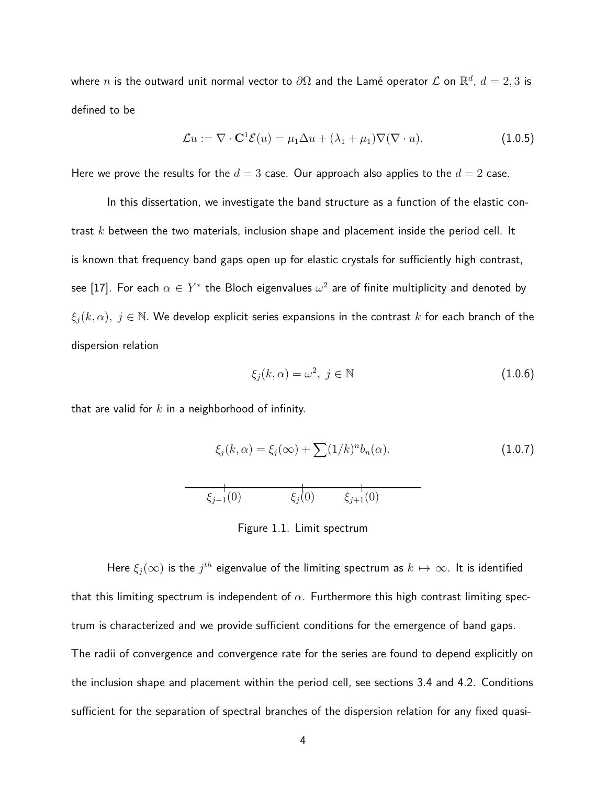where  $n$  is the outward unit normal vector to  $\partial\Omega$  and the Lamé operator  ${\mathcal L}$  on  $\mathbb{R}^d$ ,  $d=2,3$  is defined to be

$$
\mathcal{L}u := \nabla \cdot \mathbf{C}^1 \mathcal{E}(u) = \mu_1 \Delta u + (\lambda_1 + \mu_1) \nabla (\nabla \cdot u). \tag{1.0.5}
$$

Here we prove the results for the  $d = 3$  case. Our approach also applies to the  $d = 2$  case.

In this dissertation, we investigate the band structure as a function of the elastic contrast *k* between the two materials, inclusion shape and placement inside the period cell. It is known that frequency band gaps open up for elastic crystals for sufficiently high contrast, see [17]. For each  $\alpha \in Y^*$  the Bloch eigenvalues  $\omega^2$  are of finite multiplicity and denoted by  $\xi_i(k,\alpha)$ ,  $j \in \mathbb{N}$ . We develop explicit series expansions in the contrast *k* for each branch of the dispersion relation

$$
\xi_j(k,\alpha) = \omega^2, \ j \in \mathbb{N} \tag{1.0.6}
$$

that are valid for *k* in a neighborhood of infinity.

$$
\xi_j(k,\alpha) = \xi_j(\infty) + \sum (1/k)^n b_n(\alpha).
$$
\n(1.0.7)\n  
\n
$$
\xi_{j-1}(0) \qquad \xi_j(0) \qquad \xi_{j+1}(0)
$$

Figure 1.1. Limit spectrum

Here  $\xi_j(\infty)$  is the  $j^{th}$  eigenvalue of the limiting spectrum as  $k\mapsto \infty.$  It is identified that this limiting spectrum is independent of  $\alpha$ . Furthermore this high contrast limiting spectrum is characterized and we provide sufficient conditions for the emergence of band gaps. The radii of convergence and convergence rate for the series are found to depend explicitly on the inclusion shape and placement within the period cell, see sections 3.4 and 4.2. Conditions sufficient for the separation of spectral branches of the dispersion relation for any fixed quasi-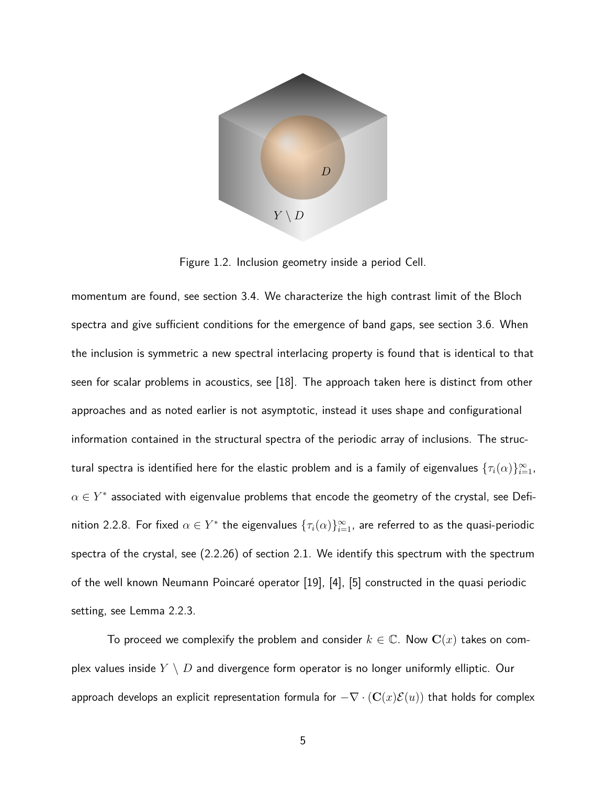

Figure 1.2. Inclusion geometry inside a period Cell.

momentum are found, see section 3.4. We characterize the high contrast limit of the Bloch spectra and give sufficient conditions for the emergence of band gaps, see section 3.6. When the inclusion is symmetric a new spectral interlacing property is found that is identical to that seen for scalar problems in acoustics, see [18]. The approach taken here is distinct from other approaches and as noted earlier is not asymptotic, instead it uses shape and configurational information contained in the structural spectra of the periodic array of inclusions. The structural spectra is identified here for the elastic problem and is a family of eigenvalues  $\{\tau_i(\alpha)\}_{i=1}^\infty$ ,  $\alpha \in Y^*$  associated with eigenvalue problems that encode the geometry of the crystal, see Definition 2.2.8. For fixed  $\alpha \in Y^*$  the eigenvalues  $\{\tau_i(\alpha)\}_{i=1}^\infty$ , are referred to as the quasi-periodic spectra of the crystal, see (2.2.26) of section 2.1. We identify this spectrum with the spectrum of the well known Neumann Poincaré operator [19], [4], [5] constructed in the quasi periodic setting, see Lemma 2.2.3.

To proceed we complexify the problem and consider  $k \in \mathbb{C}$ . Now  $\mathbf{C}(x)$  takes on complex values inside *Y* \ *D* and divergence form operator is no longer uniformly elliptic. Our approach develops an explicit representation formula for  $-\nabla \cdot (\mathbf{C}(x)\mathcal{E}(u))$  that holds for complex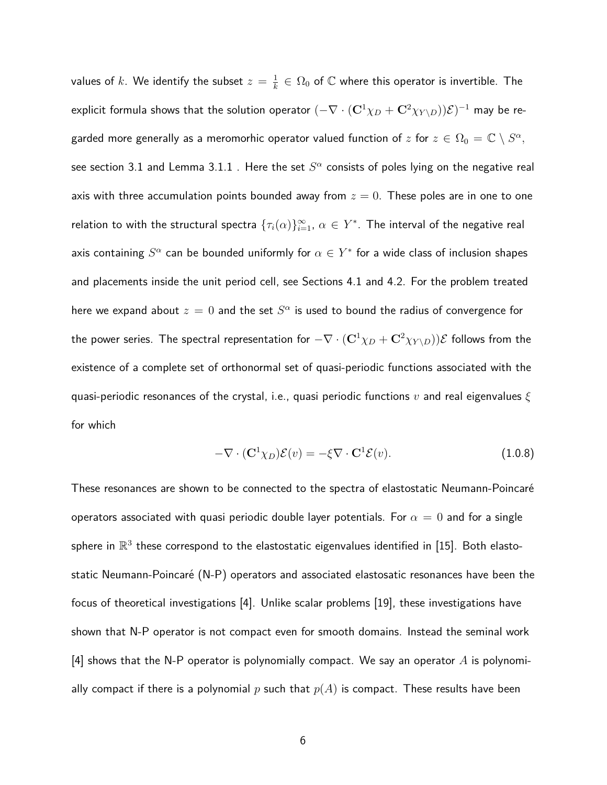values of  $k$ . We identify the subset  $z = \frac{1}{k}$  $\frac{1}{k} \in \Omega_0$  of  $\mathbb C$  where this operator is invertible. The explicit formula shows that the solution operator  $(-\nabla\cdot({\bf C}^1\chi_D+{\bf C}^2\chi_{Y\setminus D}))\mathcal{E})^{-1}$  may be regarded more generally as a meromorhic operator valued function of  $z$  for  $z\in\Omega_0=\mathbb{C}\setminus S^\alpha,$ see section 3.1 and Lemma 3.1.1 . Here the set  $S^\alpha$  consists of poles lying on the negative real axis with three accumulation points bounded away from  $z = 0$ . These poles are in one to one relation to with the structural spectra  $\{\tau_i(\alpha)\}_{i=1}^\infty,$   $\alpha\in Y^*.$  The interval of the negative real axis containing  $S^\alpha$  can be bounded uniformly for  $\alpha \in Y^*$  for a wide class of inclusion shapes and placements inside the unit period cell, see Sections 4.1 and 4.2. For the problem treated here we expand about  $z=0$  and the set  $S^\alpha$  is used to bound the radius of convergence for the power series. The spectral representation for  $-\nabla \cdot (\mathbf{C}^1 \chi_D + \mathbf{C}^2 \chi_{Y \setminus D})\mathcal{E}$  follows from the existence of a complete set of orthonormal set of quasi-periodic functions associated with the quasi-periodic resonances of the crystal, i.e., quasi periodic functions *v* and real eigenvalues *ξ* for which

$$
-\nabla \cdot (\mathbf{C}^1 \chi_D) \mathcal{E}(v) = -\xi \nabla \cdot \mathbf{C}^1 \mathcal{E}(v). \tag{1.0.8}
$$

These resonances are shown to be connected to the spectra of elastostatic Neumann-Poincaré operators associated with quasi periodic double layer potentials. For  $\alpha = 0$  and for a single sphere in  $\mathbb{R}^3$  these correspond to the elastostatic eigenvalues identified in [15]. Both elastostatic Neumann-Poincaré (N-P) operators and associated elastosatic resonances have been the focus of theoretical investigations [4]. Unlike scalar problems [19], these investigations have shown that N-P operator is not compact even for smooth domains. Instead the seminal work [4] shows that the N-P operator is polynomially compact. We say an operator *A* is polynomially compact if there is a polynomial p such that  $p(A)$  is compact. These results have been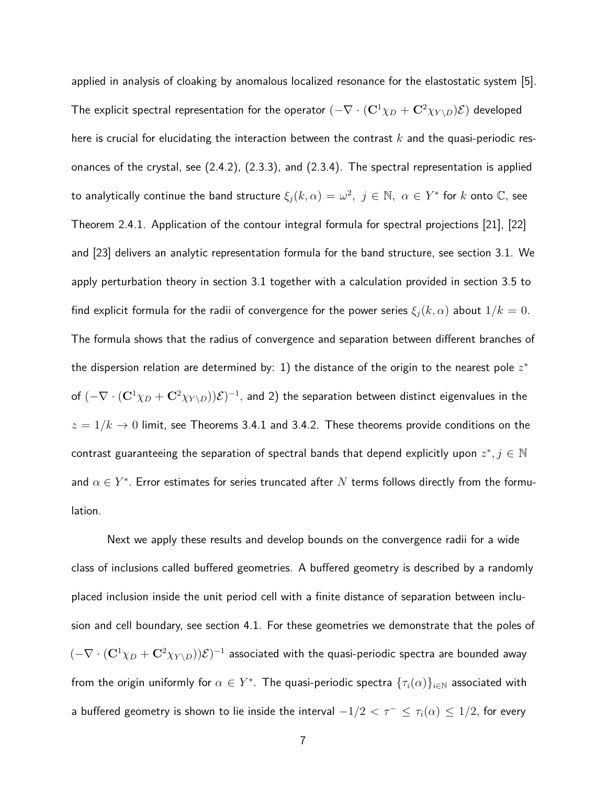applied in analysis of cloaking by anomalous localized resonance for the elastostatic system [5]. The explicit spectral representation for the operator  $(-\nabla \cdot (\mathbf{C}^1 \chi_D + \mathbf{C}^2 \chi_{Y\setminus D})\mathcal{E})$  developed here is crucial for elucidating the interaction between the contrast *k* and the quasi-periodic resonances of the crystal, see (2.4.2), (2.3.3), and (2.3.4). The spectral representation is applied  $\mathsf{t}$  continue the band structure  $\xi_j(k,\alpha)=\omega^2,\,\,j\in\mathbb{N},\,\,\alpha\in Y^*$  for  $k$  onto  $\mathbb{C},$  see Theorem 2.4.1. Application of the contour integral formula for spectral projections [21], [22] and [23] delivers an analytic representation formula for the band structure, see section 3.1. We apply perturbation theory in section 3.1 together with a calculation provided in section 3.5 to find explicit formula for the radii of convergence for the power series  $\xi_i(k, \alpha)$  about  $1/k = 0$ . The formula shows that the radius of convergence and separation between different branches of the dispersion relation are determined by: 1) the distance of the origin to the nearest pole  $z^\ast$ of  $(-\nabla\cdot({\bf C}^1\chi_D+{\bf C}^2\chi_{Y\setminus D}))\mathcal{E})^{-1},$  and 2) the separation between distinct eigenvalues in the  $z = 1/k \rightarrow 0$  limit, see Theorems 3.4.1 and 3.4.2. These theorems provide conditions on the contrast guaranteeing the separation of spectral bands that depend explicitly upon  $z^*, j \in \mathbb{N}$ and  $\alpha \in Y^*$ . Error estimates for series truncated after  $N$  terms follows directly from the formulation.

Next we apply these results and develop bounds on the convergence radii for a wide class of inclusions called buffered geometries. A buffered geometry is described by a randomly placed inclusion inside the unit period cell with a finite distance of separation between inclusion and cell boundary, see section 4.1. For these geometries we demonstrate that the poles of  $(-\nabla\cdot({\bf C}^1\chi_D+{\bf C}^2\chi_{Y\setminus D}))\mathcal{E})^{-1}$  associated with the quasi-periodic spectra are bounded away from the origin uniformly for  $\alpha \in Y^*.$  The quasi-periodic spectra  $\{\tau_i(\alpha)\}_{i \in \mathbb{N}}$  associated with a buffered geometry is shown to lie inside the interval  $-1/2 < \tau^{-} \leq \tau_i(\alpha) \leq 1/2$ , for every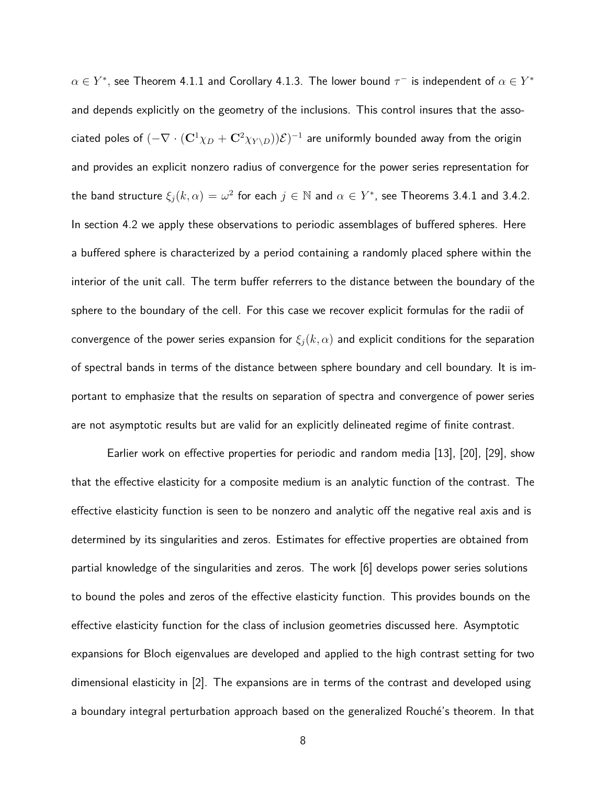$\alpha \in Y^*$ , see Theorem 4.1.1 and Corollary 4.1.3. The lower bound  $\tau^-$  is independent of  $\alpha \in Y^*$ and depends explicitly on the geometry of the inclusions. This control insures that the asso- $\pi$ ciated poles of  $(-\nabla\cdot({\bf C}^1\chi_D+{\bf C}^2\chi_{Y\setminus D}))\mathcal{E})^{-1}$  are uniformly bounded away from the origin and provides an explicit nonzero radius of convergence for the power series representation for the band structure  $\xi_j(k,\alpha) = \omega^2$  for each  $j \in \mathbb{N}$  and  $\alpha \in Y^*$ , see Theorems 3.4.1 and 3.4.2. In section 4.2 we apply these observations to periodic assemblages of buffered spheres. Here a buffered sphere is characterized by a period containing a randomly placed sphere within the interior of the unit call. The term buffer referrers to the distance between the boundary of the sphere to the boundary of the cell. For this case we recover explicit formulas for the radii of convergence of the power series expansion for  $\xi_i(k,\alpha)$  and explicit conditions for the separation of spectral bands in terms of the distance between sphere boundary and cell boundary. It is important to emphasize that the results on separation of spectra and convergence of power series are not asymptotic results but are valid for an explicitly delineated regime of finite contrast.

Earlier work on effective properties for periodic and random media [13], [20], [29], show that the effective elasticity for a composite medium is an analytic function of the contrast. The effective elasticity function is seen to be nonzero and analytic off the negative real axis and is determined by its singularities and zeros. Estimates for effective properties are obtained from partial knowledge of the singularities and zeros. The work [6] develops power series solutions to bound the poles and zeros of the effective elasticity function. This provides bounds on the effective elasticity function for the class of inclusion geometries discussed here. Asymptotic expansions for Bloch eigenvalues are developed and applied to the high contrast setting for two dimensional elasticity in [2]. The expansions are in terms of the contrast and developed using a boundary integral perturbation approach based on the generalized Rouché's theorem. In that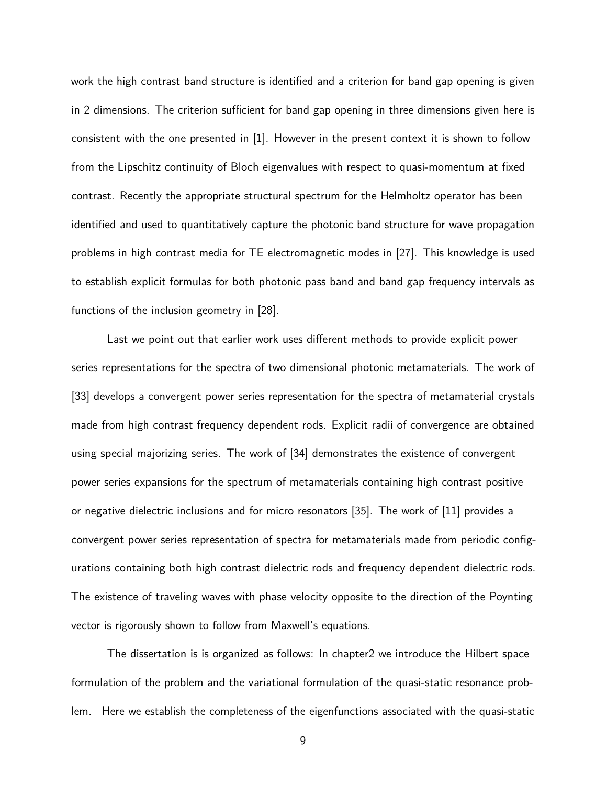work the high contrast band structure is identified and a criterion for band gap opening is given in 2 dimensions. The criterion sufficient for band gap opening in three dimensions given here is consistent with the one presented in [1]. However in the present context it is shown to follow from the Lipschitz continuity of Bloch eigenvalues with respect to quasi-momentum at fixed contrast. Recently the appropriate structural spectrum for the Helmholtz operator has been identified and used to quantitatively capture the photonic band structure for wave propagation problems in high contrast media for TE electromagnetic modes in [27]. This knowledge is used to establish explicit formulas for both photonic pass band and band gap frequency intervals as functions of the inclusion geometry in [28].

Last we point out that earlier work uses different methods to provide explicit power series representations for the spectra of two dimensional photonic metamaterials. The work of [33] develops a convergent power series representation for the spectra of metamaterial crystals made from high contrast frequency dependent rods. Explicit radii of convergence are obtained using special majorizing series. The work of [34] demonstrates the existence of convergent power series expansions for the spectrum of metamaterials containing high contrast positive or negative dielectric inclusions and for micro resonators [35]. The work of [11] provides a convergent power series representation of spectra for metamaterials made from periodic configurations containing both high contrast dielectric rods and frequency dependent dielectric rods. The existence of traveling waves with phase velocity opposite to the direction of the Poynting vector is rigorously shown to follow from Maxwell's equations.

The dissertation is is organized as follows: In chapter2 we introduce the Hilbert space formulation of the problem and the variational formulation of the quasi-static resonance problem. Here we establish the completeness of the eigenfunctions associated with the quasi-static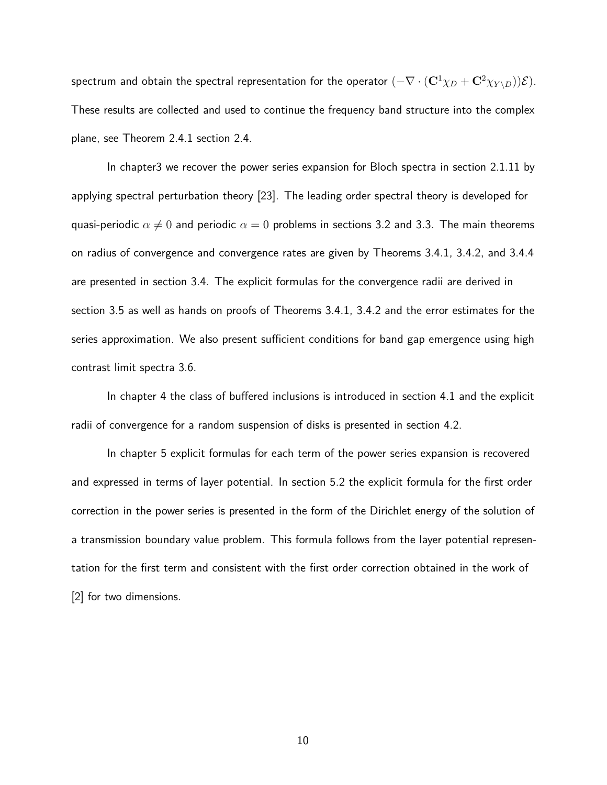spectrum and obtain the spectral representation for the operator  $(-\nabla \cdot (\mathbf{C}^1 \chi_D + \mathbf{C}^2 \chi_{Y \setminus D}))\mathcal{E}$ . These results are collected and used to continue the frequency band structure into the complex plane, see Theorem 2.4.1 section 2.4.

In chapter3 we recover the power series expansion for Bloch spectra in section 2.1.11 by applying spectral perturbation theory [23]. The leading order spectral theory is developed for quasi-periodic  $\alpha \neq 0$  and periodic  $\alpha = 0$  problems in sections 3.2 and 3.3. The main theorems on radius of convergence and convergence rates are given by Theorems 3.4.1, 3.4.2, and 3.4.4 are presented in section 3.4. The explicit formulas for the convergence radii are derived in section 3.5 as well as hands on proofs of Theorems 3.4.1, 3.4.2 and the error estimates for the series approximation. We also present sufficient conditions for band gap emergence using high contrast limit spectra 3.6.

In chapter 4 the class of buffered inclusions is introduced in section 4.1 and the explicit radii of convergence for a random suspension of disks is presented in section 4.2.

In chapter 5 explicit formulas for each term of the power series expansion is recovered and expressed in terms of layer potential. In section 5.2 the explicit formula for the first order correction in the power series is presented in the form of the Dirichlet energy of the solution of a transmission boundary value problem. This formula follows from the layer potential representation for the first term and consistent with the first order correction obtained in the work of [2] for two dimensions.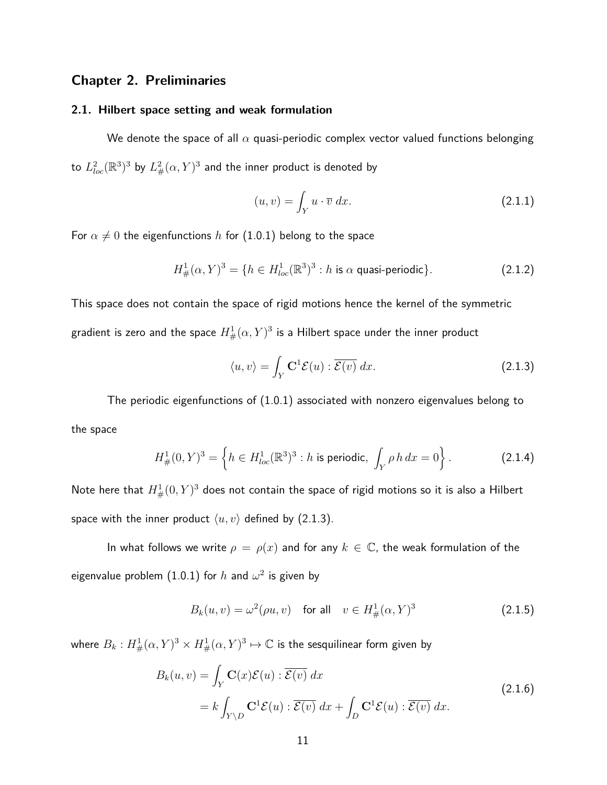## **Chapter 2. Preliminaries**

### **2.1. Hilbert space setting and weak formulation**

We denote the space of all  $\alpha$  quasi-periodic complex vector valued functions belonging to  $L^2_{loc}(\mathbb{R}^3)^3$  by  $L^2_{\#}(\alpha,Y)^3$  and the inner product is denoted by

$$
(u, v) = \int_{Y} u \cdot \overline{v} \, dx. \tag{2.1.1}
$$

For  $\alpha \neq 0$  the eigenfunctions *h* for (1.0.1) belong to the space

$$
H^1_{\#}(\alpha, Y)^3 = \{ h \in H^1_{loc}(\mathbb{R}^3)^3 : h \text{ is } \alpha \text{ quasi-periodic} \}. \tag{2.1.2}
$$

This space does not contain the space of rigid motions hence the kernel of the symmetric gradient is zero and the space  $H^1_{\#}(\alpha,Y)^3$  is a Hilbert space under the inner product

$$
\langle u, v \rangle = \int_{Y} \mathbf{C}^{1} \mathcal{E}(u) : \overline{\mathcal{E}(v)} dx.
$$
 (2.1.3)

The periodic eigenfunctions of (1.0.1) associated with nonzero eigenvalues belong to the space

$$
H^1_{\#}(0, Y)^3 = \left\{ h \in H^1_{loc}(\mathbb{R}^3)^3 : h \text{ is periodic}, \int_Y \rho \, h \, dx = 0 \right\}.
$$
 (2.1.4)

Note here that  $H^1_{\#}(0,Y)^3$  does not contain the space of rigid motions so it is also a Hilbert space with the inner product  $\langle u, v \rangle$  defined by (2.1.3).

In what follows we write  $\rho = \rho(x)$  and for any  $k \in \mathbb{C}$ , the weak formulation of the eigenvalue problem  $(1.0.1)$  for  $h$  and  $\omega^2$  is given by

$$
B_k(u, v) = \omega^2(\rho u, v)
$$
 for all  $v \in H^1_{\#}(\alpha, Y)^3$  (2.1.5)

where  $B_k: H^1_{\#}(\alpha, Y)^3\times H^1_{\#}(\alpha, Y)^3\mapsto \mathbb{C}$  is the sesquilinear form given by

$$
B_k(u, v) = \int_Y \mathbf{C}(x)\mathcal{E}(u) : \overline{\mathcal{E}(v)} dx
$$
  
=  $k \int_{Y \setminus D} \mathbf{C}^1 \mathcal{E}(u) : \overline{\mathcal{E}(v)} dx + \int_D \mathbf{C}^1 \mathcal{E}(u) : \overline{\mathcal{E}(v)} dx.$  (2.1.6)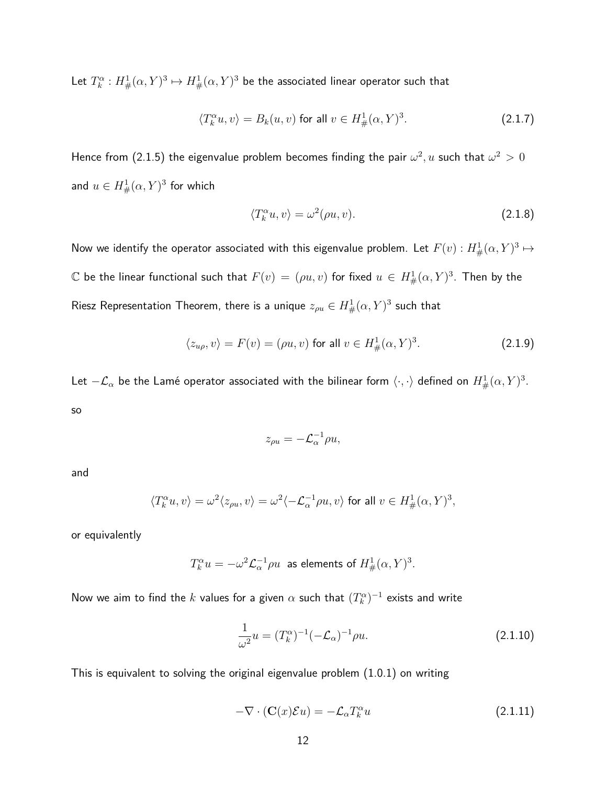Let  $T^{\alpha}_{k}: H_{\#}^{1}(\alpha,Y)^{3} \mapsto H_{\#}^{1}(\alpha,Y)^{3}$  be the associated linear operator such that

$$
\langle T_k^{\alpha} u, v \rangle = B_k(u, v) \text{ for all } v \in H^1_{\#}(\alpha, Y)^3. \tag{2.1.7}
$$

Hence from (2.1.5) the eigenvalue problem becomes finding the pair  $\omega^2,u$  such that  $\omega^2>0$ and  $u \in H^1_\#(\alpha, Y)^3$  for which

$$
\langle T_k^{\alpha} u, v \rangle = \omega^2(\rho u, v). \tag{2.1.8}
$$

Now we identify the operator associated with this eigenvalue problem. Let  $F(v): H^1_{\#}(\alpha, Y)^3 \mapsto$  $\mathbb C$  be the linear functional such that  $F(v) = (\rho u, v)$  for fixed  $u \in H^1_{\#}(\alpha, Y)^3$ . Then by the Riesz Representation Theorem, there is a unique  $z_{\rho u} \in H^1_{\#}(\alpha,Y)^3$  such that

$$
\langle z_{u\rho}, v \rangle = F(v) = (\rho u, v) \text{ for all } v \in H^1_{\#}(\alpha, Y)^3. \tag{2.1.9}
$$

Let  $-\mathcal{L}_\alpha$  be the Lamé operator associated with the bilinear form  $\langle\cdot,\cdot\rangle$  defined on  $H^1_{\#}(\alpha,Y)^3.$ so

$$
z_{\rho u} = -\mathcal{L}_{\alpha}^{-1} \rho u,
$$

and

$$
\langle T_k^{\alpha} u, v \rangle = \omega^2 \langle z_{\rho u}, v \rangle = \omega^2 \langle -\mathcal{L}_{\alpha}^{-1} \rho u, v \rangle \text{ for all } v \in H^1_{\#}(\alpha, Y)^3,
$$

or equivalently

$$
T_k^{\alpha}u=-\omega^2\mathcal{L}_{\alpha}^{-1}\rho u\ \ \text{as elements of}\ H^1_{\#}(\alpha,Y)^3.
$$

Now we aim to find the  $k$  values for a given  $\alpha$  such that  $(T_k^\alpha)^{-1}$  exists and write

$$
\frac{1}{\omega^2}u = (T_k^{\alpha})^{-1}(-\mathcal{L}_{\alpha})^{-1}\rho u.
$$
\n(2.1.10)

This is equivalent to solving the original eigenvalue problem (1.0.1) on writing

$$
-\nabla \cdot (\mathbf{C}(x)\mathcal{E}u) = -\mathcal{L}_{\alpha}T_{k}^{\alpha}u \tag{2.1.11}
$$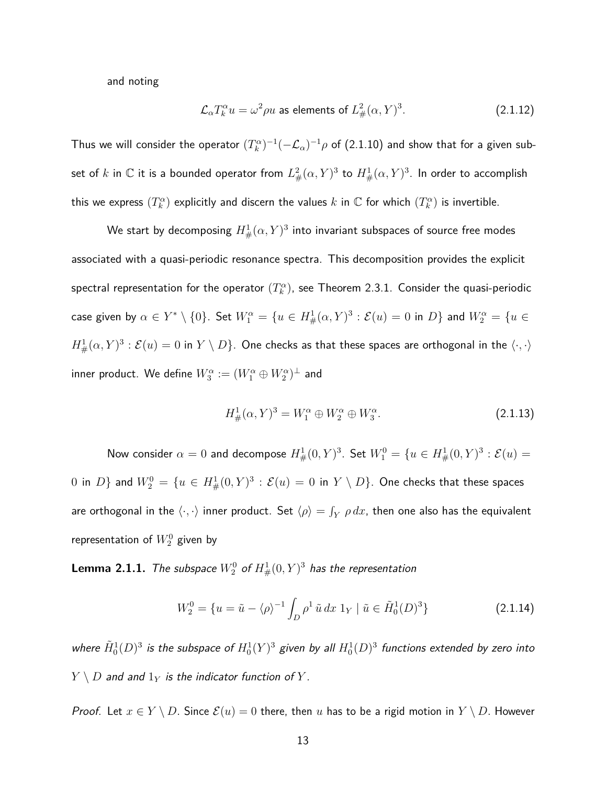and noting

$$
\mathcal{L}_{\alpha} T_k^{\alpha} u = \omega^2 \rho u \text{ as elements of } L^2_{\#}(\alpha, Y)^3. \tag{2.1.12}
$$

Thus we will consider the operator  $(T_k^\alpha)^{-1}(-\mathcal{L}_\alpha)^{-1}\rho$  of (2.1.10) and show that for a given subset of  $k$  in  $\mathbb C$  it is a bounded operator from  $L^2_{\#}(\alpha,Y)^3$  to  $H^1_{\#}(\alpha,Y)^3.$  In order to accomplish this we express  $(T_k^{\alpha})$  explicitly and discern the values  $k$  in  $\mathbb C$  for which  $(T_k^{\alpha})$  is invertible.

We start by decomposing  $H^1_{\#}(\alpha,Y)^3$  into invariant subspaces of source free modes associated with a quasi-periodic resonance spectra. This decomposition provides the explicit spectral representation for the operator  $(T_k^\alpha)$ , see Theorem 2.3.1. Consider the quasi-periodic  $\alpha$  given by  $\alpha\in Y^*\setminus\{0\}.$  Set  $W^\alpha_1=\{u\in H^1_\#(\alpha,Y)^3:\mathcal{E}(u)=0\text{ in }D\}$  and  $W^\alpha_2=\{u\in E\}$  $H^1_\#(\alpha,Y)^3:\mathcal{E}(u)=0$  in  $Y\setminus D\}.$  One checks as that these spaces are orthogonal in the  $\langle\cdot,\cdot\rangle$  $\mathsf{inner}$  product. We define  $W_3^\alpha := (W_1^\alpha \oplus W_2^\alpha)^\perp$  and

$$
H^1_{\#}(\alpha, Y)^3 = W_1^{\alpha} \oplus W_2^{\alpha} \oplus W_3^{\alpha}.
$$
 (2.1.13)

Now consider  $\alpha = 0$  and decompose  $H^1_{\#}(0,Y)^3$ . Set  $W^0_1 = \{u \in H^1_{\#}(0,Y)^3 : \mathcal{E}(u) = 0\}$  $0$  in  $D\}$  and  $W^0_2=\{u\in H^1_{\#}(0,Y)^3:\mathcal{E}(u)=0$  in  $Y\setminus D\}.$  One checks that these spaces are orthogonal in the  $\langle\cdot,\cdot\rangle$  inner product. Set  $\langle\rho\rangle=\int_Y\rho\,dx$ , then one also has the equivalent representation of  $W_2^0$  given by

 ${\bf L}$ emma 2.1.1. The subspace  $W^0_2$  of  $H^1_{\#}(0,Y)^3$  has the representation

$$
W_2^0 = \{ u = \tilde{u} - \langle \rho \rangle^{-1} \int_D \rho^1 \tilde{u} \, dx \, 1_Y \mid \tilde{u} \in \tilde{H}_0^1(D)^3 \} \tag{2.1.14}
$$

where  $\tilde{H}^1_0(D)^3$  is the subspace of  $H^1_0(Y)^3$  given by all  $H^1_0(D)^3$  functions extended by zero into  $Y \setminus D$  and and  $1_Y$  is the indicator function of  $Y$ .

*Proof.* Let  $x \in Y \setminus D$ . Since  $\mathcal{E}(u) = 0$  there, then *u* has to be a rigid motion in  $Y \setminus D$ . However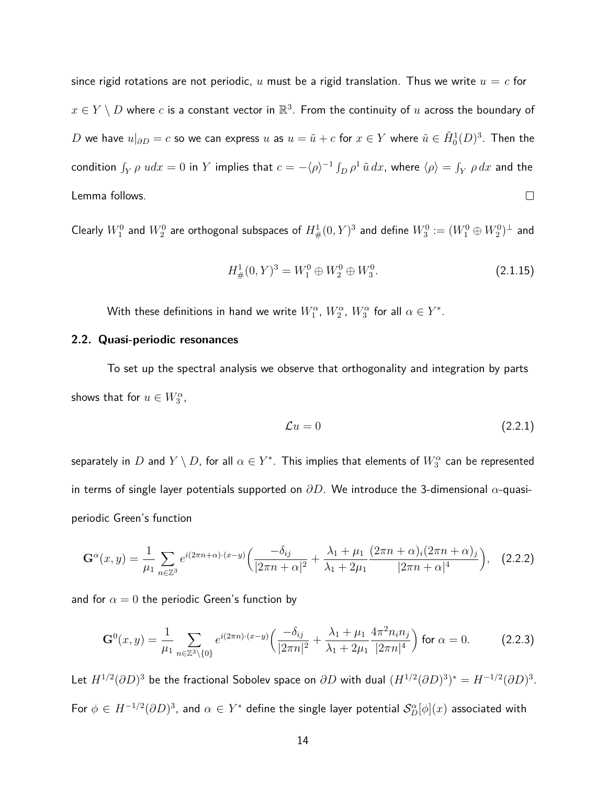since rigid rotations are not periodic,  $u$  must be a rigid translation. Thus we write  $u = c$  for  $x \in Y \setminus D$  where  $c$  is a constant vector in  $\mathbb{R}^3.$  From the continuity of  $u$  across the boundary of  $D$  we have  $u|_{\partial D}=c$  so we can express  $u$  as  $u=\tilde{u}+c$  for  $x\in Y$  where  $\tilde{u}\in \tilde{H}^{1}_{0}(D)^{3}.$  Then the  $f_Y \rho \; u dx = 0$  in  $Y$  implies that  $c = -\langle \rho \rangle^{-1} \int_D \rho^1 \, \tilde{u} \, dx$ , where  $\langle \rho \rangle = \int_Y \rho \, dx$  and the Lemma follows.  $\Box$ 

Clearly  $W^0_1$  and  $W^0_2$  are orthogonal subspaces of  $H^1_{\#}(0,Y)^3$  and define  $W^0_3:=(W^0_1\oplus W^0_2)^\perp$  and

$$
H^1_{\#}(0, Y)^3 = W_1^0 \oplus W_2^0 \oplus W_3^0. \tag{2.1.15}
$$

With these definitions in hand we write  $W_1^{\alpha}$ ,  $W_2^{\alpha}$ ,  $W_3^{\alpha}$  for all  $\alpha \in Y^*.$ 

#### **2.2. Quasi-periodic resonances**

To set up the spectral analysis we observe that orthogonality and integration by parts shows that for  $u \in W_3^{\alpha}$ ,

$$
\mathcal{L}u = 0 \tag{2.2.1}
$$

separately in  $D$  and  $Y\setminus D$ , for all  $\alpha\in Y^*.$  This implies that elements of  $W^{\alpha}_3$  can be represented in terms of single layer potentials supported on *∂D*. We introduce the 3-dimensional *α*-quasiperiodic Green's function

$$
\mathbf{G}^{\alpha}(x,y) = \frac{1}{\mu_1} \sum_{n \in \mathbb{Z}^3} e^{i(2\pi n + \alpha) \cdot (x-y)} \left( \frac{-\delta_{ij}}{|2\pi n + \alpha|^2} + \frac{\lambda_1 + \mu_1}{\lambda_1 + 2\mu_1} \frac{(2\pi n + \alpha)_i (2\pi n + \alpha)_j}{|2\pi n + \alpha|^4} \right), \quad (2.2.2)
$$

and for  $\alpha = 0$  the periodic Green's function by

$$
\mathbf{G}^{0}(x,y) = \frac{1}{\mu_{1}} \sum_{n \in \mathbb{Z}^{3} \setminus \{0\}} e^{i(2\pi n) \cdot (x-y)} \left( \frac{-\delta_{ij}}{|2\pi n|^{2}} + \frac{\lambda_{1} + \mu_{1}}{\lambda_{1} + 2\mu_{1}} \frac{4\pi^{2} n_{i} n_{j}}{|2\pi n|^{4}} \right) \text{ for } \alpha = 0.
$$
 (2.2.3)

Let  $H^{1/2}(\partial D)^3$  be the fractional Sobolev space on  $\partial D$  with dual  $(H^{1/2}(\partial D)^3)^*=H^{-1/2}(\partial D)^3.$ For  $\phi\in H^{-1/2}(\partial D)^3$ , and  $\alpha\in Y^*$  define the single layer potential  $\mathcal{S}_D^\alpha[\phi](x)$  associated with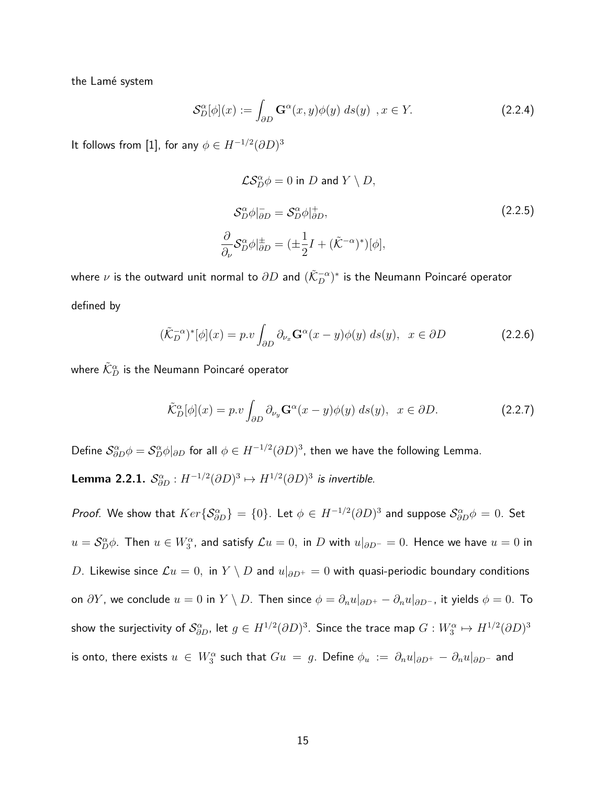the Lamé system

$$
\mathcal{S}_D^{\alpha}[\phi](x) := \int_{\partial D} \mathbf{G}^{\alpha}(x, y)\phi(y) \ ds(y) \ , x \in Y. \tag{2.2.4}
$$

It follows from [1], for any  $\phi \in H^{-1/2} (\partial D)^3$ 

$$
\mathcal{L}S_{D}^{\alpha}\phi = 0 \text{ in } D \text{ and } Y \setminus D,
$$
  
\n
$$
S_{D}^{\alpha}\phi|_{\partial D}^{-} = S_{D}^{\alpha}\phi|_{\partial D}^{+},
$$
  
\n
$$
\frac{\partial}{\partial \nu}S_{D}^{\alpha}\phi|_{\partial D}^{\pm} = (\pm \frac{1}{2}I + (\tilde{\mathcal{K}}^{-\alpha})^{*})[\phi],
$$
\n(2.2.5)

where  $\nu$  is the outward unit normal to  $\partial D$  and  $(\tilde{\mathcal{K}}_D^{-\alpha})^*$  is the Neumann Poincaré operator defined by

$$
(\tilde{\mathcal{K}}_D^{-\alpha})^*[\phi](x) = p.v \int_{\partial D} \partial_{\nu_x} \mathbf{G}^{\alpha}(x - y)\phi(y) \ ds(y), \ \ x \in \partial D \tag{2.2.6}
$$

where  $\tilde{\mathcal{K}}^{\alpha}_D$  is the Neumann Poincaré operator

$$
\tilde{\mathcal{K}}_{D}^{\alpha}[\phi](x) = p.v \int_{\partial D} \partial_{\nu_{y}} \mathbf{G}^{\alpha}(x - y)\phi(y) ds(y), \ \ x \in \partial D. \tag{2.2.7}
$$

Define  $\mathcal{S}^\alpha_{\partial D}\phi=\mathcal{S}^\alpha_D\phi|_{\partial D}$  for all  $\phi\in H^{-1/2}(\partial D)^3$ , then we have the following Lemma.

**Lemma 2.2.1.**  $S_{\partial D}^{\alpha}: H^{-1/2}(\partial D)^3 \mapsto H^{1/2}(\partial D)^3$  is invertible.

*Proof.* We show that  $Ker\{\mathcal{S}_{\partial D}^{\alpha}\} = \{0\}$ . Let  $\phi \in H^{-1/2}(\partial D)^3$  and suppose  $\mathcal{S}_{\partial D}^{\alpha}\phi = 0$ . Set  $u = \mathcal{S}_D^\alpha \phi$ . Then  $u \in W^\alpha_3$ , and satisfy  $\mathcal{L} u = 0,$  in  $D$  with  $u|_{\partial D^-} = 0.$  Hence we have  $u = 0$  in *D*. Likewise since  $\mathcal{L}u = 0$ , in  $Y \setminus D$  and  $u|_{\partial D^+} = 0$  with quasi-periodic boundary conditions on  $\partial Y$ , we conclude  $u = 0$  in  $Y \setminus D$ . Then since  $\phi = \partial_n u|_{\partial D^+} - \partial_n u|_{\partial D^-}$ , it yields  $\phi = 0$ . To show the surjectivity of  $\mathcal{S}^\alpha_{\partial D}$ , let  $g\in H^{1/2}(\partial D)^3.$  Since the trace map  $G:W^\alpha_3\mapsto H^{1/2}(\partial D)^3$ is onto, there exists  $u \in W_3^\alpha$  such that  $Gu = g$ . Define  $\phi_u := \partial_n u|_{\partial D^+} - \partial_n u|_{\partial D^-}$  and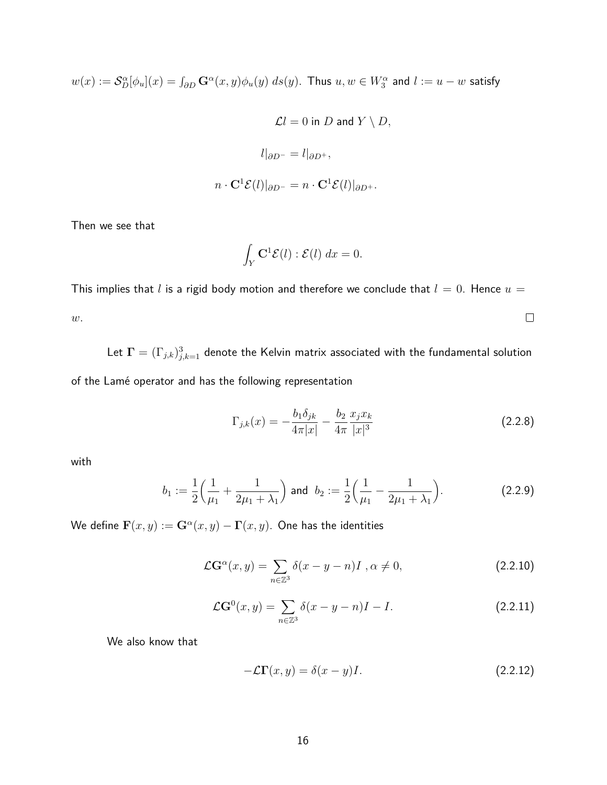$w(x):=\mathcal{S}_D^\alpha[\phi_u](x)=\int_{\partial D}\mathbf{G}^\alpha(x,y)\phi_u(y)\;ds(y).$  Thus  $u,w\in W_3^\alpha$  and  $l:=u-w$  satisfy

$$
\mathcal{L}l=0 \text{ in } D \text{ and } Y\setminus D,
$$
  

$$
l|_{\partial D^-}=l|_{\partial D^+},
$$
  

$$
n\cdot {\bf C}^1\mathcal{E}(l)|_{\partial D^-}=n\cdot {\bf C}^1\mathcal{E}(l)|_{\partial D^+}.
$$

Then we see that

$$
\int_Y \mathbf{C}^1 \mathcal{E}(l) : \mathcal{E}(l) \, dx = 0.
$$

This implies that *l* is a rigid body motion and therefore we conclude that  $l = 0$ . Hence  $u =$  $\Box$ *w*.

Let  $\mathbf{\Gamma} = (\Gamma_{j,k})_{j,k=1}^3$  denote the Kelvin matrix associated with the fundamental solution

of the Lamé operator and has the following representation

$$
\Gamma_{j,k}(x) = -\frac{b_1 \delta_{jk}}{4\pi |x|} - \frac{b_2}{4\pi} \frac{x_j x_k}{|x|^3}
$$
\n(2.2.8)

with

$$
b_1 := \frac{1}{2} \left( \frac{1}{\mu_1} + \frac{1}{2\mu_1 + \lambda_1} \right) \text{ and } b_2 := \frac{1}{2} \left( \frac{1}{\mu_1} - \frac{1}{2\mu_1 + \lambda_1} \right). \tag{2.2.9}
$$

 $\mathbf{W}$ e define  $\mathbf{F}(x,y) := \mathbf{G}^\alpha(x,y) - \mathbf{\Gamma}(x,y).$  One has the identities

$$
\mathcal{L}G^{\alpha}(x,y) = \sum_{n \in \mathbb{Z}^3} \delta(x - y - n)I , \alpha \neq 0,
$$
 (2.2.10)

$$
\mathcal{L}G^{0}(x,y) = \sum_{n \in \mathbb{Z}^{3}} \delta(x - y - n)I - I.
$$
 (2.2.11)

We also know that

$$
-\mathcal{L}\Gamma(x,y) = \delta(x-y)I.
$$
 (2.2.12)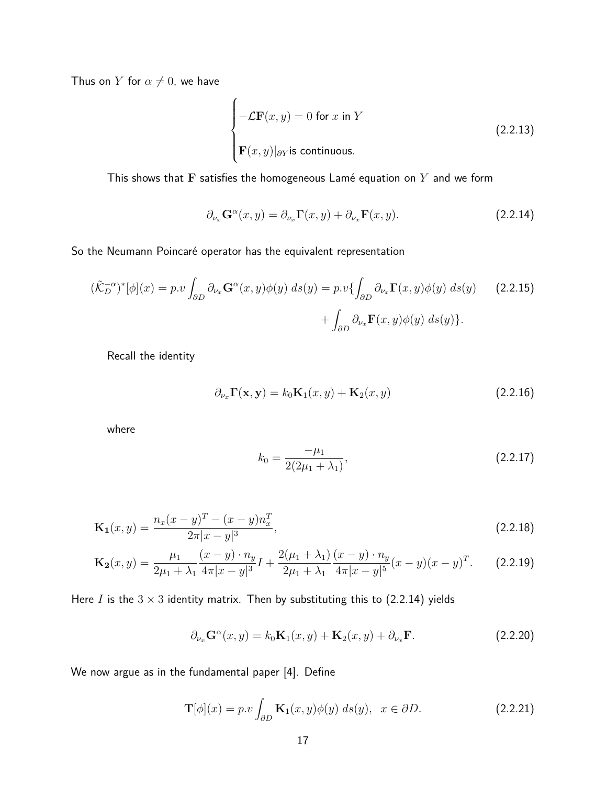Thus on *Y* for  $\alpha \neq 0$ , we have

$$
\begin{cases}\n-\mathcal{L}\mathbf{F}(x,y) = 0 \text{ for } x \text{ in } Y \\
\mathbf{F}(x,y)|_{\partial Y} \text{ is continuous.} \n\end{cases}
$$
\n(2.2.13)

This shows that  **satisfies the homogeneous Lamé equation on**  $Y$  **and we form** 

$$
\partial_{\nu_x} \mathbf{G}^{\alpha}(x, y) = \partial_{\nu_x} \mathbf{\Gamma}(x, y) + \partial_{\nu_x} \mathbf{\mathbf{F}}(x, y). \tag{2.2.14}
$$

So the Neumann Poincaré operator has the equivalent representation

$$
(\tilde{\mathcal{K}}_D^{-\alpha})^*[\phi](x) = p.v \int_{\partial D} \partial_{\nu_x} \mathbf{G}^{\alpha}(x, y)\phi(y) ds(y) = p.v \{ \int_{\partial D} \partial_{\nu_x} \mathbf{\Gamma}(x, y)\phi(y) ds(y) \qquad (2.2.15)
$$

$$
+ \int_{\partial D} \partial_{\nu_x} \mathbf{\Gamma}(x, y)\phi(y) ds(y) \}.
$$

Recall the identity

$$
\partial_{\nu_x} \Gamma(\mathbf{x}, \mathbf{y}) = k_0 \mathbf{K}_1(x, y) + \mathbf{K}_2(x, y)
$$
\n(2.2.16)

where

$$
k_0 = \frac{-\mu_1}{2(2\mu_1 + \lambda_1)},\tag{2.2.17}
$$

$$
\mathbf{K}_1(x,y) = \frac{n_x(x-y)^T - (x-y)n_x^T}{2\pi|x-y|^3},\tag{2.2.18}
$$

$$
\mathbf{K_2}(x,y) = \frac{\mu_1}{2\mu_1 + \lambda_1} \frac{(x-y) \cdot n_y}{4\pi |x-y|^3} I + \frac{2(\mu_1 + \lambda_1)}{2\mu_1 + \lambda_1} \frac{(x-y) \cdot n_y}{4\pi |x-y|^5} (x-y)(x-y)^T.
$$
 (2.2.19)

Here *I* is the  $3 \times 3$  identity matrix. Then by substituting this to (2.2.14) yields

$$
\partial_{\nu_x} \mathbf{G}^\alpha(x, y) = k_0 \mathbf{K}_1(x, y) + \mathbf{K}_2(x, y) + \partial_{\nu_x} \mathbf{F}.
$$
 (2.2.20)

We now argue as in the fundamental paper [4]. Define

$$
\mathbf{T}[\phi](x) = p.v \int_{\partial D} \mathbf{K}_1(x, y)\phi(y) \ ds(y), \ \ x \in \partial D. \tag{2.2.21}
$$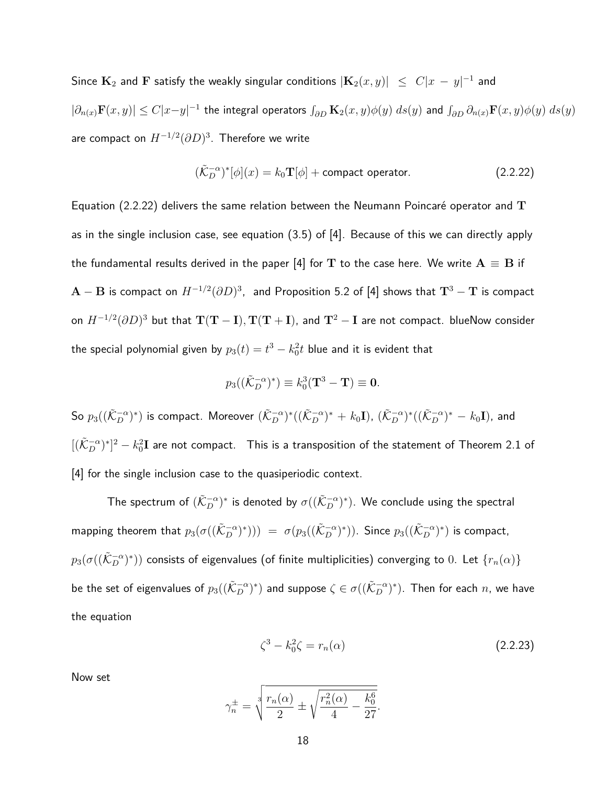$\textsf{Since } \mathbf{K}_2 \textsf{ and } \mathbf{F} \textsf{ satisfy the weakly singular conditions } |\mathbf{K}_2(x,y)| \ \le \ C|x \, - \, y|^{-1} \textsf{ and } \mathbf{F} \textsf{ and } \mathbf{F} \textsf{ is a finite.}$  $|\partial_{n(x)}\mathbf F(x,y)|\leq C|x-y|^{-1}$  the integral operators  $\int_{\partial D}\mathbf K_2(x,y)\phi(y)\;ds(y)$  and  $\int_{\partial D}\partial_{n(x)}\mathbf F(x,y)\phi(y)\;ds(y)$ are compact on *H*<sup>−</sup>1*/*<sup>2</sup> (*∂D*) 3 . Therefore we write

$$
(\tilde{\mathcal{K}}_D^{-\alpha})^*[\phi](x) = k_0 \mathbf{T}[\phi] + \text{compact operator.} \tag{2.2.22}
$$

Equation (2.2.22) delivers the same relation between the Neumann Poincar´e operator and **T** as in the single inclusion case, see equation (3.5) of [4]. Because of this we can directly apply the fundamental results derived in the paper [4] for T to the case here. We write  $A \equiv B$  if  ${\bf A}-{\bf B}$  is compact on  $H^{-1/2}(\partial D)^3$ , and Proposition 5.2 of [4] shows that  ${\bf T}^3-{\bf T}$  is compact on *H*<sup>−</sup>1*/*<sup>2</sup> (*∂D*) <sup>3</sup> but that **T**(**T** − **I**)*,* **T**(**T** + **I**), and **T**<sup>2</sup> − **I** are not compact. blueNow consider the special polynomial given by  $p_3(t)=t^3-k_0^2t$  blue and it is evident that

$$
p_3((\tilde{K}_D^{-\alpha})^*) \equiv k_0^3(\mathbf{T}^3 - \mathbf{T}) \equiv \mathbf{0}.
$$

 $\textsf{So}\ p_3((\tilde{\mathcal{K}}_D^{-\alpha})^*)$  is compact. Moreover  $(\tilde{\mathcal{K}}_D^{-\alpha})^*((\tilde{\mathcal{K}}_D^{-\alpha})^* + k_0\mathbf{I}),\ (\tilde{\mathcal{K}}_D^{-\alpha})^*((\tilde{\mathcal{K}}_D^{-\alpha})^* - k_0\mathbf{I}),$  and  $[(\tilde{\cal K}_{D}^{-\alpha})^{*}]^{2}-k_{0}^{2}{\bf I}$  are not compact.  $\;$  This is a transposition of the statement of Theorem 2.1 of [4] for the single inclusion case to the quasiperiodic context.

The spectrum of  $(\tilde{\mathcal{K}}_D^{-\alpha})^*$  is denoted by  $\sigma((\tilde{\mathcal{K}}_D^{-\alpha})^*)$ . We conclude using the spectral  $\textsf{mapping theorem that }p_3(\sigma((\tilde{\mathcal{K}}_D^{-\alpha})^*))\ =\ \sigma(p_3((\tilde{\mathcal{K}}_D^{-\alpha})^*))\text{. Since }p_3((\tilde{\mathcal{K}}_D^{-\alpha})^*)\text{ is compact,}$  $p_3(\sigma((\tilde{\mathcal{K}}_D^{-\alpha})^*))$  consists of eigenvalues (of finite multiplicities) converging to  $0.$  Let  $\{r_n(\alpha)\}$ be the set of eigenvalues of  $p_3((\tilde{\cal K}_D^{-\alpha})^*)$  and suppose  $\zeta\in\sigma((\tilde{\cal K}_D^{-\alpha})^*)$ . Then for each  $n$ , we have the equation

$$
\zeta^3 - k_0^2 \zeta = r_n(\alpha) \tag{2.2.23}
$$

Now set

$$
\gamma_n^{\pm} = \sqrt[3]{\frac{r_n(\alpha)}{2} \pm \sqrt{\frac{r_n^2(\alpha)}{4} - \frac{k_0^6}{27}}}.
$$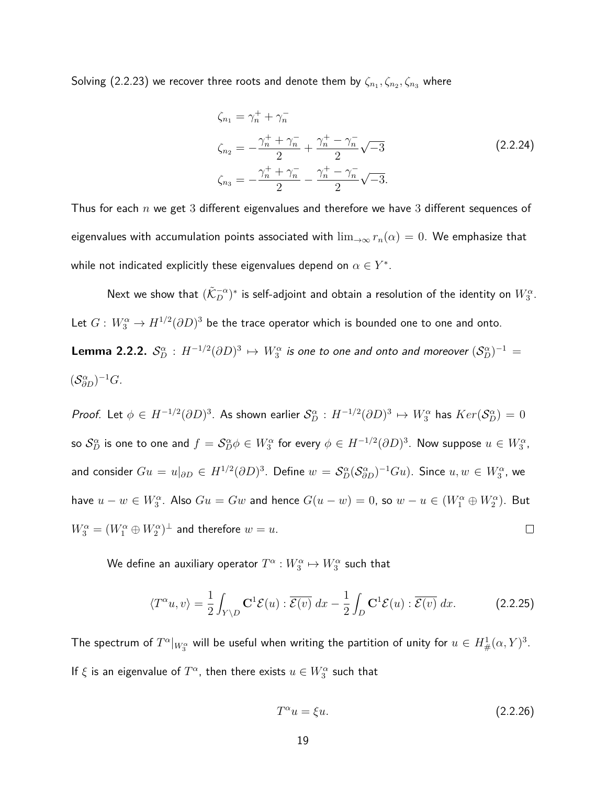Solving (2.2.23) we recover three roots and denote them by  $\zeta_{n_1}, \zeta_{n_2}, \zeta_{n_3}$  where

$$
\zeta_{n_1} = \gamma_n^+ + \gamma_n^-
$$
\n
$$
\zeta_{n_2} = -\frac{\gamma_n^+ + \gamma_n^-}{2} + \frac{\gamma_n^+ - \gamma_n^-}{2} \sqrt{-3}
$$
\n
$$
\zeta_{n_3} = -\frac{\gamma_n^+ + \gamma_n^-}{2} - \frac{\gamma_n^+ - \gamma_n^-}{2} \sqrt{-3}.
$$
\n(2.2.24)

Thus for each *n* we get 3 different eigenvalues and therefore we have 3 different sequences of eigenvalues with accumulation points associated with  $\lim_{\to\infty} r_n(\alpha) = 0$ . We emphasize that while not indicated explicitly these eigenvalues depend on  $\alpha \in Y^*$ .

Next we show that  $(\tilde{\mathcal{K}}_D^{-\alpha})^*$  is self-adjoint and obtain a resolution of the identity on  $W_3^{\alpha}.$ Let  $G\colon W_3^{\alpha} \to H^{1/2}(\partial D)^3$  be the trace operator which is bounded one to one and onto.

**Lemma 2.2.2.** 
$$
S_D^{\alpha}: H^{-1/2}(\partial D)^3 \mapsto W_3^{\alpha}
$$
 is one to one and onto and moreover  $(S_D^{\alpha})^{-1} = (S_{\partial D}^{\alpha})^{-1}G$ .

*Proof.* Let  $\phi \in H^{-1/2}(\partial D)^3$ . As shown earlier  $S_D^{\alpha}: H^{-1/2}(\partial D)^3 \mapsto W_3^{\alpha}$  has  $Ker(S_D^{\alpha})=0$ so  $\mathcal{S}_D^\alpha$  is one to one and  $f=\mathcal{S}_D^\alpha\phi\in W^\alpha_3$  for every  $\phi\in H^{-1/2}(\partial D)^3.$  Now suppose  $u\in W^\alpha_3,$ and consider  $Gu=u|_{\partial D}\in H^{1/2}(\partial D)^3.$  Define  $w=\mathcal{S}_D^\alpha (\mathcal{S}_{\partial D}^\alpha)^{-1}Gu).$  Since  $u,w\in W_3^\alpha,$  we have  $u - w \in W_3^{\alpha}$ . Also  $Gu = Gw$  and hence  $G(u - w) = 0$ , so  $w - u \in (W_1^{\alpha} \oplus W_2^{\alpha})$ . But  $W^{\alpha}_{3} = (W^{\alpha}_{1} \oplus W^{\alpha}_{2})^{\perp}$  and therefore  $w = u$ .  $\Box$ 

We define an auxiliary operator  $T^\alpha: W^\alpha_3 \mapsto W^\alpha_3$  such that

$$
\langle T^{\alpha}u, v \rangle = \frac{1}{2} \int_{Y \setminus D} \mathbf{C}^{1} \mathcal{E}(u) : \overline{\mathcal{E}(v)} dx - \frac{1}{2} \int_{D} \mathbf{C}^{1} \mathcal{E}(u) : \overline{\mathcal{E}(v)} dx.
$$
 (2.2.25)

The spectrum of  $T^\alpha|_{W^\alpha_3}$  will be useful when writing the partition of unity for  $u\in H^1_{\#}(\alpha,Y)^3.$ If  $\xi$  is an eigenvalue of  $T^\alpha$ , then there exists  $u\in W^\alpha_3$  such that

$$
T^{\alpha}u = \xi u. \tag{2.2.26}
$$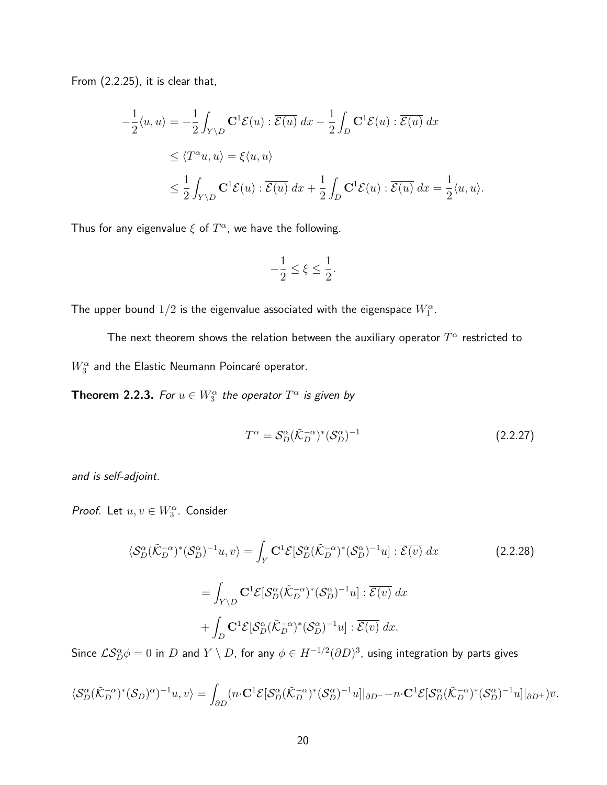From (2.2.25), it is clear that,

$$
-\frac{1}{2}\langle u, u \rangle = -\frac{1}{2} \int_{Y \setminus D} \mathbf{C}^1 \mathcal{E}(u) : \overline{\mathcal{E}(u)} dx - \frac{1}{2} \int_D \mathbf{C}^1 \mathcal{E}(u) : \overline{\mathcal{E}(u)} dx
$$
  
\n
$$
\leq \langle T^{\alpha} u, u \rangle = \xi \langle u, u \rangle
$$
  
\n
$$
\leq \frac{1}{2} \int_{Y \setminus D} \mathbf{C}^1 \mathcal{E}(u) : \overline{\mathcal{E}(u)} dx + \frac{1}{2} \int_D \mathbf{C}^1 \mathcal{E}(u) : \overline{\mathcal{E}(u)} dx = \frac{1}{2} \langle u, u \rangle.
$$

Thus for any eigenvalue  $\xi$  of  $T^{\alpha}$ , we have the following.

$$
-\frac{1}{2}\leq \xi \leq \frac{1}{2}.
$$

The upper bound  $1/2$  is the eigenvalue associated with the eigenspace  $W_1^{\alpha}$ .

The next theorem shows the relation between the auxiliary operator  $T^\alpha$  restricted to  $W^{\alpha}_{3}$  and the Elastic Neumann Poincaré operator.

**Theorem 2.2.3.** For  $u \in W_3^{\alpha}$  the operator  $T^{\alpha}$  is given by

$$
T^{\alpha} = \mathcal{S}_D^{\alpha} (\tilde{\mathcal{K}}_D^{-\alpha})^* (\mathcal{S}_D^{\alpha})^{-1}
$$
\n(2.2.27)

and is self-adjoint.

Proof. Let  $u, v \in W_3^{\alpha}$ . Consider

$$
\langle \mathcal{S}_D^{\alpha} (\tilde{\mathcal{K}}_D^{-\alpha})^* (\mathcal{S}_D^{\alpha})^{-1} u, v \rangle = \int_Y \mathbf{C}^1 \mathcal{E} [\mathcal{S}_D^{\alpha} (\tilde{\mathcal{K}}_D^{-\alpha})^* (\mathcal{S}_D^{\alpha})^{-1} u] : \overline{\mathcal{E}(v)} dx
$$
\n
$$
= \int_{Y \setminus D} \mathbf{C}^1 \mathcal{E} [\mathcal{S}_D^{\alpha} (\tilde{\mathcal{K}}_D^{-\alpha})^* (\mathcal{S}_D^{\alpha})^{-1} u] : \overline{\mathcal{E}(v)} dx
$$
\n
$$
+ \int_D \mathbf{C}^1 \mathcal{E} [\mathcal{S}_D^{\alpha} (\tilde{\mathcal{K}}_D^{-\alpha})^* (\mathcal{S}_D^{\alpha})^{-1} u] : \overline{\mathcal{E}(v)} dx.
$$
\n(2.2.28)

Since  $\mathcal{LS}^\alpha_D\phi=0$  in  $D$  and  $Y\setminus D$ , for any  $\phi\in H^{-1/2}(\partial D)^3$ , using integration by parts gives

$$
\langle \mathcal{S}_D^{\alpha} (\tilde{\mathcal{K}}_D^{-\alpha})^* (\mathcal{S}_D)^{\alpha} \rangle^{-1} u, v \rangle = \int_{\partial D} (n \cdot \mathbf{C}^1 \mathcal{E} [\mathcal{S}_D^{\alpha} (\tilde{\mathcal{K}}_D^{-\alpha})^* (\mathcal{S}_D^{\alpha})^{-1} u] |_{\partial D^{-}} - n \cdot \mathbf{C}^1 \mathcal{E} [\mathcal{S}_D^{\alpha} (\tilde{\mathcal{K}}_D^{-\alpha})^* (\mathcal{S}_D^{\alpha})^{-1} u] |_{\partial D^{+}}) \overline{v}.
$$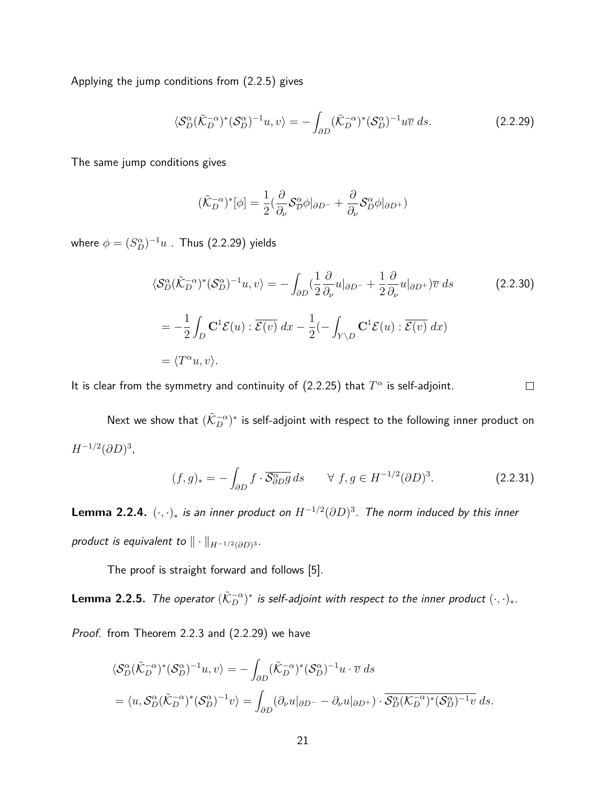Applying the jump conditions from (2.2.5) gives

$$
\langle \mathcal{S}_D^{\alpha} (\tilde{\mathcal{K}}_D^{-\alpha})^* (\mathcal{S}_D^{\alpha})^{-1} u, v \rangle = - \int_{\partial D} (\tilde{\mathcal{K}}_D^{-\alpha})^* (\mathcal{S}_D^{\alpha})^{-1} u \overline{v} \, ds. \tag{2.2.29}
$$

The same jump conditions gives

$$
(\tilde{\mathcal{K}}_D^{-\alpha})^*[\phi] = \frac{1}{2} \left( \frac{\partial}{\partial_{\nu}} \mathcal{S}_D^{\alpha} \phi |_{\partial D^{-}} + \frac{\partial}{\partial_{\nu}} \mathcal{S}_D^{\alpha} \phi |_{\partial D^{+}} \right)
$$

where  $\phi = (S_D^\alpha)^{-1} u$  . Thus (2.2.29) yields

$$
\langle \mathcal{S}_{D}^{\alpha} (\tilde{\mathcal{K}}_{D}^{-\alpha})^{*} (\mathcal{S}_{D}^{\alpha})^{-1} u, v \rangle = - \int_{\partial D} (\frac{1}{2} \frac{\partial}{\partial_{\nu}} u|_{\partial D^{-}} + \frac{1}{2} \frac{\partial}{\partial_{\nu}} u|_{\partial D^{+}}) \overline{v} ds
$$
(2.2.30)  

$$
= -\frac{1}{2} \int_{D} \mathbf{C}^{1} \mathcal{E}(u) : \overline{\mathcal{E}(v)} dx - \frac{1}{2} (- \int_{Y \setminus D} \mathbf{C}^{1} \mathcal{E}(u) : \overline{\mathcal{E}(v)} dx)
$$

$$
= \langle T^{\alpha} u, v \rangle.
$$

It is clear from the symmetry and continuity of  $(2.2.25)$  that  $T^{\alpha}$  is self-adjoint.  $\Box$ 

Next we show that  $(\tilde{\mathcal{K}}_D^{-\alpha})^*$  is self-adjoint with respect to the following inner product on *H*<sup>-1/2</sup>(∂D)<sup>3</sup>,

$$
(f,g)_* = -\int_{\partial D} f \cdot \overline{\mathcal{S}_{\partial D}^{\alpha} g} ds \qquad \forall f, g \in H^{-1/2}(\partial D)^3.
$$
 (2.2.31)

**Lemma 2.2.4.**  $(\cdot, \cdot)_*$  is an inner product on  $H^{-1/2}(\partial D)^3$ . The norm induced by this inner *product is equivalent to*  $\|\cdot\|_{H^{-1/2}(\partial D)^3}.$ 

The proof is straight forward and follows [5].

 ${\sf Lemma~ 2.2.5.}$  The operator  $(\tilde{\mathcal{K}}_D^{-\alpha})^*$  is self-adjoint with respect to the inner product  $(\cdot,\cdot)_*.$ 

Proof. from Theorem 2.2.3 and (2.2.29) we have

$$
\langle \mathcal{S}_D^{\alpha} (\tilde{\mathcal{K}}_D^{-\alpha})^* (\mathcal{S}_D^{\alpha})^{-1} u, v \rangle = - \int_{\partial D} (\tilde{\mathcal{K}}_D^{-\alpha})^* (\mathcal{S}_D^{\alpha})^{-1} u \cdot \overline{v} \, ds
$$
  
=  $\langle u, \mathcal{S}_D^{\alpha} (\tilde{\mathcal{K}}_D^{-\alpha})^* (\mathcal{S}_D^{\alpha})^{-1} v \rangle = \int_{\partial D} (\partial_\nu u|_{\partial D^{-}} - \partial_\nu u|_{\partial D^{+}}) \cdot \overline{\mathcal{S}_D^{\alpha} (\mathcal{K}_D^{-\alpha})^* (\mathcal{S}_D^{\alpha})^{-1} v} \, ds.$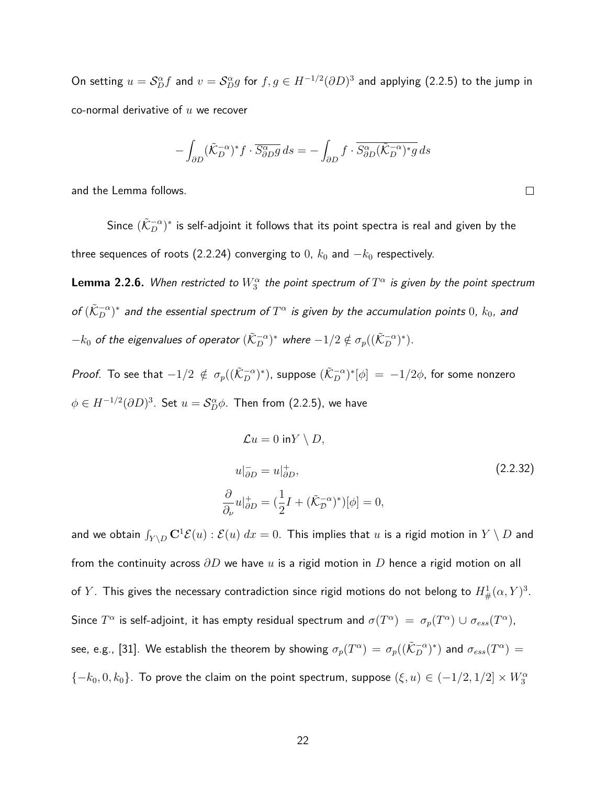On setting  $u=\mathcal{S}_D^\alpha f$  and  $v=\mathcal{S}_D^\alpha g$  for  $f,g\in H^{-1/2}(\partial D)^3$  and applying (2.2.5) to the jump in co-normal derivative of *u* we recover

$$
-\int_{\partial D} (\tilde{\mathcal{K}}_D^{-\alpha})^* f \cdot \overline{S_{\partial D}^{\alpha} g} ds = -\int_{\partial D} f \cdot \overline{S_{\partial D}^{\alpha} (\tilde{\mathcal{K}}_D^{-\alpha})^* g} ds
$$

and the Lemma follows.

Since  $(\tilde{\mathcal{K}}_D^{-\alpha})^*$  is self-adjoint it follows that its point spectra is real and given by the three sequences of roots (2.2.24) converging to 0,  $k_0$  and  $-k_0$  respectively.

 ${\sf Lemma~ 2.2.6.}$  When restricted to  $W^{\alpha}_{3}$  the point spectrum of  $T^{\alpha}$  is given by the point spectrum of  $(\tilde{\cal K}_D^{-\alpha})^*$  and the essential spectrum of  $T^\alpha$  is given by the accumulation points  $0$ ,  $k_0$ , and  $-k_0$  of the eigenvalues of operator  $(\tilde{\cal K}_D^{-\alpha})^*$  where  $-1/2 \notin \sigma_p ((\tilde{\cal K}_D^{-\alpha})^*)$ .

*Proof.* To see that  $-1/2 \notin \sigma_p((\tilde{\mathcal{K}}_D^{-\alpha})^*)$ , suppose  $(\tilde{\mathcal{K}}_D^{-\alpha})^*[\phi] = -1/2\phi$ , for some nonzero  $\phi \in H^{-1/2} (\partial D)^3.$  Set  $u = \mathcal{S}_D^\alpha \phi.$  Then from (2.2.5), we have

$$
\mathcal{L}u = 0 \text{ in } Y \setminus D,
$$
  
\n
$$
u|_{\partial D}^{-} = u|_{\partial D}^{+},
$$
  
\n
$$
\frac{\partial}{\partial \nu}u|_{\partial D}^{+} = (\frac{1}{2}I + (\tilde{\mathcal{K}}_{D}^{-\alpha})^{*})[\phi] = 0,
$$
\n(2.2.32)

and we obtain  $\int_{Y\setminus D}\mathbf{C}^1\mathcal{E}(u): \mathcal{E}(u)\;dx=0.$  This implies that  $u$  is a rigid motion in  $Y\setminus D$  and from the continuity across *∂D* we have *u* is a rigid motion in *D* hence a rigid motion on all of  $Y.$  This gives the necessary contradiction since rigid motions do not belong to  $H^1_{\#}(\alpha,Y)^3.$ Since  $T^\alpha$  is self-adjoint, it has empty residual spectrum and  $\sigma(T^\alpha) = \sigma_p(T^\alpha) \cup \sigma_{ess}(T^\alpha)$ , see, e.g., [31]. We establish the theorem by showing  $\sigma_p(T^\alpha)=\sigma_p((\tilde{\cal K}_D^{-\alpha})^*)$  and  $\sigma_{ess}(T^\alpha)=$  ${-k_0, 0, k_0}$ . To prove the claim on the point spectrum, suppose  $(\xi, u) \in (-1/2, 1/2] \times W_3^{\alpha}$ 

 $\Box$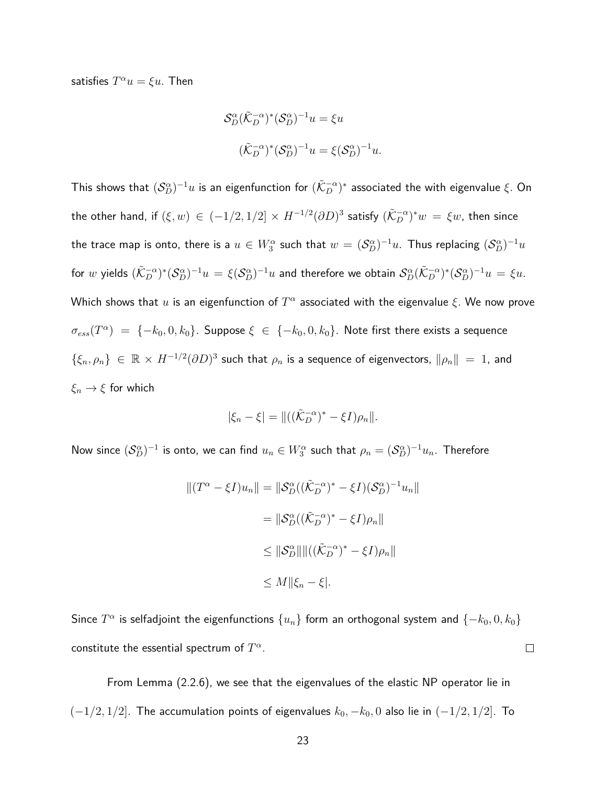satisfies  $T^{\alpha}u = \xi u$ . Then

$$
\mathcal{S}_D^{\alpha}(\tilde{\mathcal{K}}_D^{-\alpha})^*(\mathcal{S}_D^{\alpha})^{-1}u = \xi u
$$
  

$$
(\tilde{\mathcal{K}}_D^{-\alpha})^*(\mathcal{S}_D^{\alpha})^{-1}u = \xi(\mathcal{S}_D^{\alpha})^{-1}u.
$$

This shows that  $(\mathcal{S}_D^\alpha)^{-1}u$  is an eigenfunction for  $(\tilde{\mathcal{K}}_D^{-\alpha})^*$  associated the with eigenvalue  $\xi.$  On the other hand, if  $(\xi,w)\,\in\, (-1/2,1/2]\times H^{-1/2}(\partial D)^3$  satisfy  $(\tilde{\mathcal{K}}_D^{-\alpha})^*w\,=\,\xi w,$  then since the trace map is onto, there is a  $u\in W_3^\alpha$  such that  $w=(\mathcal{S}_D^\alpha)^{-1}u$ . Thus replacing  $(\mathcal{S}_D^\alpha)^{-1}u$ for  $w$  yields  $(\tilde{\mathcal{K}}_D^{-\alpha})^*(\mathcal{S}_D^{\alpha})^{-1}u\,=\,\xi(\mathcal{S}_D^{\alpha})^{-1}u$  and therefore we obtain  $\mathcal{S}_D^{\alpha}(\tilde{\mathcal{K}}_D^{-\alpha})^*(\mathcal{S}_D^{\alpha})^{-1}u\,=\,\xi u.$ Which shows that  $u$  is an eigenfunction of  $T^\alpha$  associated with the eigenvalue  $\xi$ . We now prove  $\sigma_{ess}(T^{\alpha}) \; = \; \{-k_0, 0, k_0\}.$  Suppose  $\xi \; \in \; \{-k_0, 0, k_0\}.$  Note first there exists a sequence  $\{\xi_n, \rho_n\}$   $\in \mathbb{R} \times H^{-1/2} (\partial D)^3$  such that  $\rho_n$  is a sequence of eigenvectors,  $\|\rho_n\| = 1$ , and *ξ<sup>n</sup>* → *ξ* for which

$$
|\xi_n-\xi|=\|((\tilde{\mathcal{K}}_D^{-\alpha})^*-\xi I)\rho_n\|.
$$

Now since  $(\mathcal{S}_D^\alpha)^{-1}$  is onto, we can find  $u_n\in W_3^\alpha$  such that  $\rho_n=(\mathcal{S}_D^\alpha)^{-1}u_n.$  Therefore

$$
||(T^{\alpha} - \xi I)u_n|| = ||\mathcal{S}_D^{\alpha}((\tilde{\mathcal{K}}_D^{-\alpha})^* - \xi I)(\mathcal{S}_D^{\alpha})^{-1}u_n||
$$
  

$$
= ||\mathcal{S}_D^{\alpha}((\tilde{\mathcal{K}}_D^{-\alpha})^* - \xi I)\rho_n||
$$
  

$$
\leq ||\mathcal{S}_D^{\alpha}||||((\tilde{\mathcal{K}}_D^{-\alpha})^* - \xi I)\rho_n||
$$
  

$$
\leq M||\xi_n - \xi|.
$$

Since  $T^\alpha$  is selfadjoint the eigenfunctions  $\{u_n\}$  form an orthogonal system and  $\{-k_0,0,k_0\}$ constitute the essential spectrum of  $T^\alpha.$ 

 $\Box$ 

From Lemma (2.2.6), we see that the eigenvalues of the elastic NP operator lie in (−1*/*2*,* 1*/*2]. The accumulation points of eigenvalues *k*0*,* −*k*0*,* 0 also lie in (−1*/*2*,* 1*/*2]. To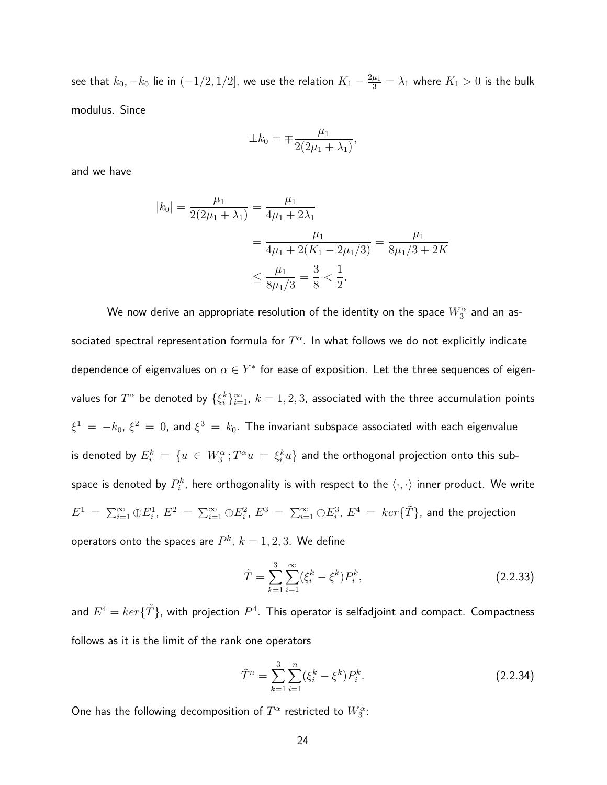see that  $k_0, -k_0$  lie in  $(-1/2, 1/2]$ , we use the relation  $K_1 - \frac{2\mu_1}{3} = \lambda_1$  where  $K_1 > 0$  is the bulk modulus. Since

$$
\pm k_0 = \mp \frac{\mu_1}{2(2\mu_1 + \lambda_1)}
$$

*,*

and we have

$$
|k_0| = \frac{\mu_1}{2(2\mu_1 + \lambda_1)} = \frac{\mu_1}{4\mu_1 + 2\lambda_1}
$$
  
= 
$$
\frac{\mu_1}{4\mu_1 + 2(K_1 - 2\mu_1/3)} = \frac{\mu_1}{8\mu_1/3 + 2K}
$$
  

$$
\leq \frac{\mu_1}{8\mu_1/3} = \frac{3}{8} < \frac{1}{2}.
$$

We now derive an appropriate resolution of the identity on the space  $W^{\alpha}_{3}$  and an associated spectral representation formula for  $T^\alpha.$  In what follows we do not explicitly indicate dependence of eigenvalues on  $\alpha \in Y^*$  for ease of exposition. Let the three sequences of eigenvalues for  $T^{\alpha}$  be denoted by  $\{\xi_i^k\}_{i=1}^{\infty}$ ,  $k=1,2,3$ , associated with the three accumulation points  $\xi^1\,=\,-k_0,\,\xi^2\,=\,0$ , and  $\xi^3\,=\,k_0.$  The invariant subspace associated with each eigenvalue is denoted by  $E_i^k \ = \ \{u \ \in \ W_3^\alpha\, ; T^\alpha u \ = \ \xi_i^k u\}$  and the orthogonal projection onto this subspace is denoted by  $P_i^k$ , here orthogonality is with respect to the  $\langle\cdot,\cdot\rangle$  inner product. We write  $E^1 \ =\ \sum_{i=1}^\infty \oplus E_i^1$ ,  $E^2 \ =\ \sum_{i=1}^\infty \oplus E_i^2$ ,  $E^3 \ =\ \sum_{i=1}^\infty \oplus E_i^3$ ,  $E^4 \ =\ ker\{\tilde{T}\}$ , and the projection operators onto the spaces are  $P^k,\,k=1,2,3.$  We define

$$
\tilde{T} = \sum_{k=1}^{3} \sum_{i=1}^{\infty} (\xi_i^k - \xi^k) P_i^k,
$$
\n(2.2.33)

and  $E^4 = ker\{\tilde{T}\}$ , with projection  $P^4$ . This operator is selfadjoint and compact. Compactness follows as it is the limit of the rank one operators

$$
\tilde{T}^n = \sum_{k=1}^3 \sum_{i=1}^n (\xi_i^k - \xi^k) P_i^k.
$$
\n(2.2.34)

One has the following decomposition of  $T^\alpha$  restricted to  $W^\alpha_3$ :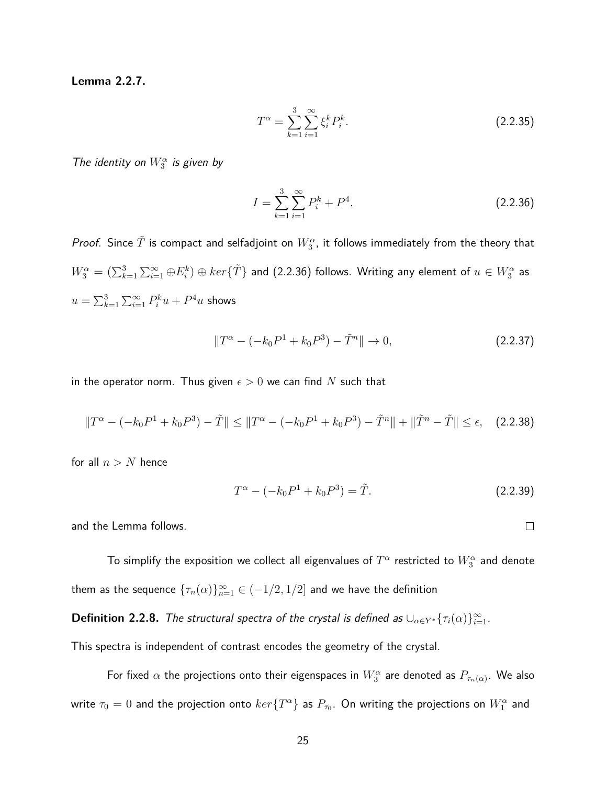**Lemma 2.2.7.**

$$
T^{\alpha} = \sum_{k=1}^{3} \sum_{i=1}^{\infty} \xi_i^k P_i^k.
$$
 (2.2.35)

The identity on  $W_3^{\alpha}$  is given by

$$
I = \sum_{k=1}^{3} \sum_{i=1}^{\infty} P_i^k + P^4.
$$
 (2.2.36)

*Proof.* Since  $\tilde{T}$  is compact and selfadjoint on  $W^{\alpha}_{3}$ , it follows immediately from the theory that  $W^{\alpha}_3=(\sum_{k=1}^3\sum_{i=1}^{\infty}\oplus E^k_i)\oplus ker\{\tilde{T}\}$  and (2.2.36) follows. Writing any element of  $u\in W^{\alpha}_3$  as  $u = \sum_{k=1}^3 \sum_{i=1}^\infty P^k_i u + P^4 u$  shows

$$
||T^{\alpha} - (-k_0 P^1 + k_0 P^3) - \tilde{T}^n|| \to 0,
$$
\n(2.2.37)

in the operator norm. Thus given  $\epsilon > 0$  we can find N such that

$$
||T^{\alpha} - (-k_0 P^1 + k_0 P^3) - \tilde{T}|| \le ||T^{\alpha} - (-k_0 P^1 + k_0 P^3) - \tilde{T}^n|| + ||\tilde{T}^n - \tilde{T}|| \le \epsilon, \quad (2.2.38)
$$

for all  $n > N$  hence

$$
T^{\alpha} - (-k_0 P^1 + k_0 P^3) = \tilde{T}.
$$
 (2.2.39)

and the Lemma follows.

To simplify the exposition we collect all eigenvalues of  $T^\alpha$  restricted to  $W^\alpha_3$  and denote them as the sequence  $\{\tau_n(\alpha)\}_{n=1}^\infty \in (-1/2,1/2]$  and we have the definition

**Definition 2.2.8.** The structural spectra of the crystal is defined as  $\cup_{\alpha \in Y^*} {\{\tau_i(\alpha)\}}_{i=1}^{\infty}$ .

This spectra is independent of contrast encodes the geometry of the crystal.

For fixed  $\alpha$  the projections onto their eigenspaces in  $W^{\alpha}_{3}$  are denoted as  $P_{\tau_n(\alpha)}.$  We also write  $\tau_0=0$  and the projection onto  $ker\{T^\alpha\}$  as  $P_{\tau_0}.$  On writing the projections on  $W^\alpha_1$  and

 $\Box$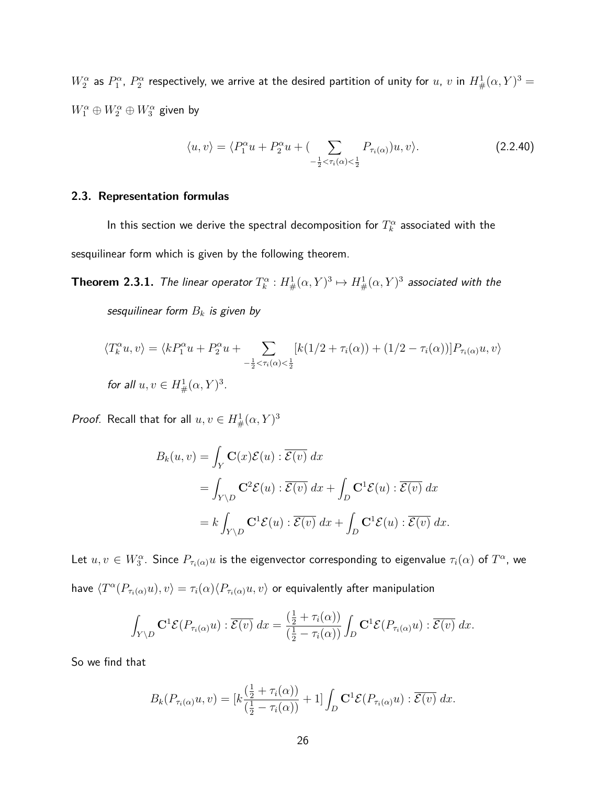$W^\alpha_2$  as  $P^\alpha_1$ ,  $P^\alpha_2$  respectively, we arrive at the desired partition of unity for  $u$ ,  $v$  in  $H^1_\#(\alpha,Y)^3 =$  $W_1^{\alpha} \oplus W_2^{\alpha} \oplus W_3^{\alpha}$  given by

$$
\langle u, v \rangle = \langle P_1^{\alpha} u + P_2^{\alpha} u + \left( \sum_{-\frac{1}{2} < \tau_i(\alpha) < \frac{1}{2}} P_{\tau_i(\alpha)} \right) u, v \rangle. \tag{2.2.40}
$$

### **2.3. Representation formulas**

In this section we derive the spectral decomposition for  $T_k^\alpha$  associated with the sesquilinear form which is given by the following theorem.

**Theorem 2.3.1.** The linear operator  $T_k^{\alpha}: H^1_{\#}(\alpha, Y)^3 \mapsto H^1_{\#}(\alpha, Y)^3$  associated with the sesquilinear form *B<sup>k</sup>* is given by

$$
\langle T_k^{\alpha} u, v \rangle = \langle k P_1^{\alpha} u + P_2^{\alpha} u + \sum_{-\frac{1}{2} < \tau_i(\alpha) < \frac{1}{2}} [k(1/2 + \tau_i(\alpha)) + (1/2 - \tau_i(\alpha))] P_{\tau_i(\alpha)} u, v \rangle
$$
\nfor all  $u, v \in H^1_{\#}(\alpha, Y)^3$ .

*Proof.* Recall that for all  $u, v \in H^1_\#(\alpha, Y)^3$ 

$$
B_k(u, v) = \int_Y \mathbf{C}(x)\mathcal{E}(u) : \overline{\mathcal{E}(v)} dx
$$
  
= 
$$
\int_{Y \setminus D} \mathbf{C}^2 \mathcal{E}(u) : \overline{\mathcal{E}(v)} dx + \int_D \mathbf{C}^1 \mathcal{E}(u) : \overline{\mathcal{E}(v)} dx
$$
  
= 
$$
k \int_{Y \setminus D} \mathbf{C}^1 \mathcal{E}(u) : \overline{\mathcal{E}(v)} dx + \int_D \mathbf{C}^1 \mathcal{E}(u) : \overline{\mathcal{E}(v)} dx.
$$

Let  $u, v \in W_3^\alpha$ . Since  $P_{\tau_i(\alpha)}u$  is the eigenvector corresponding to eigenvalue  $\tau_i(\alpha)$  of  $T^\alpha$ , we have  $\langle T^\alpha(P_{\tau_i(\alpha)}u),v\rangle=\tau_i(\alpha)\langle P_{\tau_i(\alpha)}u,v\rangle$  or equivalently after manipulation

$$
\int_{Y\setminus D} \mathbf{C}^1 \mathcal{E}(P_{\tau_i(\alpha)} u) : \overline{\mathcal{E}(v)} dx = \frac{\left(\frac{1}{2} + \tau_i(\alpha)\right)}{\left(\frac{1}{2} - \tau_i(\alpha)\right)} \int_D \mathbf{C}^1 \mathcal{E}(P_{\tau_i(\alpha)} u) : \overline{\mathcal{E}(v)} dx.
$$

So we find that

$$
B_k(P_{\tau_i(\alpha)}u,v) = [k\frac{(\frac{1}{2}+\tau_i(\alpha))}{(\frac{1}{2}-\tau_i(\alpha))}+1] \int_D \mathbf{C}^1 \mathcal{E}(P_{\tau_i(\alpha)}u) : \overline{\mathcal{E}(v)} dx.
$$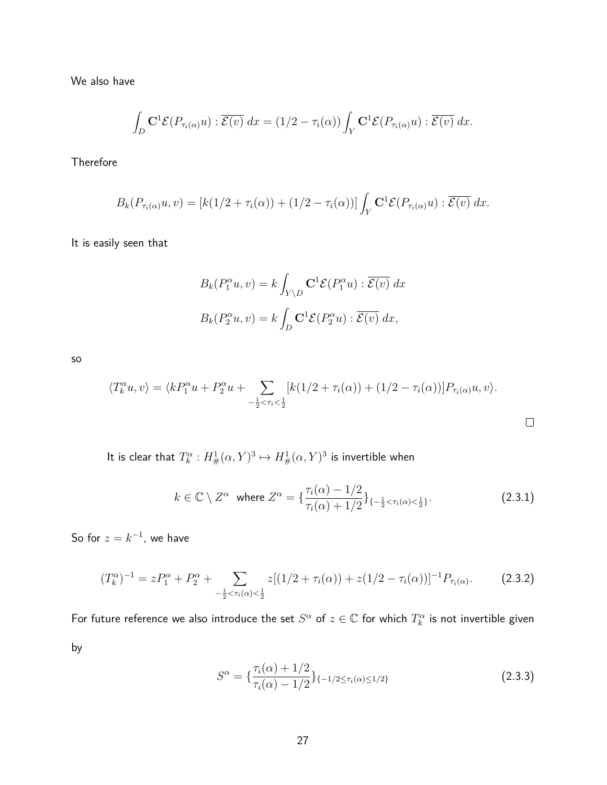We also have

$$
\int_D \mathbf{C}^1 \mathcal{E}(P_{\tau_i(\alpha)} u) : \overline{\mathcal{E}(v)} dx = (1/2 - \tau_i(\alpha)) \int_Y \mathbf{C}^1 \mathcal{E}(P_{\tau_i(\alpha)} u) : \overline{\mathcal{E}(v)} dx.
$$

Therefore

$$
B_k(P_{\tau_i(\alpha)}u,v)=[k(1/2+\tau_i(\alpha))+(1/2-\tau_i(\alpha))]\int_Y \mathbf{C}^1\mathcal{E}(P_{\tau_i(\alpha)}u):\overline{\mathcal{E}(v)} dx.
$$

It is easily seen that

$$
B_k(P_1^{\alpha}u, v) = k \int_{Y \setminus D} \mathbf{C}^1 \mathcal{E}(P_1^{\alpha}u) : \overline{\mathcal{E}(v)} dx
$$
  

$$
B_k(P_2^{\alpha}u, v) = k \int_D \mathbf{C}^1 \mathcal{E}(P_2^{\alpha}u) : \overline{\mathcal{E}(v)} dx,
$$

so

$$
\langle T_k^{\alpha} u, v \rangle = \langle k P_1^{\alpha} u + P_2^{\alpha} u + \sum_{-\frac{1}{2} < \tau_i < \frac{1}{2}} [k(1/2 + \tau_i(\alpha)) + (1/2 - \tau_i(\alpha))] P_{\tau_i(\alpha)} u, v \rangle.
$$

It is clear that  $T^{\alpha}_{k}: H^{1}_{\#}(\alpha,Y)^3 \mapsto H^{1}_{\#}(\alpha,Y)^3$  is invertible when

$$
k \in \mathbb{C} \setminus Z^{\alpha} \text{ where } Z^{\alpha} = {\tau_i(\alpha) - 1/2 \choose \tau_i(\alpha) + 1/2} \}_{\{-\frac{1}{2} < \tau_i(\alpha) < \frac{1}{2}\}}.
$$
\n(2.3.1)

So for  $z = k^{-1}$ , we have

$$
(T_k^{\alpha})^{-1} = zP_1^{\alpha} + P_2^{\alpha} + \sum_{-\frac{1}{2} < \tau_i(\alpha) < \frac{1}{2}} z[(1/2 + \tau_i(\alpha)) + z(1/2 - \tau_i(\alpha))]^{-1} P_{\tau_i(\alpha)}.\tag{2.3.2}
$$

For future reference we also introduce the set  $S^\alpha$  of  $z\in\mathbb{C}$  for which  $T^\alpha_k$  is not invertible given by

$$
S^{\alpha} = \left\{ \frac{\tau_i(\alpha) + 1/2}{\tau_i(\alpha) - 1/2} \right\}_{\{-1/2 \le \tau_i(\alpha) \le 1/2\}}
$$
(2.3.3)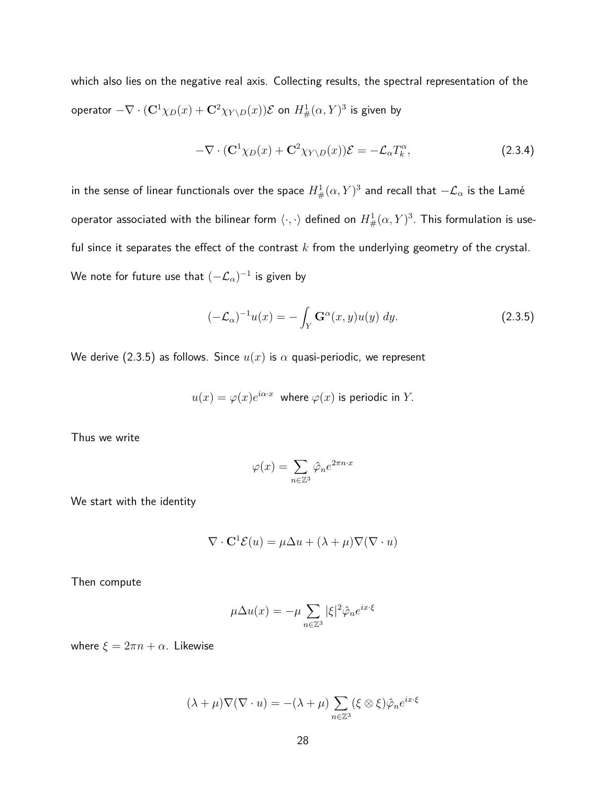which also lies on the negative real axis. Collecting results, the spectral representation of the  $\mathsf{operator} - \nabla \cdot (\mathbf{C}^1 \chi_D(x) + \mathbf{C}^2 \chi_{Y \setminus D}(x)) \mathcal{E}$  on  $H^1_{\#}(\alpha, Y)^3$  is given by

$$
-\nabla \cdot (\mathbf{C}^1 \chi_D(x) + \mathbf{C}^2 \chi_{Y \setminus D}(x)) \mathcal{E} = -\mathcal{L}_\alpha T_k^\alpha, \tag{2.3.4}
$$

in the sense of linear functionals over the space  $H^1_{\#}(\alpha,Y)^3$  and recall that  $-\mathcal{L}_{\alpha}$  is the Lamé  $\mathsf{operator}$  associated with the bilinear form  $\langle\cdot,\cdot\rangle$  defined on  $H^1_\#(\alpha,Y)^3.$  This formulation is useful since it separates the effect of the contrast *k* from the underlying geometry of the crystal. We note for future use that  $(-\mathcal{L}_\alpha)^{-1}$  is given by

$$
(-\mathcal{L}_{\alpha})^{-1}u(x) = -\int_{Y} \mathbf{G}^{\alpha}(x, y)u(y) dy.
$$
 (2.3.5)

We derive (2.3.5) as follows. Since  $u(x)$  is  $\alpha$  quasi-periodic, we represent

$$
u(x) = \varphi(x)e^{i\alpha \cdot x}
$$
 where  $\varphi(x)$  is periodic in Y.

Thus we write

$$
\varphi(x) = \sum_{n \in \mathbb{Z}^3} \hat{\varphi}_n e^{2\pi n \cdot x}
$$

We start with the identity

$$
\nabla \cdot \mathbf{C}^1 \mathcal{E}(u) = \mu \Delta u + (\lambda + \mu) \nabla (\nabla \cdot u)
$$

Then compute

$$
\mu \Delta u(x) = -\mu \sum_{n \in \mathbb{Z}^3} |\xi|^2 \hat{\varphi}_n e^{ix \cdot \xi}
$$

where  $\xi = 2\pi n + \alpha$ . Likewise

$$
(\lambda + \mu)\nabla(\nabla \cdot u) = -(\lambda + \mu) \sum_{n \in \mathbb{Z}^3} (\xi \otimes \xi) \hat{\varphi}_n e^{ix \cdot \xi}
$$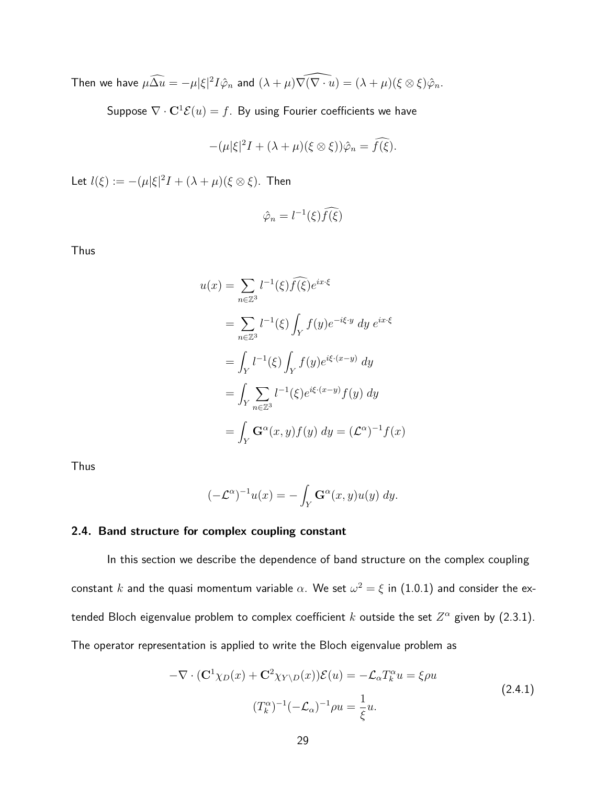Then we have  $\mu \widehat{\Delta u} = -\mu |\xi|^2 I \hat{\varphi}_n$  and  $(\lambda + \mu) \widehat{\nabla (\nabla \cdot u)} = (\lambda + \mu) (\xi \otimes \xi) \hat{\varphi}_n$ .

Suppose  $\nabla \cdot \mathbf{C}^1 \mathcal{E}(u) = f$ . By using Fourier coefficients we have

$$
-(\mu|\xi|^2I+(\lambda+\mu)(\xi\otimes\xi))\hat{\varphi}_n=\widehat{f(\xi)}.
$$

Let  $l(\xi) := -(\mu |\xi|^2 I + (\lambda + \mu)(\xi \otimes \xi)$ . Then

$$
\hat{\varphi}_n = l^{-1}(\xi) \widehat{f(\xi)}
$$

Thus

$$
u(x) = \sum_{n \in \mathbb{Z}^3} l^{-1}(\xi) \widehat{f(\xi)} e^{ix\cdot\xi}
$$
  
\n
$$
= \sum_{n \in \mathbb{Z}^3} l^{-1}(\xi) \int_Y f(y) e^{-i\xi \cdot y} dy e^{ix\cdot\xi}
$$
  
\n
$$
= \int_Y l^{-1}(\xi) \int_Y f(y) e^{i\xi \cdot (x-y)} dy
$$
  
\n
$$
= \int_Y \sum_{n \in \mathbb{Z}^3} l^{-1}(\xi) e^{i\xi \cdot (x-y)} f(y) dy
$$
  
\n
$$
= \int_Y \mathbf{G}^{\alpha}(x, y) f(y) dy = (\mathcal{L}^{\alpha})^{-1} f(x)
$$

Thus

$$
(-\mathcal{L}^{\alpha})^{-1}u(x) = -\int_{Y} \mathbf{G}^{\alpha}(x, y)u(y) dy.
$$

### **2.4. Band structure for complex coupling constant**

In this section we describe the dependence of band structure on the complex coupling  $\epsilon$ constant  $k$  and the quasi momentum variable  $\alpha.$  We set  $\omega^2=\xi$  in  $(1.0.1)$  and consider the extended Bloch eigenvalue problem to complex coefficient  $k$  outside the set  $Z^\alpha$  given by (2.3.1). The operator representation is applied to write the Bloch eigenvalue problem as

$$
-\nabla \cdot (\mathbf{C}^1 \chi_D(x) + \mathbf{C}^2 \chi_{Y \setminus D}(x)) \mathcal{E}(u) = -\mathcal{L}_{\alpha} T_k^{\alpha} u = \xi \rho u
$$
  
(2.4.1)  

$$
(T_k^{\alpha})^{-1} (-\mathcal{L}_{\alpha})^{-1} \rho u = \frac{1}{\xi} u.
$$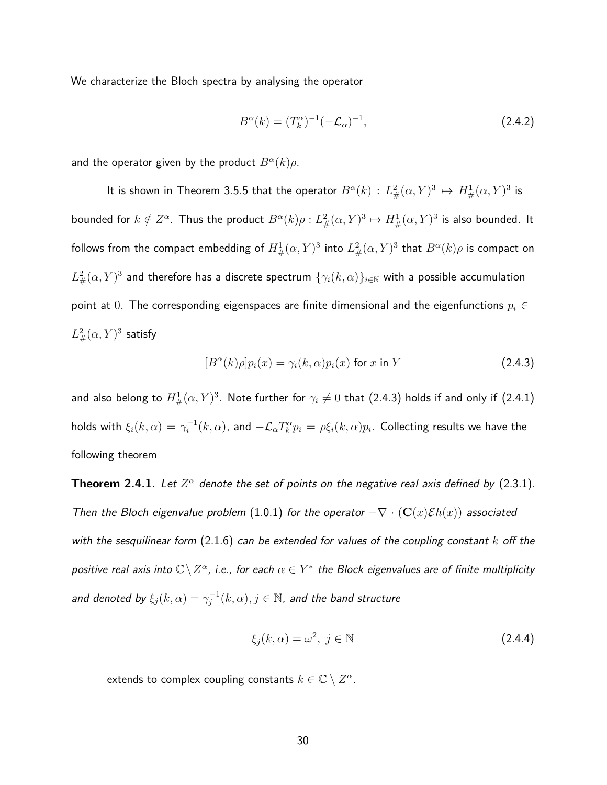We characterize the Bloch spectra by analysing the operator

$$
B^{\alpha}(k) = (T_k^{\alpha})^{-1}(-\mathcal{L}_{\alpha})^{-1},
$$
\n(2.4.2)

and the operator given by the product  $B^{\alpha}(k)\rho$ .

It is shown in Theorem 3.5.5 that the operator  $B^{\alpha}(k): L^2_{\#}(\alpha, Y)^3 \mapsto H^1_{\#}(\alpha, Y)^3$  is bounded for  $k \notin Z^\alpha$ . Thus the product  $B^\alpha (k) \rho: L^2_\#(\alpha, Y)^3 \mapsto H^1_\#(\alpha, Y)^3$  is also bounded. It follows from the compact embedding of  $H^1_{\#}(\alpha,Y)^3$  into  $L^2_{\#}(\alpha,Y)^3$  that  $B^\alpha(k)\rho$  is compact on  $L^2_\#(\alpha,Y)^3$  and therefore has a discrete spectrum  $\{\gamma_i(k,\alpha)\}_{i\in\mathbb{N}}$  with a possible accumulation point at 0. The corresponding eigenspaces are finite dimensional and the eigenfunctions *p<sup>i</sup>* ∈  $L^2_{\#}(\alpha, Y)^3$  satisfy

$$
[B^{\alpha}(k)\rho]p_i(x) = \gamma_i(k,\alpha)p_i(x) \text{ for } x \text{ in } Y \tag{2.4.3}
$$

and also belong to  $H^1_{\#}(\alpha, Y)^3$ . Note further for  $\gamma_i \neq 0$  that (2.4.3) holds if and only if (2.4.1) holds with  $\xi_i(k,\alpha)=\gamma_i^{-1}(k,\alpha)$ , and  $-\mathcal{L}_\alpha T_k^\alpha p_i=\rho \xi_i(k,\alpha) p_i.$  Collecting results we have the following theorem

**Theorem 2.4.1.** Let  $Z^{\alpha}$  denote the set of points on the negative real axis defined by (2.3.1). Then the Bloch eigenvalue problem (1.0.1) for the operator  $-\nabla \cdot (\mathbf{C}(x)\mathcal{E}h(x))$  associated with the sesquilinear form (2.1.6) can be extended for values of the coupling constant *k* off the positive real axis into  $\mathbb{C}\setminus Z^{\alpha}$ , i.e., for each  $\alpha\in Y^*$  the Block eigenvalues are of finite multiplicity and denoted by  $\xi_j(k,\alpha)=\gamma_j^{-1}(k,\alpha), j\in\mathbb{N}$ , and the band structure

$$
\xi_j(k,\alpha) = \omega^2, \ j \in \mathbb{N} \tag{2.4.4}
$$

extends to complex coupling constants  $k \in \mathbb{C} \setminus Z^{\alpha}$ .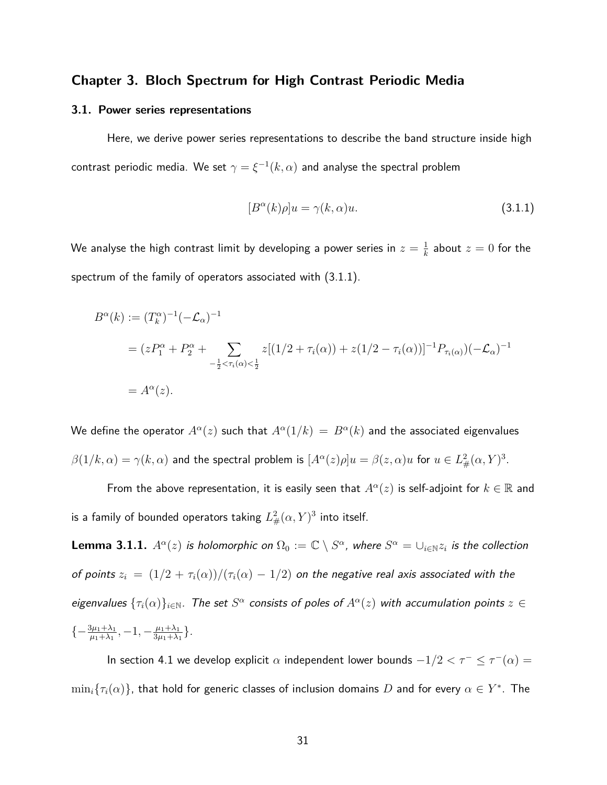### **Chapter 3. Bloch Spectrum for High Contrast Periodic Media**

#### **3.1. Power series representations**

Here, we derive power series representations to describe the band structure inside high  $\textsf{contrast}$  periodic media. We set  $\gamma = \xi^{-1}(k, \alpha)$  and analyse the spectral problem

$$
[B^{\alpha}(k)\rho]u = \gamma(k,\alpha)u.
$$
\n(3.1.1)

We analyse the high contrast limit by developing a power series in  $z=\frac{1}{k}$  $\frac{1}{k}$  about  $z=0$  for the spectrum of the family of operators associated with (3.1.1).

$$
B^{\alpha}(k) := (T_k^{\alpha})^{-1}(-\mathcal{L}_{\alpha})^{-1}
$$
  
=  $(zP_1^{\alpha} + P_2^{\alpha} + \sum_{-\frac{1}{2} < \tau_i(\alpha) < \frac{1}{2}} z[(1/2 + \tau_i(\alpha)) + z(1/2 - \tau_i(\alpha))]^{-1}P_{\tau_i(\alpha)}(-\mathcal{L}_{\alpha})^{-1}$   
=  $A^{\alpha}(z)$ .

We define the operator  $A^\alpha(z)$  such that  $A^\alpha(1/k) \,=\, B^\alpha(k)$  and the associated eigenvalues  $\beta(1/k, \alpha) = \gamma(k, \alpha)$  and the spectral problem is  $[A^{\alpha}(z) \rho] u = \beta(z, \alpha) u$  for  $u \in L^2_\#(\alpha, Y)^3.$ 

From the above representation, it is easily seen that  $A^\alpha(z)$  is self-adjoint for  $k\in\mathbb{R}$  and is a family of bounded operators taking  $L^2_{\#}(\alpha,Y)^3$  into itself.

**Lemma 3.1.1.**  $A^\alpha(z)$  is holomorphic on  $\Omega_0:=\mathbb{C}\setminus S^\alpha$ , where  $S^\alpha=\cup_{i\in\mathbb{N}}z_i$  is the collection of points  $z_i = (1/2 + \tau_i(\alpha))/( \tau_i(\alpha) - 1/2)$  on the negative real axis associated with the eigenvalues  $\{\tau_i(\alpha)\}_{i\in\mathbb{N}}$ . The set  $S^\alpha$  consists of poles of  $A^\alpha(z)$  with accumulation points  $z\in$  $\{-\frac{3\mu_1 + \lambda_1}{\mu_1 + \lambda_1}, -1, -\frac{\mu_1 + \lambda_1}{3\mu_1 + \lambda_1}\}$  $rac{\mu_1 + \lambda_1}{3\mu_1 + \lambda_1}$ .

In section 4.1 we develop explicit  $\alpha$  independent lower bounds  $-1/2 < \tau^- \leq \tau^-(\alpha) = 1/2$  $\min_i\{\tau_i(\alpha)\}$ , that hold for generic classes of inclusion domains  $D$  and for every  $\alpha\in Y^*.$  The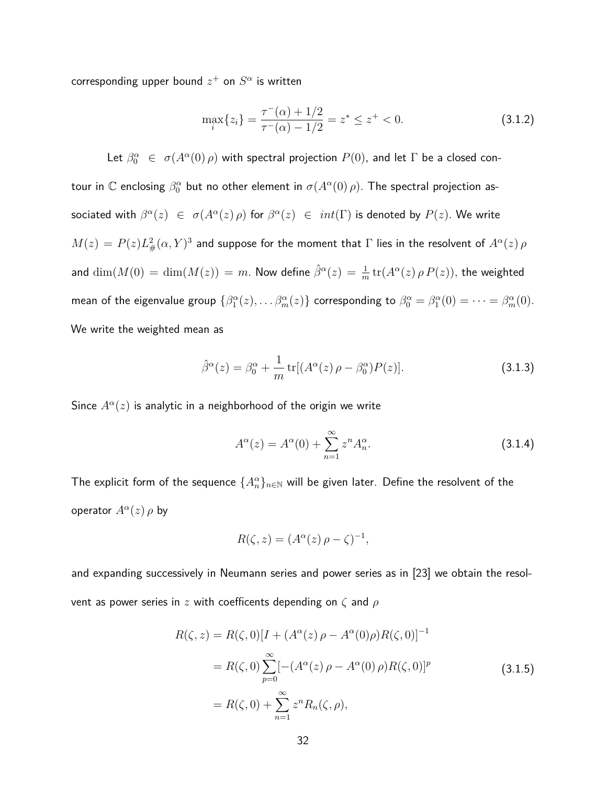$\mathsf{corresponding}$  upper bound  $z^+$  on  $S^\alpha$  is written

$$
\max_{i}\{z_{i}\} = \frac{\tau^{-}(\alpha) + 1/2}{\tau^{-}(\alpha) - 1/2} = z^{*} \leq z^{+} < 0.
$$
\n(3.1.2)

Let  $\beta_0^{\alpha}$   $\in$   $\sigma(A^{\alpha}(0) \rho)$  with spectral projection  $P(0)$ , and let  $\Gamma$  be a closed contour in  $\mathbb C$  enclosing  $\beta_0^\alpha$  but no other element in  $\sigma(A^\alpha(0)\,\rho).$  The spectral projection associated with  $\beta^{\alpha}(z) \in \sigma(A^{\alpha}(z) \rho)$  for  $\beta^{\alpha}(z) \in int(\Gamma)$  is denoted by  $P(z)$ . We write  $M(z)=P(z)L_{\#}^2(\alpha,Y)^3$  and suppose for the moment that  $\Gamma$  lies in the resolvent of  $A^\alpha(z)\,\rho$ and  $\dim(M(0) = \dim(M(z)) = m$ . Now define  $\hat{\beta}^{\alpha}(z) = \frac{1}{m} \operatorname{tr}(A^{\alpha}(z) \, \rho \, P(z)),$  the weighted mean of the eigenvalue group  $\{\beta_1^\alpha(z),\ldots\beta_m^\alpha(z)\}$  corresponding to  $\beta_0^\alpha=\beta_1^\alpha(0)=\cdots=\beta_m^\alpha(0).$ We write the weighted mean as

$$
\hat{\beta}^{\alpha}(z) = \beta_0^{\alpha} + \frac{1}{m} \operatorname{tr}[(A^{\alpha}(z) \rho - \beta_0^{\alpha}) P(z)]. \tag{3.1.3}
$$

Since  $A^{\alpha}(z)$  is analytic in a neighborhood of the origin we write

$$
A^{\alpha}(z) = A^{\alpha}(0) + \sum_{n=1}^{\infty} z^n A_n^{\alpha}.
$$
 (3.1.4)

The explicit form of the sequence  $\{A_{n}^{\alpha}\}_{n\in\mathbb{N}}$  will be given later. Define the resolvent of the  $\mathsf{operator}~A^\alpha(z) \, \rho \, \mathsf{by}$ 

$$
R(\zeta, z) = (A^{\alpha}(z) \rho - \zeta)^{-1},
$$

and expanding successively in Neumann series and power series as in [23] we obtain the resolvent as power series in *z* with coefficents depending on *ζ* and *ρ*

$$
R(\zeta, z) = R(\zeta, 0)[I + (A^{\alpha}(z) \rho - A^{\alpha}(0)\rho)R(\zeta, 0)]^{-1}
$$
  
=  $R(\zeta, 0) \sum_{p=0}^{\infty} [-(A^{\alpha}(z) \rho - A^{\alpha}(0) \rho)R(\zeta, 0)]^{p}$  (3.1.5)  
=  $R(\zeta, 0) + \sum_{n=1}^{\infty} z^{n} R_{n}(\zeta, \rho),$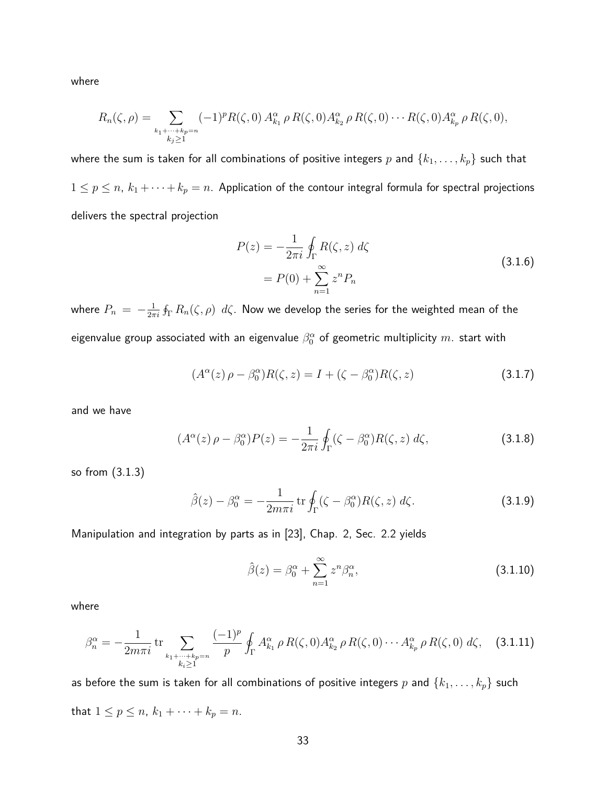where

$$
R_n(\zeta,\rho) = \sum_{\substack{k_1+\cdots+k_p=n\\k_j\geq 1}} (-1)^p R(\zeta,0) A_{k_1}^{\alpha} \rho R(\zeta,0) A_{k_2}^{\alpha} \rho R(\zeta,0) \cdots R(\zeta,0) A_{k_p}^{\alpha} \rho R(\zeta,0),
$$

where the sum is taken for all combinations of positive integers  $p$  and  $\{k_1, \ldots, k_p\}$  such that  $1 \leq p \leq n$ ,  $k_1 + \cdots + k_p = n$ . Application of the contour integral formula for spectral projections delivers the spectral projection

$$
P(z) = -\frac{1}{2\pi i} \oint_{\Gamma} R(\zeta, z) d\zeta
$$
  
= 
$$
P(0) + \sum_{n=1}^{\infty} z^n P_n
$$
 (3.1.6)

where  $P_n = -\frac{1}{2\pi}$  $\frac{1}{2\pi i}\oint_{\Gamma}R_n(\zeta,\rho)\,\,d\zeta.$  Now we develop the series for the weighted mean of the eigenvalue group associated with an eigenvalue  $\beta^{\alpha}_{0}$  of geometric multiplicity  $m_{\cdot}$  start with

$$
(A^{\alpha}(z)\,\rho - \beta_0^{\alpha})R(\zeta, z) = I + (\zeta - \beta_0^{\alpha})R(\zeta, z)
$$
\n(3.1.7)

and we have

$$
(A^{\alpha}(z)\,\rho - \beta_0^{\alpha})P(z) = -\frac{1}{2\pi i}\oint_{\Gamma} (\zeta - \beta_0^{\alpha})R(\zeta, z)\,d\zeta,\tag{3.1.8}
$$

so from (3.1.3)

$$
\hat{\beta}(z) - \beta_0^{\alpha} = -\frac{1}{2m\pi i} \operatorname{tr} \oint_{\Gamma} (\zeta - \beta_0^{\alpha}) R(\zeta, z) d\zeta.
$$
 (3.1.9)

Manipulation and integration by parts as in [23], Chap. 2, Sec. 2.2 yields

$$
\hat{\beta}(z) = \beta_0^{\alpha} + \sum_{n=1}^{\infty} z^n \beta_n^{\alpha},\tag{3.1.10}
$$

where

$$
\beta_n^{\alpha} = -\frac{1}{2m\pi i} \operatorname{tr} \sum_{\substack{k_1 + \dots + k_p = n \\ k_i \ge 1}} \frac{(-1)^p}{p} \oint_{\Gamma} A_{k_1}^{\alpha} \rho R(\zeta, 0) A_{k_2}^{\alpha} \rho R(\zeta, 0) \cdots A_{k_p}^{\alpha} \rho R(\zeta, 0) d\zeta, \quad (3.1.11)
$$

as before the sum is taken for all combinations of positive integers  $p$  and  $\{k_1, \ldots, k_p\}$  such that  $1 \le p \le n$ ,  $k_1 + \cdots + k_p = n$ .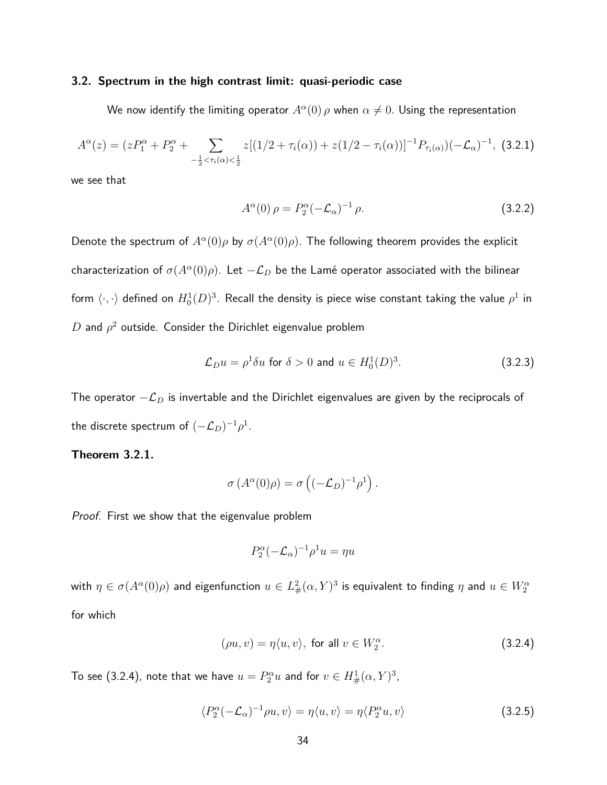#### **3.2. Spectrum in the high contrast limit: quasi-periodic case**

We now identify the limiting operator  $A^\alpha(0) \, \rho$  when  $\alpha \neq 0.$  Using the representation

$$
A^{\alpha}(z) = (zP_1^{\alpha} + P_2^{\alpha} + \sum_{-\frac{1}{2} < \tau_i(\alpha) < \frac{1}{2}} z[(1/2 + \tau_i(\alpha)) + z(1/2 - \tau_i(\alpha))]^{-1} P_{\tau_i(\alpha)} ( -\mathcal{L}_{\alpha})^{-1}, \tag{3.2.1}
$$

we see that

$$
A^{\alpha}(0)\,\rho = P_2^{\alpha}(-\mathcal{L}_{\alpha})^{-1}\,\rho. \tag{3.2.2}
$$

Denote the spectrum of  $A^{\alpha}(0)\rho$  by  $\sigma(A^{\alpha}(0)\rho)$ . The following theorem provides the explicit characterization of  $\sigma(A^\alpha(0)\rho)$ . Let  $-\mathcal{L}_D$  be the Lamé operator associated with the bilinear form  $\langle\cdot,\cdot\rangle$  defined on  $H^1_0(D)^3.$  Recall the density is piece wise constant taking the value  $\rho^1$  in  $D$  and  $\rho^2$  outside. Consider the Dirichlet eigenvalue problem

$$
\mathcal{L}_D u = \rho^1 \delta u \text{ for } \delta > 0 \text{ and } u \in H_0^1(D)^3. \tag{3.2.3}
$$

The operator −L*<sup>D</sup>* is invertable and the Dirichlet eigenvalues are given by the reciprocals of the discrete spectrum of  $(-\mathcal{L}_D)^{-1}\rho^1.$ 

#### **Theorem 3.2.1.**

$$
\sigma(A^{\alpha}(0)\rho) = \sigma\left((-\mathcal{L}_D)^{-1}\rho^1\right).
$$

Proof. First we show that the eigenvalue problem

$$
P_2^{\alpha}(-\mathcal{L}_{\alpha})^{-1}\rho^1 u = \eta u
$$

with  $\eta\in\sigma(A^\alpha(0)\rho)$  and eigenfunction  $u\in L^2_\#(\alpha,Y)^3$  is equivalent to finding  $\eta$  and  $u\in W^\alpha_2$ for which

$$
(\rho u, v) = \eta \langle u, v \rangle, \text{ for all } v \in W_2^{\alpha}.
$$
 (3.2.4)

To see (3.2.4), note that we have  $u = P_2^{\alpha} u$  and for  $v \in H^1_{\#}(\alpha, Y)^3$ ,

$$
\langle P_2^{\alpha}(-\mathcal{L}_{\alpha})^{-1}\rho u, v\rangle = \eta \langle u, v\rangle = \eta \langle P_2^{\alpha}u, v\rangle \tag{3.2.5}
$$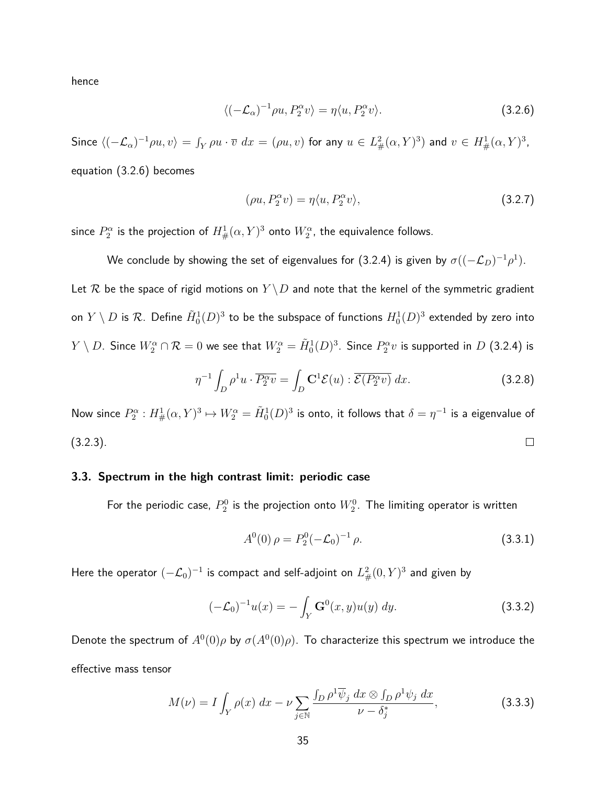hence

$$
\langle (-\mathcal{L}_{\alpha})^{-1} \rho u, P_2^{\alpha} v \rangle = \eta \langle u, P_2^{\alpha} v \rangle. \tag{3.2.6}
$$

 $\textsf{Since } \langle (-\mathcal{L}_\alpha)^{-1} \rho u, v \rangle = \int_Y \rho u \cdot \overline{v} \,\, dx = (\rho u, v) \text{ for any } u \in L^2_\#(\alpha, Y)^3) \text{ and } v \in H^1_\#(\alpha, Y)^3,$ equation (3.2.6) becomes

$$
(\rho u, P_2^{\alpha} v) = \eta \langle u, P_2^{\alpha} v \rangle,
$$
\n(3.2.7)

since  $P_2^\alpha$  is the projection of  $H^1_{\#}(\alpha,Y)^3$  onto  $W_2^\alpha$ , the equivalence follows.

We conclude by showing the set of eigenvalues for (3.2.4) is given by  $\sigma((-\mathcal{L}_D)^{-1}\rho^1).$ 

Let R be the space of rigid motions on  $Y \backslash D$  and note that the kernel of the symmetric gradient on  $Y\setminus D$  is  ${\mathcal R}.$  Define  $\tilde H_0^1(D)^3$  to be the subspace of functions  $H_0^1(D)^3$  extended by zero into  $Y\setminus D.$  Since  $W^\alpha_2\cap \mathcal{R}=0$  we see that  $W^\alpha_2=\tilde H_0^1(D)^3.$  Since  $P^\alpha_2v$  is supported in  $D$  (3.2.4) is

$$
\eta^{-1} \int_D \rho^1 u \cdot \overline{P_2^{\alpha} v} = \int_D \mathbf{C}^1 \mathcal{E}(u) : \overline{\mathcal{E}(P_2^{\alpha} v)} dx.
$$
 (3.2.8)

Now since  $P_2^\alpha:H^1_{\#}(\alpha,Y)^3\mapsto W_2^\alpha=\tilde{H}^1_0(D)^3$  is onto, it follows that  $\delta=\eta^{-1}$  is a eigenvalue of (3.2.3).  $\Box$ 

#### **3.3. Spectrum in the high contrast limit: periodic case**

For the periodic case,  $P^0_2$  is the projection onto  $W^0_2.$  The limiting operator is written

$$
A^{0}(0)\,\rho = P_{2}^{0}(-\mathcal{L}_{0})^{-1}\,\rho. \tag{3.3.1}
$$

Here the operator  $(-\mathcal{L}_0)^{-1}$  is compact and self-adjoint on  $L^2_{\#}(0,Y)^3$  and given by

$$
(-\mathcal{L}_0)^{-1}u(x) = -\int_Y \mathbf{G}^0(x, y)u(y) \, dy. \tag{3.3.2}
$$

Denote the spectrum of  $A^0(0)\rho$  by  $\sigma(A^0(0)\rho).$  To characterize this spectrum we introduce the effective mass tensor

$$
M(\nu) = I \int_Y \rho(x) dx - \nu \sum_{j \in \mathbb{N}} \frac{\int_D \rho^1 \overline{\psi}_j dx \otimes \int_D \rho^1 \psi_j dx}{\nu - \delta_j^*},
$$
(3.3.3)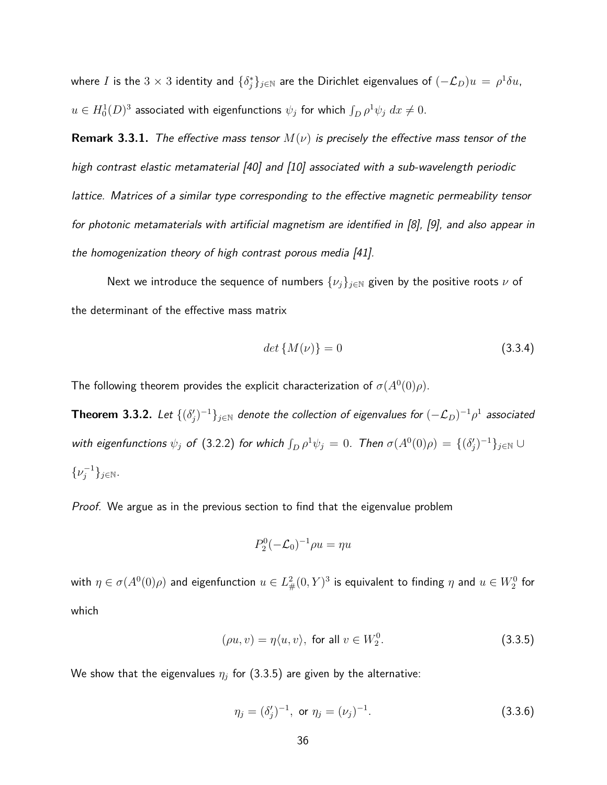where  $I$  is the  $3\times 3$  identity and  $\{\delta_j^*\}_{j\in\mathbb{N}}$  are the Dirichlet eigenvalues of  $(-\mathcal{L}_D)u\,=\,\rho^1\delta u$ ,  $u \in H^1_0(D)^3$  associated with eigenfunctions  $\psi_j$  for which  $\int_D \rho^1 \psi_j \ dx \neq 0.$ 

**Remark 3.3.1.** The effective mass tensor  $M(\nu)$  is precisely the effective mass tensor of the high contrast elastic metamaterial [40] and [10] associated with a sub-wavelength periodic lattice. Matrices of a similar type corresponding to the effective magnetic permeability tensor for photonic metamaterials with artificial magnetism are identified in [8], [9], and also appear in the homogenization theory of high contrast porous media [41].

Next we introduce the sequence of numbers  $\{\nu_j\}_{j\in\mathbb{N}}$  given by the positive roots  $\nu$  of the determinant of the effective mass matrix

$$
det\{M(\nu)\} = 0\tag{3.3.4}
$$

The following theorem provides the explicit characterization of  $\sigma(A^0(0)\rho)$ .

**Theorem 3.3.2.** Let  $\{(\delta_j')^{-1}\}_{j\in\mathbb{N}}$  denote the collection of eigenvalues for  $(-\mathcal{L}_D)^{-1}\rho^1$  associated with eigenfunctions  $\psi_j$  of (3.2.2) for which  $\int_D \rho^1 \psi_j = 0$ . Then  $\sigma(A^0(0)\rho) = \{(\delta_j')^{-1}\}_{j\in\mathbb{N}}\cup$  $\{\nu_j^{-1}\}_{j\in\mathbb{N}}$ .

Proof. We argue as in the previous section to find that the eigenvalue problem

$$
P_2^0(-\mathcal{L}_0)^{-1}\rho u=\eta u
$$

with  $\eta\in\sigma(A^0(0)\rho)$  and eigenfunction  $u\in L^2_\#(0,Y)^3$  is equivalent to finding  $\eta$  and  $u\in W^0_2$  for which

$$
(\rho u, v) = \eta \langle u, v \rangle, \text{ for all } v \in W_2^0.
$$
 (3.3.5)

We show that the eigenvalues  $\eta_j$  for  $(3.3.5)$  are given by the alternative:

$$
\eta_j = (\delta'_j)^{-1}, \text{ or } \eta_j = (\nu_j)^{-1}.
$$
 (3.3.6)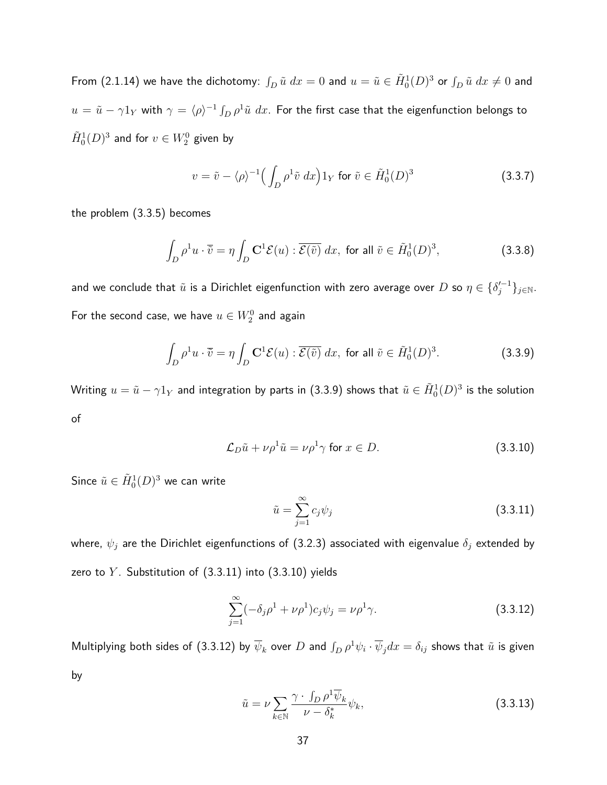From (2.1.14) we have the dichotomy:  $\int_D\tilde u\ dx=0$  and  $u=\tilde u\in \tilde H^1_0(D)^3$  or  $\int_D\tilde u\ dx\not=0$  and  $u=\tilde u-\gamma 1_Y$  with  $\gamma=\langle\rho\rangle^{-1}\int_D\rho^1\tilde u\;dx.$  For the first case that the eigenfunction belongs to  $\tilde{H}^1_0(D)^3$  and for  $v\in W^0_2$  given by

$$
v = \tilde{v} - \langle \rho \rangle^{-1} \Big( \int_D \rho^1 \tilde{v} \, dx \Big) 1_Y \text{ for } \tilde{v} \in \tilde{H}_0^1(D)^3 \tag{3.3.7}
$$

the problem (3.3.5) becomes

$$
\int_{D} \rho^1 u \cdot \overline{\tilde{v}} = \eta \int_{D} \mathbf{C}^1 \mathcal{E}(u) : \overline{\mathcal{E}(\tilde{v})} dx, \text{ for all } \tilde{v} \in \tilde{H}_0^1(D)^3,
$$
\n(3.3.8)

and we conclude that  $\tilde u$  is a Dirichlet eigenfunction with zero average over  $D$  so  $\eta\in\{\delta'^{-1}_j\}_{j\in\mathbb{N}}.$ For the second case, we have  $u\in W^0_2$  and again

$$
\int_{D} \rho^1 u \cdot \overline{\tilde{v}} = \eta \int_{D} \mathbf{C}^1 \mathcal{E}(u) : \overline{\mathcal{E}(\tilde{v})} dx, \text{ for all } \tilde{v} \in \tilde{H}_0^1(D)^3.
$$
 (3.3.9)

Writing  $u=\tilde u-\gamma 1_Y$  and integration by parts in (3.3.9) shows that  $\tilde u\in \tilde H_0^1(D)^3$  is the solution of

$$
\mathcal{L}_D \tilde{u} + \nu \rho^1 \tilde{u} = \nu \rho^1 \gamma \text{ for } x \in D.
$$
\n(3.3.10)

Since  $\tilde{u}\in \tilde{H}^{1}_{0}(D)^{3}$  we can write

$$
\tilde{u} = \sum_{j=1}^{\infty} c_j \psi_j \tag{3.3.11}
$$

where, *ψ<sup>j</sup>* are the Dirichlet eigenfunctions of (3.2.3) associated with eigenvalue *δ<sup>j</sup>* extended by zero to *Y* . Substitution of (3.3.11) into (3.3.10) yields

$$
\sum_{j=1}^{\infty} (-\delta_j \rho^1 + \nu \rho^1) c_j \psi_j = \nu \rho^1 \gamma.
$$
 (3.3.12)

Multiplying both sides of (3.3.12) by  $\overline{\psi}_k$  over  $D$  and  $\int_D \rho^1 \psi_i\cdot\overline{\psi}_j dx=\delta_{ij}$  shows that  $\tilde{u}$  is given by

$$
\tilde{u} = \nu \sum_{k \in \mathbb{N}} \frac{\gamma \cdot \int_D \rho^1 \overline{\psi}_k}{\nu - \delta_k^*} \psi_k,
$$
\n(3.3.13)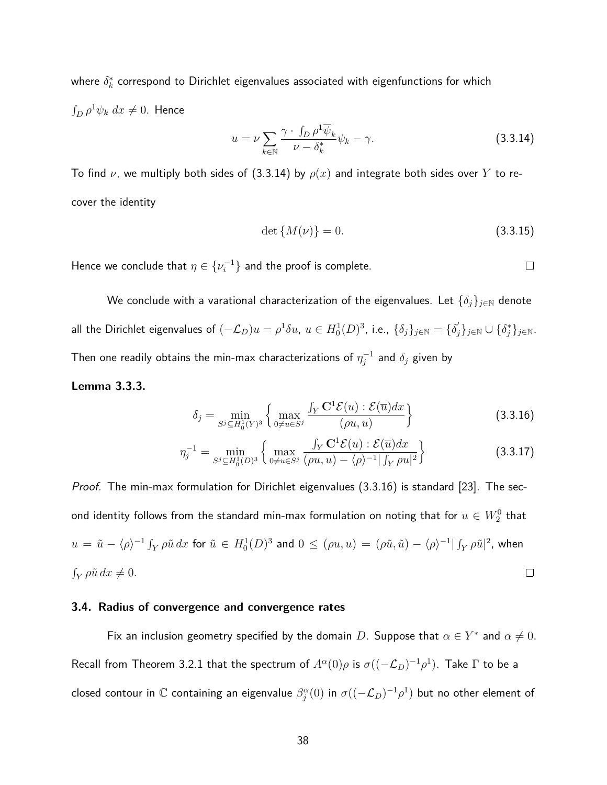where  $\delta_k^*$  correspond to Dirichlet eigenvalues associated with eigenfunctions for which  $\int_D \rho^1 \psi_k \ dx \neq 0$ . Hence

$$
u = \nu \sum_{k \in \mathbb{N}} \frac{\gamma \cdot \int_D \rho^1 \overline{\psi}_k}{\nu - \delta_k^*} \psi_k - \gamma.
$$
 (3.3.14)

To find  $\nu$ , we multiply both sides of (3.3.14) by  $\rho(x)$  and integrate both sides over Y to recover the identity

$$
\det\{M(\nu)\} = 0.\tag{3.3.15}
$$

Hence we conclude that  $\eta \in \{\nu_i^{-1}\}$  and the proof is complete.

We conclude with a varational characterization of the eigenvalues. Let  $\{\delta_j\}_{j\in\mathbb{N}}$  denote all the Dirichlet eigenvalues of  $(-\mathcal{L}_D)u=\rho^1\delta u, \ u\in H^1_0(D)^3,$  i.e.,  $\{\delta_j\}_{j\in\mathbb{N}}=\{\delta_j'\}_{j\in\mathbb{N}}\cup\{\delta_j^*\}_{j\in\mathbb{N}}.$ Then one readily obtains the min-max characterizations of  $\eta_j^{-1}$  and  $\delta_j$  given by

### **Lemma 3.3.3.**

$$
\delta_j = \min_{S^j \subseteq H_0^1(Y)^3} \left\{ \max_{0 \neq u \in S^j} \frac{\int_Y \mathbf{C}^1 \mathcal{E}(u) : \mathcal{E}(\overline{u}) dx}{(\rho u, u)} \right\} \tag{3.3.16}
$$

$$
\eta_j^{-1} = \min_{S^j \subseteq H_0^1(D)^3} \left\{ \max_{0 \neq u \in S^j} \frac{\int_Y \mathbf{C}^1 \mathcal{E}(u) : \mathcal{E}(\overline{u}) dx}{(\rho u, u) - \langle \rho \rangle^{-1} | \int_Y \rho u |^2} \right\} \tag{3.3.17}
$$

*Proof.* The min-max formulation for Dirichlet eigenvalues  $(3.3.16)$  is standard  $[23]$ . The second identity follows from the standard min-max formulation on noting that for  $u\in W_2^0$  that  $u\,=\,\tilde u\,-\langle\rho\rangle^{-1}\int_Y\rho\tilde u\,dx$  for  $\tilde u\,\in\, H^1_0(D)^3$  and  $0\,\leq\, (\rho u,u)\,=\, (\rho\tilde u,\tilde u)\,-\,\langle\rho\rangle^{-1}|\int_Y\rho\tilde u|^2$ , when  $\int_Y \rho \tilde{u} \, dx \neq 0.$  $\Box$ 

### **3.4. Radius of convergence and convergence rates**

Fix an inclusion geometry specified by the domain  $D$ . Suppose that  $\alpha \in Y^*$  and  $\alpha \neq 0$ . Recall from Theorem 3.2.1 that the spectrum of  $A^\alpha(0)\rho$  is  $\sigma((-\mathcal{L}_D)^{-1}\rho^1).$  Take  $\Gamma$  to be a closed contour in  $\mathbb C$  containing an eigenvalue  $\beta_j^\alpha(0)$  in  $\sigma((-{\cal L}_D)^{-1} \rho^1)$  but no other element of

 $\Box$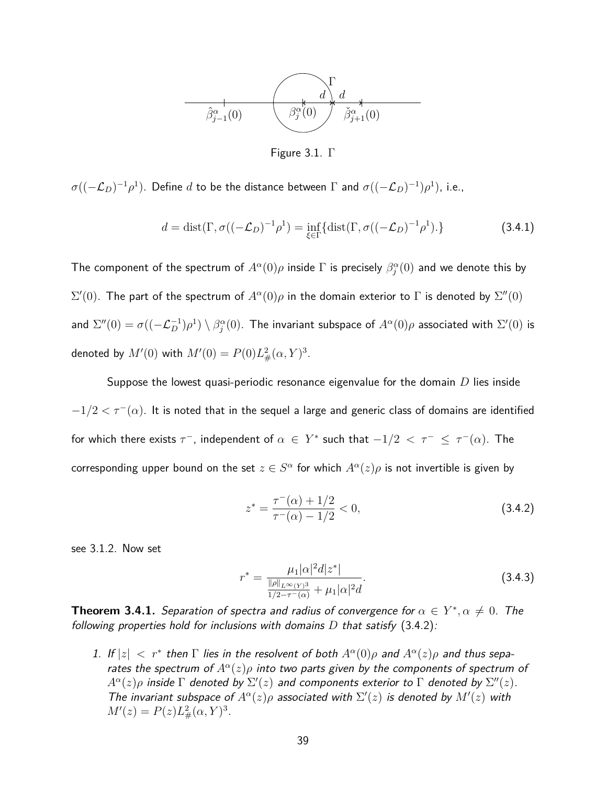

Figure 3.1. Γ

 $\sigma((-{\cal L}_D)^{-1}\rho^1).$  Define  $d$  to be the distance between  $Γ$  and  $\sigma((-{\cal L}_D)^{-1})\rho^1).$  i.e.,

$$
d = \text{dist}(\Gamma, \sigma((-\mathcal{L}_D)^{-1}\rho^1) = \inf_{\xi \in \Gamma} \{ \text{dist}(\Gamma, \sigma((-\mathcal{L}_D)^{-1}\rho^1). \}
$$
(3.4.1)

The component of the spectrum of  $A^\alpha(0)\rho$  inside  $\Gamma$  is precisely  $\beta_j^\alpha(0)$  and we denote this by  $\Sigma'(0)$ . The part of the spectrum of  $A^{\alpha}(0)\rho$  in the domain exterior to Γ is denoted by  $\Sigma''(0)$ and  $\Sigma''(0)=\sigma((- \mathcal{L}_D^{-1}) \rho^1) \setminus \beta_j^{\alpha}(0).$  The invariant subspace of  $A^\alpha(0) \rho$  associated with  $\Sigma'(0)$  is denoted by  $M'(0)$  with  $M'(0) = P(0)L^2_{\#}(\alpha, Y)^3$ .

Suppose the lowest quasi-periodic resonance eigenvalue for the domain *D* lies inside  $-1/2 < \tau^-(\alpha)$ . It is noted that in the sequel a large and generic class of domains are identified for which there exists  $\tau^-$ , independent of  $\alpha ~\in~ Y^*$  such that  $-1/2 ~<~ \tau^- ~\leq~ \tau^- (\alpha)$ . The corresponding upper bound on the set  $z \in S^\alpha$  for which  $A^\alpha(z) \rho$  is not invertible is given by

$$
z^* = \frac{\tau^-(\alpha) + 1/2}{\tau^-(\alpha) - 1/2} < 0,\tag{3.4.2}
$$

see 3.1.2. Now set

$$
r^* = \frac{\mu_1 |\alpha|^2 d |z^*|}{\frac{\|\rho\|_{L^\infty(Y)^3}}{1/2 - \tau^-(\alpha)} + \mu_1 |\alpha|^2 d}.
$$
 (3.4.3)

**Theorem 3.4.1.** Separation of spectra and radius of convergence for  $\alpha \in Y^*$ ,  $\alpha \neq 0$ . The following properties hold for inclusions with domains *D* that satisfy (3.4.2):

1. If  $|z| < r^*$  then  $\Gamma$  lies in the resolvent of both  $A^{\alpha}(0)\rho$  and  $A^{\alpha}(z)\rho$  and thus separates the spectrum of  $A^{\alpha}(z)\rho$  into two parts given by the components of spectrum of  $A^{\alpha}(z)\rho$  inside  $\Gamma$  denoted by  $\Sigma'(z)$  and components exterior to  $\Gamma$  denoted by  $\Sigma''(z)$ . The invariant subspace of  $A^{\alpha}(z)\rho$  associated with  $\Sigma'(z)$  is denoted by  $M'(z)$  with  $M'(z) = P(z)L_{\#}^{2}(\alpha, Y)^{3}.$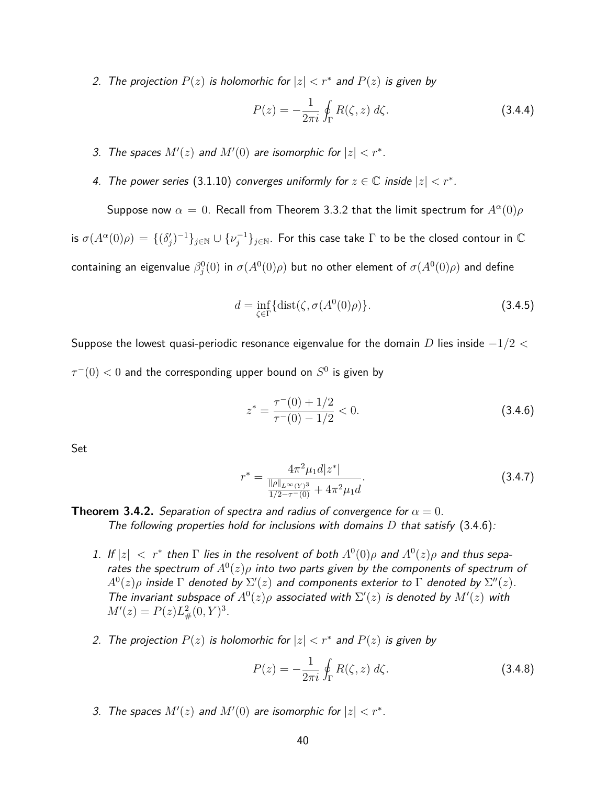2. The projection  $P(z)$  is holomorhic for  $|z| < r^*$  and  $P(z)$  is given by

$$
P(z) = -\frac{1}{2\pi i} \oint_{\Gamma} R(\zeta, z) d\zeta.
$$
 (3.4.4)

- 3. The spaces  $M'(z)$  and  $M'(0)$  are isomorphic for  $|z| < r^*$ .
- 4. The power series (3.1.10) converges uniformly for  $z \in \mathbb{C}$  inside  $|z| < r^*$ .

Suppose now  $\alpha = 0$ . Recall from Theorem 3.3.2 that the limit spectrum for  $A^{\alpha}(0)\rho$ is  $\sigma(A^\alpha(0)\rho)=\{(\delta_j')^{-1}\}_{j\in\mathbb{N}}\cup\{\nu_j^{-1}\}_{j\in\mathbb{N}}.$  For this case take  $\Gamma$  to be the closed contour in  $\mathbb C$  $\cos$  containing an eigenvalue  $\beta^0_j(0)$  in  $\sigma(A^0(0)\rho)$  but no other element of  $\sigma(A^0(0)\rho)$  and define

$$
d = \inf_{\zeta \in \Gamma} \{ \text{dist}(\zeta, \sigma(A^0(0)\rho) \}. \tag{3.4.5}
$$

Suppose the lowest quasi-periodic resonance eigenvalue for the domain *D* lies inside −1*/*2 *<*  $\tau^-(0) < 0$  and the corresponding upper bound on  $S^0$  is given by

$$
z^* = \frac{\tau^-(0) + 1/2}{\tau^-(0) - 1/2} < 0. \tag{3.4.6}
$$

Set

$$
r^* = \frac{4\pi^2 \mu_1 d|z^*|}{\frac{\|\rho\|_{L^\infty(Y)^3}}{1/2 - \tau^-(0)} + 4\pi^2 \mu_1 d}.
$$
 (3.4.7)

## **Theorem 3.4.2.** Separation of spectra and radius of convergence for  $\alpha = 0$ . The following properties hold for inclusions with domains *D* that satisfy (3.4.6):

- 1. If  $|z| < r^*$  then  $\Gamma$  lies in the resolvent of both  $A^0(0)\rho$  and  $A^0(z)\rho$  and thus separates the spectrum of  $A^0(z)\rho$  into two parts given by the components of spectrum of  $A^0(z) \rho$  inside  $\Gamma$  denoted by  $\Sigma'(z)$  and components exterior to  $\Gamma$  denoted by  $\Sigma''(z).$ The invariant subspace of  $A^0(z)\rho$  associated with  $\Sigma'(z)$  is denoted by  $M'(z)$  with  $M'(z) = P(z)L_{\#}^2(0, Y)^3$ .
- 2. The projection  $P(z)$  is holomorhic for  $|z| < r^*$  and  $P(z)$  is given by

$$
P(z) = -\frac{1}{2\pi i} \oint_{\Gamma} R(\zeta, z) d\zeta.
$$
 (3.4.8)

3. The spaces  $M'(z)$  and  $M'(0)$  are isomorphic for  $|z| < r^*$ .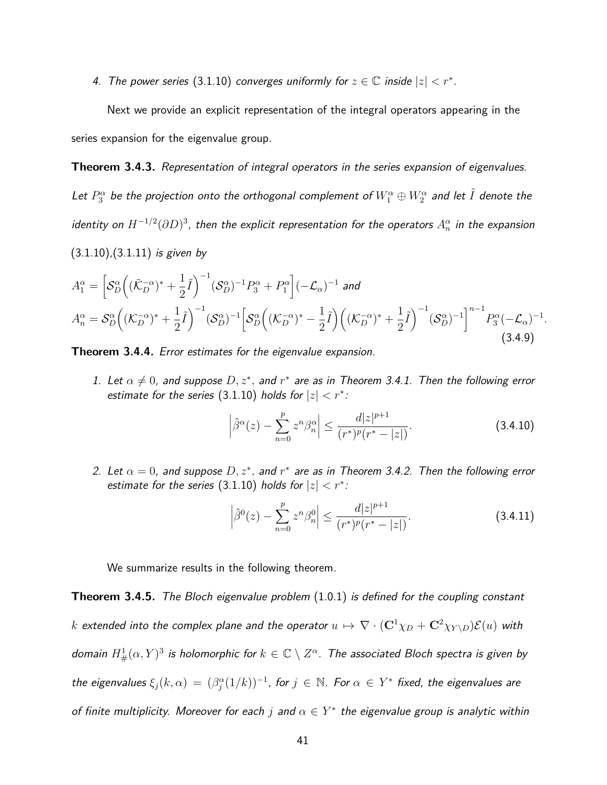4. The power series (3.1.10) converges uniformly for  $z \in \mathbb{C}$  inside  $|z| < r^*$ .

Next we provide an explicit representation of the integral operators appearing in the series expansion for the eigenvalue group.

**Theorem 3.4.3.** Representation of integral operators in the series expansion of eigenvalues.

Let  $P_3^\alpha$  be the projection onto the orthogonal complement of  $W_1^\alpha\oplus W_2^\alpha$  and let  $\tilde{I}$  denote the identity on  $H^{-1/2}(\partial D)^3$ , then the explicit representation for the operators  $A^\alpha_n$  in the expansion

 $(3.1.10)$ , $(3.1.11)$  is given by

$$
A_1^{\alpha} = \left[ \mathcal{S}_D^{\alpha} \left( (\tilde{\mathcal{K}}_D^{-\alpha})^* + \frac{1}{2} \tilde{I} \right)^{-1} (\mathcal{S}_D^{\alpha})^{-1} P_3^{\alpha} + P_1^{\alpha} \right] (-\mathcal{L}_{\alpha})^{-1} \text{ and}
$$
  
\n
$$
A_n^{\alpha} = \mathcal{S}_D^{\alpha} \left( (\mathcal{K}_D^{-\alpha})^* + \frac{1}{2} \tilde{I} \right)^{-1} (\mathcal{S}_D^{\alpha})^{-1} \left[ \mathcal{S}_D^{\alpha} \left( (\mathcal{K}_D^{-\alpha})^* - \frac{1}{2} \tilde{I} \right) \left( (\mathcal{K}_D^{-\alpha})^* + \frac{1}{2} \tilde{I} \right)^{-1} (\mathcal{S}_D^{\alpha})^{-1} \right]^{n-1} P_3^{\alpha} (-\mathcal{L}_{\alpha})^{-1}.
$$
\n(3.4.9)

**Theorem 3.4.4.** Error estimates for the eigenvalue expansion.

1. Let  $\alpha \neq 0$ , and suppose  $D, z^*$ , and  $r^*$  are as in Theorem 3.4.1. Then the following error estimate for the series  $(3.1.10)$  holds for  $|z| < r^*$ :

$$
\left|\hat{\beta}^{\alpha}(z) - \sum_{n=0}^{p} z^{n} \beta_{n}^{\alpha}\right| \leq \frac{d|z|^{p+1}}{(r^{*})^{p}(r^{*} - |z|)}.
$$
\n(3.4.10)

2. Let  $\alpha = 0$ , and suppose  $D, z^*$ , and  $r^*$  are as in Theorem 3.4.2. Then the following error estimate for the series  $(3.1.10)$  holds for  $|z| < r^*$ :

$$
\left|\hat{\beta}^{0}(z) - \sum_{n=0}^{p} z^{n} \beta_{n}^{0}\right| \leq \frac{d|z|^{p+1}}{(r^{*})^{p}(r^{*} - |z|)}.
$$
\n(3.4.11)

We summarize results in the following theorem.

**Theorem 3.4.5.** The Bloch eigenvalue problem (1.0.1) is defined for the coupling constant *k* extended into the complex plane and the operator  $u \mapsto \nabla \cdot (\mathbf{C}^1 \chi_D + \mathbf{C}^2 \chi_{Y \setminus D})\mathcal{E}(u)$  with domain  $H^1_{\#}(\alpha,Y)^3$  is holomorphic for  $k\in \mathbb{C}\setminus Z^{\alpha}$ . The associated Bloch spectra is given by the eigenvalues  $\xi_j(k,\alpha) = (\beta_j^{\alpha}(1/k))^{-1}$ , for  $j \in \mathbb{N}$ . For  $\alpha \in Y^*$  fixed, the eigenvalues are of finite multiplicity. Moreover for each *j* and  $\alpha \in Y^*$  the eigenvalue group is analytic within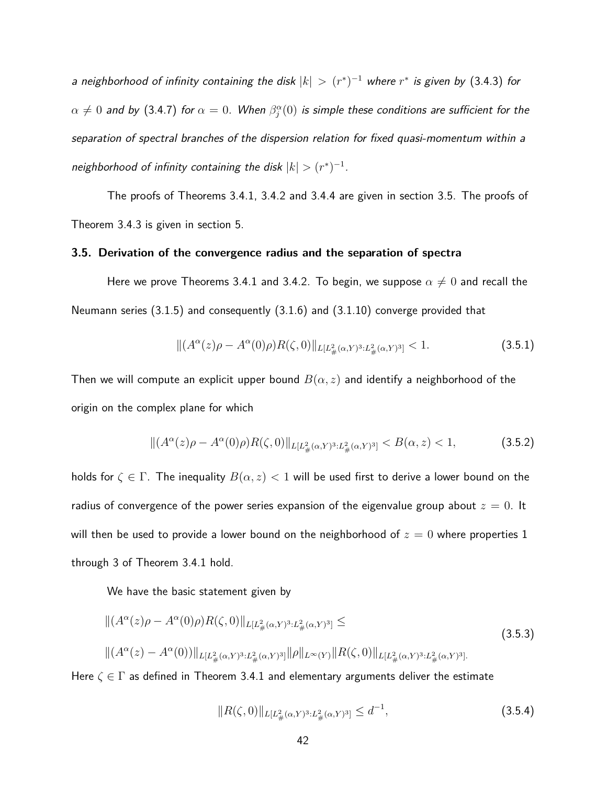a neighborhood of infinity containing the disk  $|k| > (r^*)^{-1}$  where  $r^*$  is given by (3.4.3) for  $\alpha\neq 0$  and by (3.4.7) for  $\alpha=0.$  When  $\beta_j^\alpha(0)$  is simple these conditions are sufficient for the separation of spectral branches of the dispersion relation for fixed quasi-momentum within a neighborhood of infinity containing the disk  $|k| > (r^*)^{-1}$ .

The proofs of Theorems 3.4.1, 3.4.2 and 3.4.4 are given in section 3.5. The proofs of Theorem 3.4.3 is given in section 5.

#### **3.5. Derivation of the convergence radius and the separation of spectra**

Here we prove Theorems 3.4.1 and 3.4.2. To begin, we suppose  $\alpha \neq 0$  and recall the Neumann series (3.1.5) and consequently (3.1.6) and (3.1.10) converge provided that

$$
\|(A^{\alpha}(z)\rho - A^{\alpha}(0)\rho)R(\zeta, 0)\|_{L[L_{\#}^{2}(\alpha, Y)^{3}: L_{\#}^{2}(\alpha, Y)^{3}]} < 1.
$$
\n(3.5.1)

Then we will compute an explicit upper bound  $B(\alpha, z)$  and identify a neighborhood of the origin on the complex plane for which

$$
\|(A^{\alpha}(z)\rho - A^{\alpha}(0)\rho)R(\zeta, 0)\|_{L[L_{\#}^{2}(\alpha, Y)^{3}: L_{\#}^{2}(\alpha, Y)^{3}]} < B(\alpha, z) < 1,
$$
\n(3.5.2)

holds for  $\zeta \in \Gamma$ . The inequality  $B(\alpha, z) < 1$  will be used first to derive a lower bound on the radius of convergence of the power series expansion of the eigenvalue group about  $z = 0$ . It will then be used to provide a lower bound on the neighborhood of  $z = 0$  where properties 1 through 3 of Theorem 3.4.1 hold.

We have the basic statement given by

$$
\| (A^{\alpha}(z)\rho - A^{\alpha}(0)\rho) R(\zeta, 0) \|_{L[L_{\#}^{2}(\alpha, Y)^{3}: L_{\#}^{2}(\alpha, Y)^{3}]} \le
$$
\n
$$
\| (A^{\alpha}(z) - A^{\alpha}(0)) \|_{L[L_{\#}^{2}(\alpha, Y)^{3}: L_{\#}^{2}(\alpha, Y)^{3}]} \| \rho \|_{L^{\infty}(Y)} \| R(\zeta, 0) \|_{L[L_{\#}^{2}(\alpha, Y)^{3}: L_{\#}^{2}(\alpha, Y)^{3}]}.
$$
\n(3.5.3)

Here  $\zeta \in \Gamma$  as defined in Theorem 3.4.1 and elementary arguments deliver the estimate

$$
||R(\zeta,0)||_{L[L^2_{\#}(\alpha,Y)^3:L^2_{\#}(\alpha,Y)^3]} \leq d^{-1},\tag{3.5.4}
$$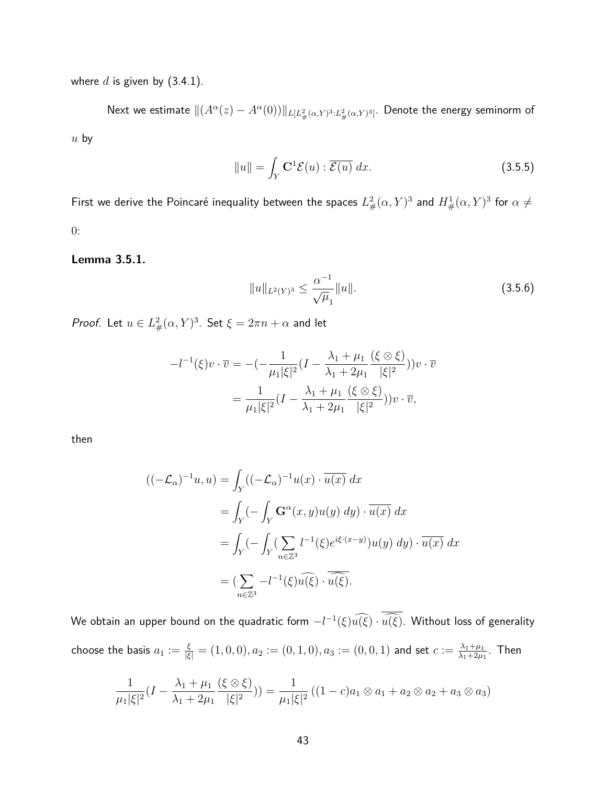where  $d$  is given by  $(3.4.1)$ .

Next we estimate  $\|(A^\alpha(z)-A^\alpha(0))\|_{L[L^2_{\#}(\alpha,Y)^3:L^2_{\#}(\alpha,Y)^3]}.$  Denote the energy seminorm of *u* by

$$
||u|| = \int_{Y} \mathbf{C}^{1} \mathcal{E}(u) : \overline{\mathcal{E}(u)} dx.
$$
 (3.5.5)

First we derive the Poincaré inequality between the spaces  $L^2_\#(\alpha,Y)^3$  and  $H^1_\#(\alpha,Y)^3$  for  $\alpha\neq 0$ 0:

#### **Lemma 3.5.1.**

$$
||u||_{L^{2}(Y)^{3}} \leq \frac{\alpha^{-1}}{\sqrt{\mu}_{1}}||u||. \tag{3.5.6}
$$

*Proof.* Let  $u \in L^2_{\#}(\alpha, Y)^3$ . Set  $\xi = 2\pi n + \alpha$  and let

$$
-l^{-1}(\xi)v \cdot \overline{v} = -(-\frac{1}{\mu_1 |\xi|^2} (I - \frac{\lambda_1 + \mu_1}{\lambda_1 + 2\mu_1} \frac{(\xi \otimes \xi)}{|\xi|^2}))v \cdot \overline{v}
$$

$$
= \frac{1}{\mu_1 |\xi|^2} (I - \frac{\lambda_1 + \mu_1}{\lambda_1 + 2\mu_1} \frac{(\xi \otimes \xi)}{|\xi|^2}))v \cdot \overline{v},
$$

then

$$
\begin{aligned} ((-\mathcal{L}_{\alpha})^{-1}u, u) &= \int_{Y} ((-\mathcal{L}_{\alpha})^{-1}u(x) \cdot \overline{u(x)} \, dx \\ &= \int_{Y} (-\int_{Y} \mathbf{G}^{\alpha}(x, y)u(y) \, dy) \cdot \overline{u(x)} \, dx \\ &= \int_{Y} (-\int_{Y} (\sum_{n \in \mathbb{Z}^{3}} l^{-1}(\xi) e^{i\xi \cdot (x-y)}) u(y) \, dy) \cdot \overline{u(x)} \, dx \\ &= (\sum_{n \in \mathbb{Z}^{3}} -l^{-1}(\xi) \widehat{u(\xi)} \cdot \overline{\widehat{u(\xi)}}. \end{aligned}
$$

We obtain an upper bound on the quadratic form  $-l^{-1}(\xi)u(\xi)\cdot u(\xi)$ . Without loss of generality

choose the basis 
$$
a_1 := \frac{\xi}{|\xi|} = (1, 0, 0), a_2 := (0, 1, 0), a_3 := (0, 0, 1)
$$
 and set  $c := \frac{\lambda_1 + \mu_1}{\lambda_1 + 2\mu_1}$ . Then

$$
\frac{1}{\mu_1|\xi|^2}(I - \frac{\lambda_1 + \mu_1}{\lambda_1 + 2\mu_1} \frac{(\xi \otimes \xi)}{|\xi|^2})) = \frac{1}{\mu_1|\xi|^2}((1 - c)a_1 \otimes a_1 + a_2 \otimes a_2 + a_3 \otimes a_3)
$$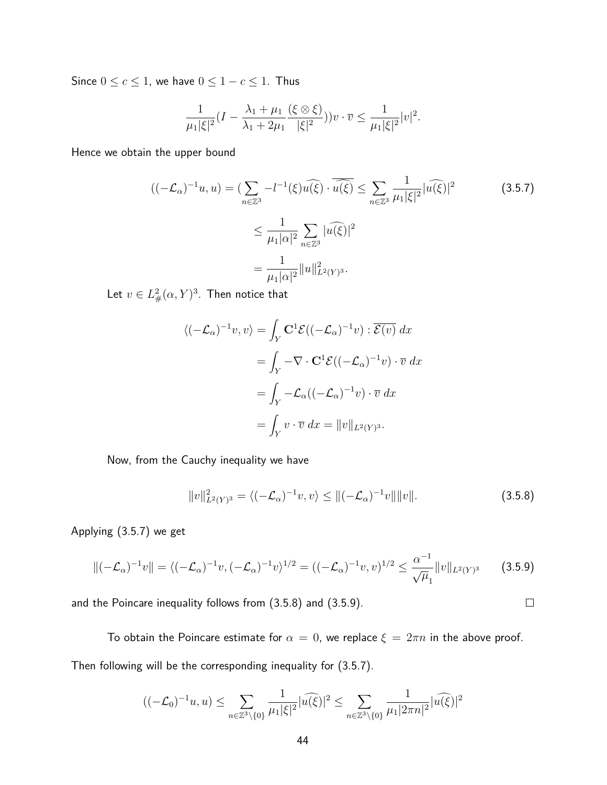Since  $0 \leq c \leq 1$ , we have  $0 \leq 1 - c \leq 1$ . Thus

$$
\frac{1}{\mu_1 |\xi|^2} (I - \frac{\lambda_1 + \mu_1}{\lambda_1 + 2\mu_1} \frac{(\xi \otimes \xi)}{|\xi|^2})) v \cdot \overline{v} \le \frac{1}{\mu_1 |\xi|^2} |v|^2.
$$

Hence we obtain the upper bound

$$
((-\mathcal{L}_{\alpha})^{-1}u, u) = \left(\sum_{n \in \mathbb{Z}^3} -l^{-1}(\xi)\widehat{u(\xi)} \cdot \widehat{u(\xi)} \le \sum_{n \in \mathbb{Z}^3} \frac{1}{\mu_1 |\xi|^2} |\widehat{u(\xi)}|^2
$$
  

$$
\le \frac{1}{\mu_1 |\alpha|^2} \sum_{n \in \mathbb{Z}^3} |\widehat{u(\xi)}|^2
$$
  

$$
= \frac{1}{\mu_1 |\alpha|^2} ||u||_{L^2(Y)^3}^2.
$$
 (3.5.7)

Let  $v\in L^2_\#(\alpha,Y)^3.$  Then notice that

$$
\langle (-\mathcal{L}_{\alpha})^{-1}v, v \rangle = \int_{Y} \mathbf{C}^{1} \mathcal{E}((-\mathcal{L}_{\alpha})^{-1}v) : \overline{\mathcal{E}(v)} dx
$$
  

$$
= \int_{Y} -\nabla \cdot \mathbf{C}^{1} \mathcal{E}((-\mathcal{L}_{\alpha})^{-1}v) \cdot \overline{v} dx
$$
  

$$
= \int_{Y} -\mathcal{L}_{\alpha}((-\mathcal{L}_{\alpha})^{-1}v) \cdot \overline{v} dx
$$
  

$$
= \int_{Y} v \cdot \overline{v} dx = ||v||_{L^{2}(Y)^{3}}.
$$

Now, from the Cauchy inequality we have

$$
||v||_{L^{2}(Y)^{3}}^{2} = \langle (-\mathcal{L}_{\alpha})^{-1}v, v \rangle \le ||(-\mathcal{L}_{\alpha})^{-1}v|| ||v||.
$$
 (3.5.8)

Applying (3.5.7) we get

$$
\|(-\mathcal{L}_{\alpha})^{-1}v\| = \langle (-\mathcal{L}_{\alpha})^{-1}v, (-\mathcal{L}_{\alpha})^{-1}v \rangle^{1/2} = ((-\mathcal{L}_{\alpha})^{-1}v, v)^{1/2} \le \frac{\alpha^{-1}}{\sqrt{\mu}_1} \|v\|_{L^2(Y)^3}
$$
(3.5.9)

and the Poincare inequality follows from (3.5.8) and (3.5.9).

To obtain the Poincare estimate for  $\alpha = 0$ , we replace  $\xi = 2\pi n$  in the above proof. Then following will be the corresponding inequality for (3.5.7).

$$
((-\mathcal{L}_0)^{-1}u, u) \le \sum_{n \in \mathbb{Z}^3 \backslash {\{0\}} } \frac{1}{\mu_1 |\xi|^2} |\widehat{u(\xi)}|^2 \le \sum_{n \in \mathbb{Z}^3 \backslash {\{0\}} } \frac{1}{\mu_1 |2\pi n|^2} |\widehat{u(\xi)}|^2
$$

 $\Box$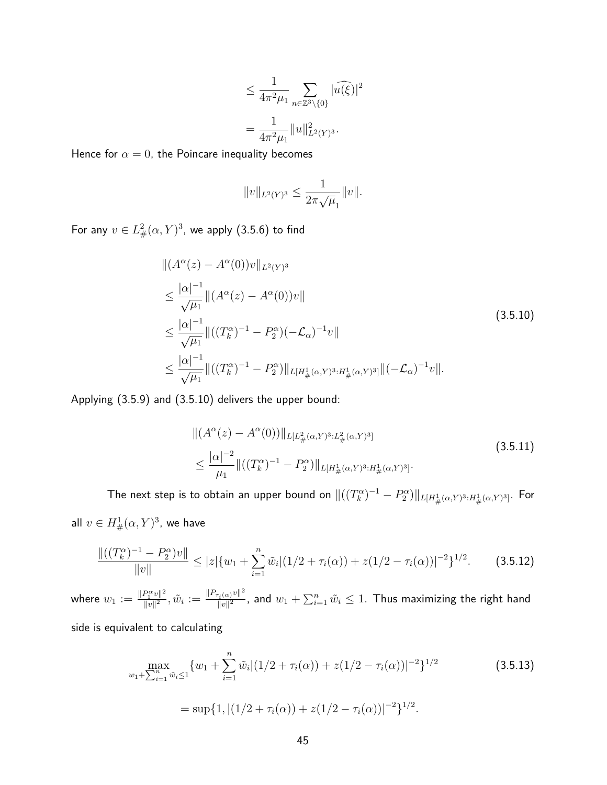$$
\leq \frac{1}{4\pi^2 \mu_1} \sum_{n \in \mathbb{Z}^3 \setminus \{0\}} |\widehat{u(\xi)}|^2
$$

$$
= \frac{1}{4\pi^2 \mu_1} \|u\|_{L^2(Y)^3}^2.
$$

Hence for  $\alpha = 0$ , the Poincare inequality becomes

$$
||v||_{L^2(Y)^3} \leq \frac{1}{2\pi\sqrt{\mu}_1} ||v||.
$$

For any  $v \in L^2_{\#}(\alpha,Y)^3$ , we apply (3.5.6) to find

$$
\| (A^{\alpha}(z) - A^{\alpha}(0))v \|_{L^{2}(Y)^{3}}
$$
\n
$$
\leq \frac{|\alpha|^{-1}}{\sqrt{\mu_{1}}} \| (A^{\alpha}(z) - A^{\alpha}(0))v \|
$$
\n
$$
\leq \frac{|\alpha|^{-1}}{\sqrt{\mu_{1}}} \| ((T_{k}^{\alpha})^{-1} - P_{2}^{\alpha}) (-\mathcal{L}_{\alpha})^{-1} v \|
$$
\n
$$
\leq \frac{|\alpha|^{-1}}{\sqrt{\mu_{1}}} \| ((T_{k}^{\alpha})^{-1} - P_{2}^{\alpha}) \|_{L[H_{\#}^{1}(\alpha, Y)^{3}:H_{\#}^{1}(\alpha, Y)^{3}]} \| (-\mathcal{L}_{\alpha})^{-1} v \|.
$$
\n(3.5.10)

Applying (3.5.9) and (3.5.10) delivers the upper bound:

$$
\| (A^{\alpha}(z) - A^{\alpha}(0)) \|_{L[L_{\#}^{2}(\alpha, Y)^{3}: L_{\#}^{2}(\alpha, Y)^{3}]} \n\leq \frac{|\alpha|^{-2}}{\mu_{1}} \| ((T_{k}^{\alpha})^{-1} - P_{2}^{\alpha}) \|_{L[H_{\#}^{1}(\alpha, Y)^{3}: H_{\#}^{1}(\alpha, Y)^{3}]}.
$$
\n(3.5.11)

The next step is to obtain an upper bound on  $\|((T_k^\alpha)^{-1}-P_2^\alpha)\|_{L[H^1_{\#}(\alpha,Y)^3:H^1_{\#}(\alpha,Y)^3]}$ . For all  $v\in H^1_{\#}(\alpha,Y)^3$ , we have

$$
\frac{\|((T_k^{\alpha})^{-1} - P_2^{\alpha})v\|}{\|v\|} \le |z|\{w_1 + \sum_{i=1}^n \tilde{w}_i|(1/2 + \tau_i(\alpha)) + z(1/2 - \tau_i(\alpha))|^{-2}\}^{1/2}.
$$
 (3.5.12)

where  $w_1 := \frac{\|P_1^{\alpha}v\|^2}{\|v\|^2}$  $\frac{P_{1}^{\alpha}v\|^{2}}{\|v\|^{2}}, \tilde{w}_{i} := \frac{\|P_{\tau_{i}(\alpha)}v\|^{2}}{\|v\|^{2}}$  $\frac{|\nabla_i(\alpha)|^2}{\|v\|^2}$ , and  $w_1 + \sum_{i=1}^n \tilde{w}_i \leq 1.$  Thus maximizing the right hand

side is equivalent to calculating

$$
\max_{w_1 + \sum_{i=1}^n \tilde{w}_i \le 1} \{w_1 + \sum_{i=1}^n \tilde{w}_i | (1/2 + \tau_i(\alpha)) + z(1/2 - \tau_i(\alpha))|^{-2} \}^{1/2}
$$
(3.5.13)  
= sup{1, |(1/2 + \tau\_i(\alpha)) + z(1/2 - \tau\_i(\alpha))|^{-2} }<sup>1/2</sup>.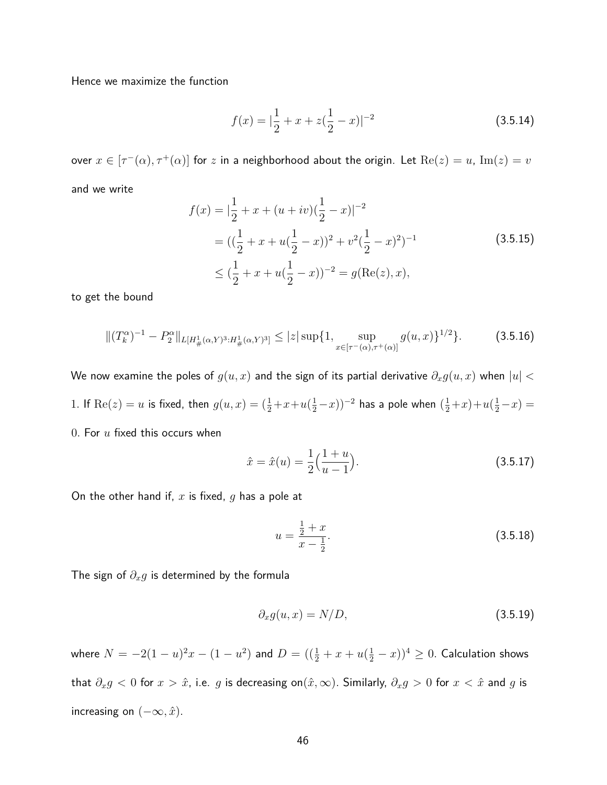Hence we maximize the function

$$
f(x) = |\frac{1}{2} + x + z(\frac{1}{2} - x)|^{-2}
$$
 (3.5.14)

 $\text{over } x \in [\tau^-(\alpha), \tau^+(\alpha)]$  for  $z$  in a neighborhood about the origin. Let  $\text{Re}(z) = u$ ,  $\text{Im}(z) = v$ and we write

$$
f(x) = |\frac{1}{2} + x + (u + iv)(\frac{1}{2} - x)|^{-2}
$$
  
=  $((\frac{1}{2} + x + u(\frac{1}{2} - x))^2 + v^2(\frac{1}{2} - x)^2)^{-1}$  (3.5.15)  

$$
\leq (\frac{1}{2} + x + u(\frac{1}{2} - x))^{-2} = g(\text{Re}(z), x),
$$

to get the bound

$$
\|(T_k^{\alpha})^{-1} - P_2^{\alpha}\|_{L[H^1_{\#}(\alpha, Y)^3 : H^1_{\#}(\alpha, Y)^3]} \le |z| \sup \{1, \sup_{x \in [\tau^-(\alpha), \tau^+(\alpha)]} g(u, x)\}^{1/2} \}.
$$
 (3.5.16)

We now examine the poles of  $g(u, x)$  and the sign of its partial derivative  $\partial_x g(u, x)$  when  $|u|$ 

1. If Re(z) = u is fixed, then 
$$
g(u, x) = (\frac{1}{2} + x + u(\frac{1}{2} - x))^{-2}
$$
 has a pole when  $(\frac{1}{2} + x) + u(\frac{1}{2} - x) =$ 

0*.* For *u* fixed this occurs when

$$
\hat{x} = \hat{x}(u) = \frac{1}{2} \left( \frac{1+u}{u-1} \right). \tag{3.5.17}
$$

On the other hand if, *x* is fixed, *g* has a pole at

$$
u = \frac{\frac{1}{2} + x}{x - \frac{1}{2}}.\tag{3.5.18}
$$

The sign of *∂xg* is determined by the formula

$$
\partial_x g(u, x) = N/D,\tag{3.5.19}
$$

where  $N=-2(1-u)^2x-(1-u^2)$  and  $D=((\frac{1}{2}+x+u(\frac{1}{2}-x))^4\geq 0.$  Calculation shows that  $\partial_x g < 0$  for  $x > \hat{x}$ , i.e. *g* is decreasing on $(\hat{x}, \infty)$ . Similarly,  $\partial_x g > 0$  for  $x < \hat{x}$  and *g* is increasing on  $(-\infty, \hat{x})$ .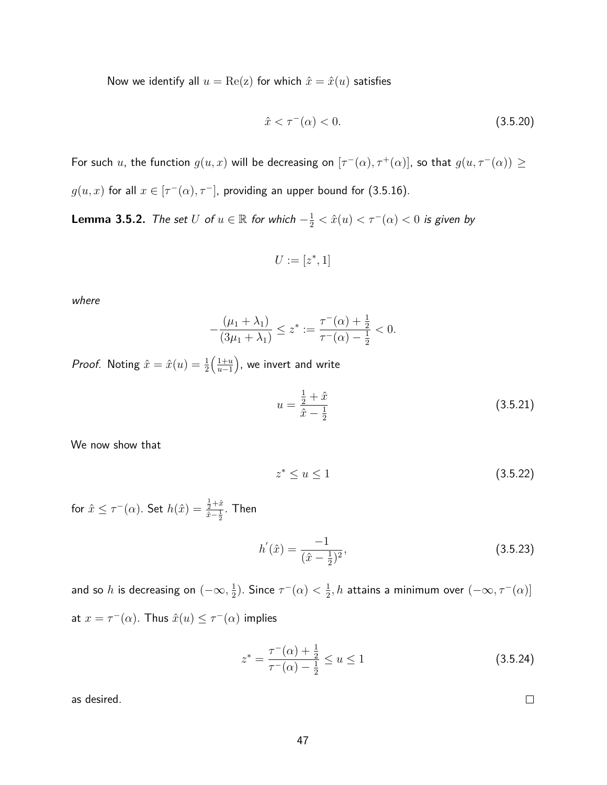Now we identify all  $u = \text{Re}(z)$  for which  $\hat{x} = \hat{x}(u)$  satisfies

$$
\hat{x} < \tau^-(\alpha) < 0. \tag{3.5.20}
$$

For such *u*, the function  $g(u, x)$  will be decreasing on  $[\tau^-(\alpha), \tau^+(\alpha)]$ , so that  $g(u, \tau^-(\alpha)) \ge$  $g(u, x)$  for all  $x \in [\tau^-(\alpha), \tau^-]$ , providing an upper bound for (3.5.16).

**Lemma 3.5.2.** The set  $U$  of  $u \in \mathbb{R}$  for which  $-\frac{1}{2} < \hat{x}(u) < \tau^{-}(\alpha) < 0$  is given by

$$
U := [z^*, 1]
$$

where

$$
-\frac{(\mu_1 + \lambda_1)}{(3\mu_1 + \lambda_1)} \le z^* := \frac{\tau^-(\alpha) + \frac{1}{2}}{\tau^-(\alpha) - \frac{1}{2}} < 0.
$$

*Proof.* Noting  $\hat{x} = \hat{x}(u) = \frac{1}{2}$  $\left( \frac{1+u}{u} \right)$ *u*−1 , we invert and write

$$
u = \frac{\frac{1}{2} + \hat{x}}{\hat{x} - \frac{1}{2}}
$$
 (3.5.21)

We now show that

$$
z^* \le u \le 1\tag{3.5.22}
$$

for  $\hat{x} \leq \tau^-(\alpha)$ . Set  $h(\hat{x}) = \frac{\frac{1}{2} + \hat{x}}{\hat{x} - 1}$  $\frac{\frac{1}{2}+x}{x-\frac{1}{2}}$ . Then

$$
h'(\hat{x}) = \frac{-1}{(\hat{x} - \frac{1}{2})^2},\tag{3.5.23}
$$

and so  $h$  is decreasing on  $(-\infty, \frac{1}{2})$  $(\frac{1}{2})$ . Since  $\tau^-(\alpha) < \frac{1}{2}$  $\frac{1}{2}, h$  attains a minimum over  $(-\infty, \tau^-(\alpha)]$ at  $x = \tau^-(\alpha)$ . Thus  $\hat{x}(u) \leq \tau^-(\alpha)$  implies

$$
z^* = \frac{\tau^-(\alpha) + \frac{1}{2}}{\tau^-(\alpha) - \frac{1}{2}} \le u \le 1
$$
\n(3.5.24)

as desired.

 $\Box$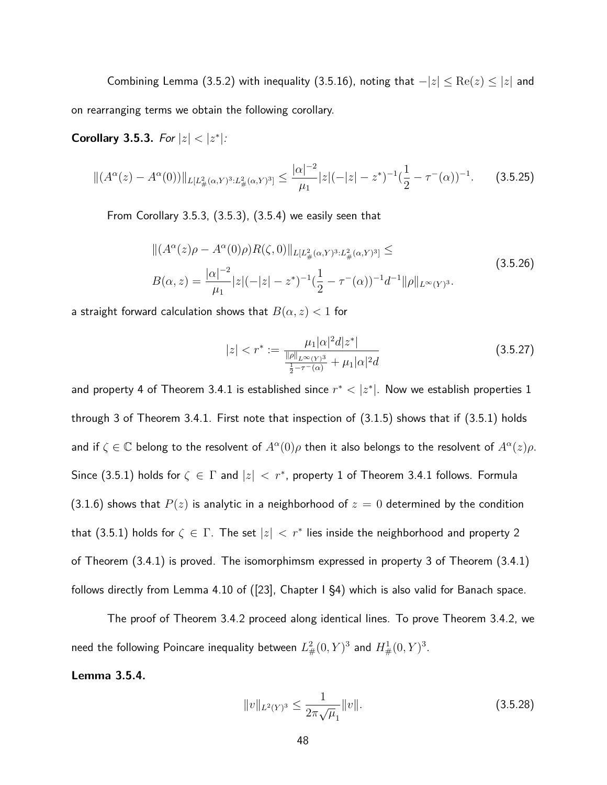Combining Lemma (3.5.2) with inequality (3.5.16), noting that  $-|z| \leq \text{Re}(z) \leq |z|$  and on rearranging terms we obtain the following corollary.

**Corollary 3.5.3.** For  $|z| < |z^*|$ :

$$
\|(A^{\alpha}(z) - A^{\alpha}(0))\|_{L[L_{\#}^{2}(\alpha, Y)^{3}:L_{\#}^{2}(\alpha, Y)^{3}]}\leq \frac{|\alpha|^{-2}}{\mu_{1}}|z|(-|z| - z^{*})^{-1}(\frac{1}{2} - \tau^{-}(\alpha))^{-1}.
$$
 (3.5.25)

From Corollary 3.5.3, (3.5.3), (3.5.4) we easily seen that

$$
\| (A^{\alpha}(z)\rho - A^{\alpha}(0)\rho) R(\zeta, 0) \|_{L[L_{\#}^{2}(\alpha, Y)^{3}: L_{\#}^{2}(\alpha, Y)^{3}]} \leq
$$
\n
$$
B(\alpha, z) = \frac{|\alpha|^{-2}}{\mu_{1}} |z|(-|z| - z^{*})^{-1} \left(\frac{1}{2} - \tau^{-}(\alpha)\right)^{-1} d^{-1} \|\rho\|_{L^{\infty}(Y)^{3}}.
$$
\n(3.5.26)

a straight forward calculation shows that  $B(\alpha, z) < 1$  for

$$
|z| < r^* := \frac{\mu_1 |\alpha|^2 d |z^*|}{\frac{\|\rho\|_{L^\infty(Y)^3}}{\frac{1}{2} - \tau^-(\alpha)} + \mu_1 |\alpha|^2 d} \tag{3.5.27}
$$

and property 4 of Theorem 3.4.1 is established since  $r^* < |z^*|$ . Now we establish properties 1 through 3 of Theorem 3.4.1. First note that inspection of (3.1.5) shows that if (3.5.1) holds and if  $\zeta \in \mathbb{C}$  belong to the resolvent of  $A^{\alpha}(0)\rho$  then it also belongs to the resolvent of  $A^{\alpha}(z)\rho$ . Since (3.5.1) holds for  $\zeta \in \Gamma$  and  $|z| < r^*$ , property 1 of Theorem 3.4.1 follows. Formula (3.1.6) shows that  $P(z)$  is analytic in a neighborhood of  $z = 0$  determined by the condition that (3.5.1) holds for  $\zeta \in \Gamma$ . The set  $|z| < r^*$  lies inside the neighborhood and property 2 of Theorem (3.4.1) is proved. The isomorphimsm expressed in property 3 of Theorem (3.4.1) follows directly from Lemma 4.10 of ([23], Chapter I §4) which is also valid for Banach space.

The proof of Theorem 3.4.2 proceed along identical lines. To prove Theorem 3.4.2, we need the following Poincare inequality between  $L^2_{\#}(0,Y)^3$  and  $H^1_{\#}(0,Y)^3.$ 

#### **Lemma 3.5.4.**

$$
||v||_{L^{2}(Y)^{3}} \leq \frac{1}{2\pi\sqrt{\mu}_{1}}||v||. \tag{3.5.28}
$$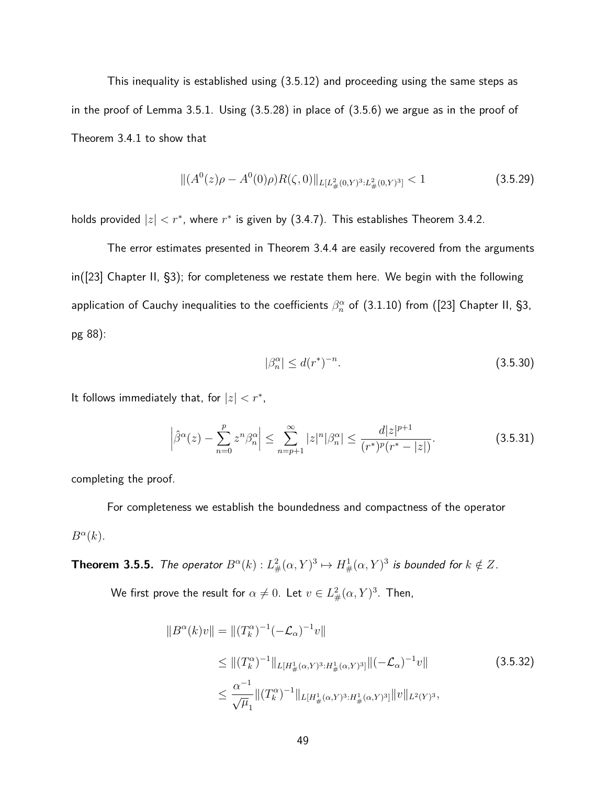This inequality is established using (3.5.12) and proceeding using the same steps as in the proof of Lemma 3.5.1. Using (3.5.28) in place of (3.5.6) we argue as in the proof of Theorem 3.4.1 to show that

$$
\| (A^{0}(z)\rho - A^{0}(0)\rho)R(\zeta, 0) \|_{L[L_{\#}^{2}(0,Y)^{3}: L_{\#}^{2}(0,Y)^{3}]} < 1
$$
\n(3.5.29)

holds provided  $|z| < r^*$ , where  $r^*$  is given by (3.4.7). This establishes Theorem 3.4.2.

The error estimates presented in Theorem 3.4.4 are easily recovered from the arguments in([23] Chapter II, §3); for completeness we restate them here. We begin with the following application of Cauchy inequalities to the coefficients  $\beta_n^{\alpha}$  of  $(3.1.10)$  from  $([23]$  Chapter II, §3, pg 88):

$$
|\beta_n^{\alpha}| \le d(r^*)^{-n}.\tag{3.5.30}
$$

It follows immediately that, for  $|z| < r^*$ ,

$$
\left|\hat{\beta}^{\alpha}(z) - \sum_{n=0}^{p} z^{n} \beta_{n}^{\alpha}\right| \leq \sum_{n=p+1}^{\infty} |z|^{n} |\beta_{n}^{\alpha}| \leq \frac{d|z|^{p+1}}{(r^{*})^{p}(r^{*} - |z|)}.
$$
\n(3.5.31)

completing the proof.

For completeness we establish the boundedness and compactness of the operator  $B^{\alpha}(k)$ .

**Theorem 3.5.5.** The operator  $B^{\alpha}(k) : L^2_{\#}(\alpha, Y)^3 \mapsto H^1_{\#}(\alpha, Y)^3$  is bounded for  $k \notin Z$ .

We first prove the result for  $\alpha \neq 0$ . Let  $v \in L^2_{\#}(\alpha, Y)^3$ . Then,

$$
||B^{\alpha}(k)v|| = ||(T_k^{\alpha})^{-1}(-\mathcal{L}_{\alpha})^{-1}v||
$$
  
\n
$$
\leq ||(T_k^{\alpha})^{-1}||_{L[H_{\#}^1(\alpha,Y)^3:H_{\#}^1(\alpha,Y)^3]}||(-\mathcal{L}_{\alpha})^{-1}v||
$$
\n
$$
\leq \frac{\alpha^{-1}}{\sqrt{\mu_1}}||(T_k^{\alpha})^{-1}||_{L[H_{\#}^1(\alpha,Y)^3:H_{\#}^1(\alpha,Y)^3]}||v||_{L^2(Y)^3},
$$
\n(3.5.32)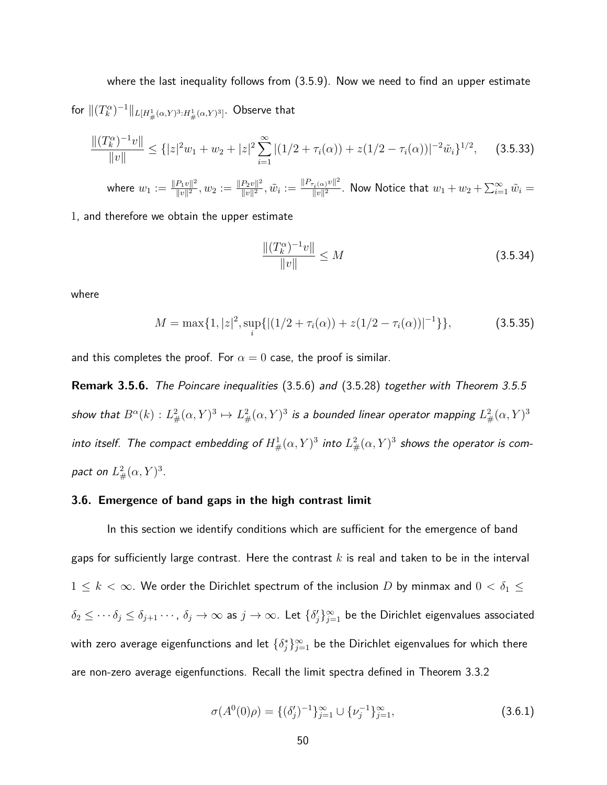where the last inequality follows from (3.5.9). Now we need to find an upper estimate for  $\|(T_k^\alpha)^{-1}\|_{L[H^1_{\#}(\alpha, Y)^3:H^1_{\#}(\alpha, Y)^3]}.$  Observe that

$$
\frac{\|(T_k^{\alpha})^{-1}v\|}{\|v\|} \leq \{|z|^2w_1+w_2+|z|^2\sum_{i=1}^{\infty}|(1/2+\tau_i(\alpha))+z(1/2-\tau_i(\alpha))|^{-2}\tilde{w}_i\}^{1/2},\qquad(3.5.33)
$$

where  $w_1 := \frac{\|P_1v\|^2}{\|v\|^2}$  $\frac{P_1v\|^2}{\|v\|^2}, w_2 := \frac{\|P_2v\|^2}{\|v\|^2}$  $\frac{P_2v\|^2}{\|v\|^2},\tilde{w}_i:=\frac{\|P_{\tau_i(\alpha)}v\|^2}{\|v\|^2}$  $\frac{||v_i(\alpha)^v||^2}{||v||^2}$ . Now Notice that  $w_1+w_2+\sum_{i=1}^\infty \tilde{w}_i=0$ 

1, and therefore we obtain the upper estimate

$$
\frac{\|(T_k^{\alpha})^{-1}v\|}{\|v\|} \le M \tag{3.5.34}
$$

where

$$
M = \max\{1, |z|^2, \sup_i\{|(1/2 + \tau_i(\alpha)) + z(1/2 - \tau_i(\alpha))|^{-1}\}\},\tag{3.5.35}
$$

and this completes the proof. For  $\alpha = 0$  case, the proof is similar.

**Remark 3.5.6.** The Poincare inequalities (3.5.6) and (3.5.28) together with Theorem 3.5.5 show that  $B^\alpha(k): L^2_\#(\alpha, Y)^3 \mapsto L^2_\#(\alpha, Y)^3$  is a bounded linear operator mapping  $L^2_\#(\alpha, Y)^3$ into itself. The compact embedding of  $H^1_{\#}(\alpha,Y)^3$  into  $L^2_{\#}(\alpha,Y)^3$  shows the operator is compact on  $L^2_{\#}(\alpha, Y)^3$  .

#### **3.6. Emergence of band gaps in the high contrast limit**

In this section we identify conditions which are sufficient for the emergence of band gaps for sufficiently large contrast. Here the contrast *k* is real and taken to be in the interval  $1 \leq k < \infty$ . We order the Dirichlet spectrum of the inclusion *D* by minmax and  $0 < \delta_1 \leq$  $\delta_2\leq\cdots\delta_j\leq\delta_{j+1}\cdots$  ,  $\delta_j\to\infty$  as  $j\to\infty$ . Let  $\{\delta'_j\}_{j=1}^\infty$  be the Dirichlet eigenvalues associated with zero average eigenfunctions and let  $\{\delta_j^*\}_{j=1}^\infty$  be the Dirichlet eigenvalues for which there are non-zero average eigenfunctions. Recall the limit spectra defined in Theorem 3.3.2

$$
\sigma(A^0(0)\rho) = \{ (\delta'_j)^{-1} \}_{j=1}^{\infty} \cup \{ \nu_j^{-1} \}_{j=1}^{\infty},
$$
\n(3.6.1)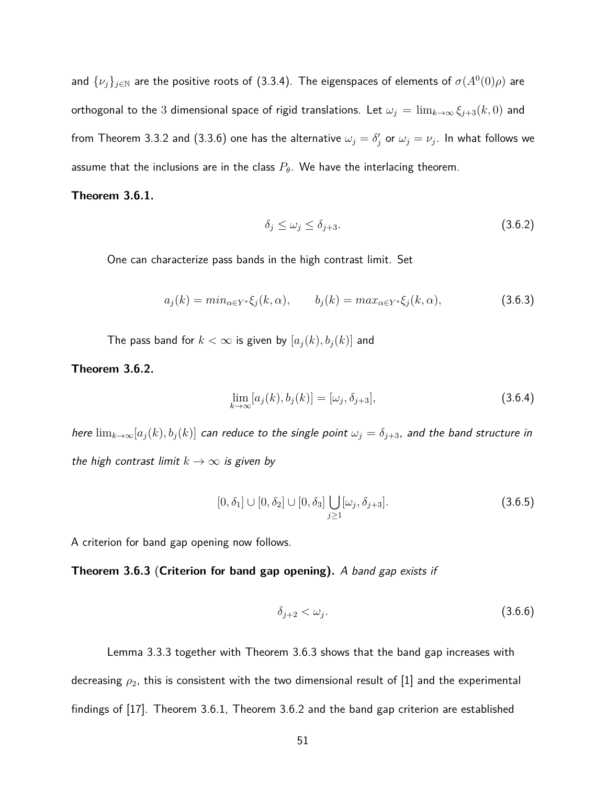and  $\{\nu_j\}_{j\in\mathbb{N}}$  are the positive roots of (3.3.4). The eigenspaces of elements of  $\sigma(A^0(0)\rho)$  are orthogonal to the 3 dimensional space of rigid translations. Let  $\omega_j = \lim_{k \to \infty} \xi_{j+3}(k,0)$  and from Theorem 3.3.2 and (3.3.6) one has the alternative  $\omega_j = \delta_j'$  or  $\omega_j = \nu_j.$  In what follows we assume that the inclusions are in the class  $P_{\theta}$ . We have the interlacing theorem.

#### **Theorem 3.6.1.**

$$
\delta_j \le \omega_j \le \delta_{j+3}.\tag{3.6.2}
$$

One can characterize pass bands in the high contrast limit. Set

$$
a_j(k) = min_{\alpha \in Y^*} \xi_j(k, \alpha), \qquad b_j(k) = max_{\alpha \in Y^*} \xi_j(k, \alpha), \tag{3.6.3}
$$

The pass band for  $k < \infty$  is given by  $[a_j(k), b_j(k)]$  and

**Theorem 3.6.2.**

$$
\lim_{k \to \infty} [a_j(k), b_j(k)] = [\omega_j, \delta_{j+3}],
$$
\n(3.6.4)

here  $\lim_{k\to\infty} [a_j(k), b_j(k)]$  can reduce to the single point  $\omega_j = \delta_{j+3}$ , and the band structure in the high contrast limit  $k \to \infty$  is given by

$$
[0, \delta_1] \cup [0, \delta_2] \cup [0, \delta_3] \bigcup_{j \ge 1} [\omega_j, \delta_{j+3}]. \tag{3.6.5}
$$

A criterion for band gap opening now follows.

**Theorem 3.6.3** (**Criterion for band gap opening).** A band gap exists if

$$
\delta_{j+2} < \omega_j. \tag{3.6.6}
$$

Lemma 3.3.3 together with Theorem 3.6.3 shows that the band gap increases with decreasing *ρ*2, this is consistent with the two dimensional result of [1] and the experimental findings of [17]. Theorem 3.6.1, Theorem 3.6.2 and the band gap criterion are established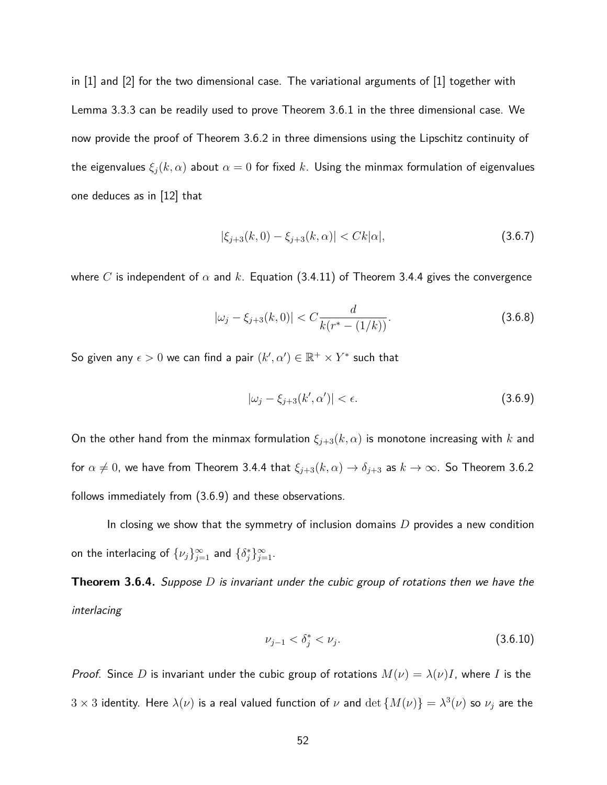in [1] and [2] for the two dimensional case. The variational arguments of [1] together with Lemma 3.3.3 can be readily used to prove Theorem 3.6.1 in the three dimensional case. We now provide the proof of Theorem 3.6.2 in three dimensions using the Lipschitz continuity of the eigenvalues  $\xi_j(k,\alpha)$  about  $\alpha=0$  for fixed *k*. Using the minmax formulation of eigenvalues one deduces as in [12] that

$$
|\xi_{j+3}(k,0) - \xi_{j+3}(k,\alpha)| < Ck|\alpha|,\tag{3.6.7}
$$

where *C* is independent of  $\alpha$  and  $k$ . Equation (3.4.11) of Theorem 3.4.4 gives the convergence

$$
|\omega_j - \xi_{j+3}(k,0)| < C \frac{d}{k(r^* - (1/k))}.\tag{3.6.8}
$$

So given any  $\epsilon > 0$  we can find a pair  $(k', \alpha') \in \mathbb{R}^+ \times Y^*$  such that

$$
|\omega_j - \xi_{j+3}(k', \alpha')| < \epsilon. \tag{3.6.9}
$$

On the other hand from the minmax formulation  $\xi_{j+3}(k,\alpha)$  is monotone increasing with  $k$  and for  $\alpha \neq 0$ , we have from Theorem 3.4.4 that  $\xi_{j+3}(k,\alpha) \to \delta_{j+3}$  as  $k \to \infty$ . So Theorem 3.6.2 follows immediately from (3.6.9) and these observations.

In closing we show that the symmetry of inclusion domains *D* provides a new condition on the interlacing of  $\{\nu_j\}_{j=1}^{\infty}$  and  $\{\delta_j^*\}_{j=1}^{\infty}$ .

**Theorem 3.6.4.** Suppose *D* is invariant under the cubic group of rotations then we have the interlacing

$$
\nu_{j-1} < \delta_j^* < \nu_j. \tag{3.6.10}
$$

*Proof.* Since *D* is invariant under the cubic group of rotations  $M(\nu) = \lambda(\nu)I$ , where *I* is the  $3\times 3$  identity. Here  $\lambda(\nu)$  is a real valued function of  $\nu$  and  $\det\{M(\nu)\}=\lambda^3(\nu)$  so  $\nu_j$  are the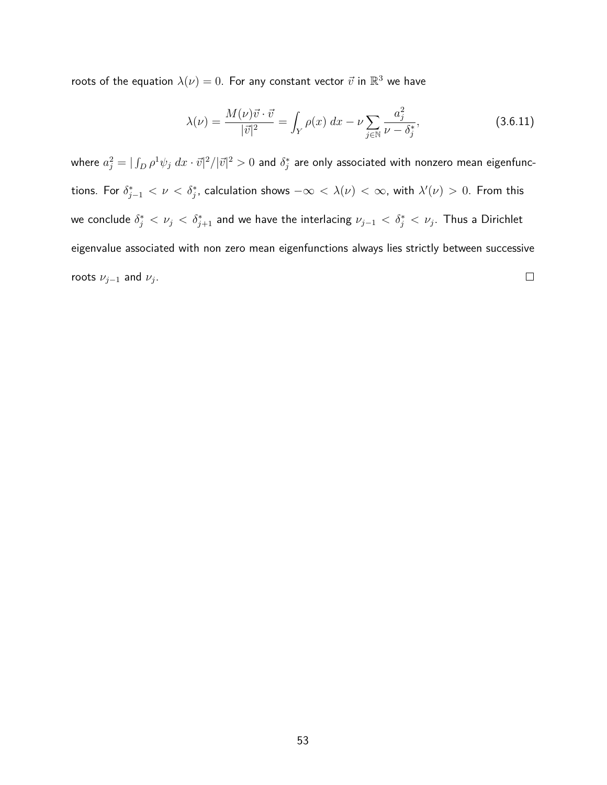roots of the equation  $\lambda(\nu)=0.$  For any constant vector  $\vec{v}$  in  $\mathbb{R}^3$  we have

$$
\lambda(\nu) = \frac{M(\nu)\vec{v} \cdot \vec{v}}{|\vec{v}|^2} = \int_Y \rho(x) \, dx - \nu \sum_{j \in \mathbb{N}} \frac{a_j^2}{\nu - \delta_j^*},\tag{3.6.11}
$$

where  $a_j^2=|\int_D\rho^1\psi_j\ dx\cdot\vec{v}|^2/|\vec{v}|^2>0$  and  $\delta_j^*$  are only associated with nonzero mean eigenfunc- $\lambda$  tions. For  $\delta^*_{j-1} < \nu < \delta^*_j$ , calculation shows  $-\infty < \lambda(\nu) < \infty$ , with  $\lambda'(\nu) > 0$ . From this we conclude  $\delta^*_j < \nu_j < \delta^*_{j+1}$  and we have the interlacing  $\nu_{j-1} < \delta^*_j < \nu_j.$  Thus a Dirichlet eigenvalue associated with non zero mean eigenfunctions always lies strictly between successive  $\Box$ roots  $\nu_{j-1}$  and  $\nu_j$ .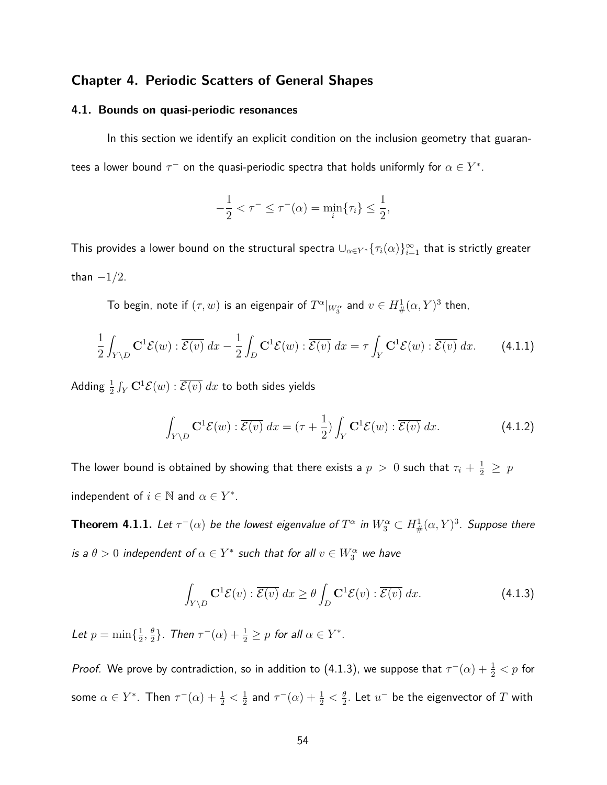## **Chapter 4. Periodic Scatters of General Shapes**

#### **4.1. Bounds on quasi-periodic resonances**

In this section we identify an explicit condition on the inclusion geometry that guarantees a lower bound  $\tau^-$  on the quasi-periodic spectra that holds uniformly for  $\alpha \in Y^*.$ 

$$
-\frac{1}{2} < \tau^- \leq \tau^-(\alpha) = \min_i \{\tau_i\} \leq \frac{1}{2},
$$

This provides a lower bound on the structural spectra  $\cup_{\alpha\in Y^*}\{\tau_i(\alpha)\}_{i=1}^\infty$  that is strictly greater than  $-1/2$ .

To begin, note if  $(\tau,w)$  is an eigenpair of  $T^\alpha|_{W^\alpha_3}$  and  $v\in H^1_\#(\alpha,Y)^3$  then,

$$
\frac{1}{2} \int_{Y \setminus D} \mathbf{C}^1 \mathcal{E}(w) : \overline{\mathcal{E}(v)} dx - \frac{1}{2} \int_D \mathbf{C}^1 \mathcal{E}(w) : \overline{\mathcal{E}(v)} dx = \tau \int_Y \mathbf{C}^1 \mathcal{E}(w) : \overline{\mathcal{E}(v)} dx. \tag{4.1.1}
$$

 $\mathsf{Adding}~ \frac{1}{2}\int_Y \mathbf{C}^1 \mathcal{E}(w) : \overline{\mathcal{E}(v)} \; dx$  to both sides yields

$$
\int_{Y \setminus D} \mathbf{C}^1 \mathcal{E}(w) : \overline{\mathcal{E}(v)} dx = (\tau + \frac{1}{2}) \int_Y \mathbf{C}^1 \mathcal{E}(w) : \overline{\mathcal{E}(v)} dx.
$$
 (4.1.2)

The lower bound is obtained by showing that there exists a  $p~>~0$  such that  $\tau_i + \frac{1}{2}~\geq~p$ independent of  $i \in \mathbb{N}$  and  $\alpha \in Y^*$ .

**Theorem 4.1.1.** Let  $\tau^-(\alpha)$  be the lowest eigenvalue of  $T^\alpha$  in  $W^\alpha_3\subset H^1_\#(\alpha,Y)^3$ . Suppose there is a  $\theta > 0$  independent of  $\alpha \in Y^*$  such that for all  $v \in W_3^{\alpha}$  we have

$$
\int_{Y \setminus D} \mathbf{C}^1 \mathcal{E}(v) : \overline{\mathcal{E}(v)} dx \ge \theta \int_D \mathbf{C}^1 \mathcal{E}(v) : \overline{\mathcal{E}(v)} dx.
$$
\n(4.1.3)

Let  $p = \min\{\frac{1}{2}$  $\frac{1}{2}, \frac{\theta}{2}$  $\frac{\theta}{2}$ }. Then  $\tau^-(\alpha) + \frac{1}{2} \geq p$  for all  $\alpha \in Y^*$ .

*Proof.* We prove by contradiction, so in addition to (4.1.3), we suppose that  $\tau^-(\alpha)+\frac{1}{2}< p$  for some  $\alpha \in Y^*$ . Then  $\tau^-(\alpha) + \frac{1}{2} < \frac{1}{2}$  $\frac{1}{2}$  and  $\tau^-(\alpha) + \frac{1}{2} < \frac{\theta}{2}$  $\frac{\theta}{2}.$  Let  $u^-$  be the eigenvector of  $T$  with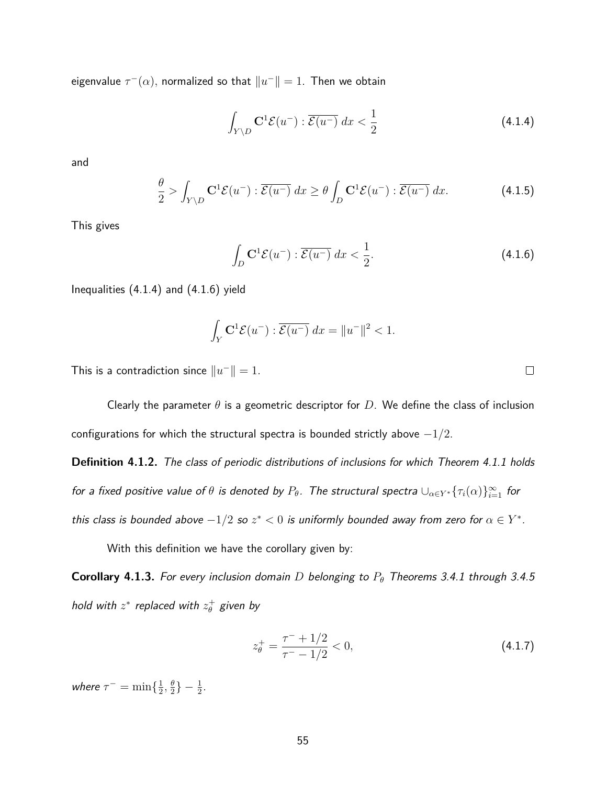eigenvalue  $\tau^-(\alpha)$ , normalized so that  $\|u^-\|=1.$  Then we obtain

$$
\int_{Y \setminus D} \mathbf{C}^1 \mathcal{E}(u^-) : \overline{\mathcal{E}(u^-)} \, dx < \frac{1}{2} \tag{4.1.4}
$$

and

$$
\frac{\theta}{2} > \int_{Y \setminus D} \mathbf{C}^1 \mathcal{E}(u^-) : \overline{\mathcal{E}(u^-)} dx \ge \theta \int_D \mathbf{C}^1 \mathcal{E}(u^-) : \overline{\mathcal{E}(u^-)} dx. \tag{4.1.5}
$$

This gives

$$
\int_{D} \mathbf{C}^{1} \mathcal{E}(u^{-}) : \overline{\mathcal{E}(u^{-})} dx < \frac{1}{2}.
$$
\n(4.1.6)

Inequalities (4.1.4) and (4.1.6) yield

$$
\int_Y \mathbf{C}^1 \mathcal{E}(u^-) : \overline{\mathcal{E}(u^-)} dx = ||u^-||^2 < 1.
$$

This is a contradiction since  $||u^-|| = 1$ .

Clearly the parameter *θ* is a geometric descriptor for *D*. We define the class of inclusion configurations for which the structural spectra is bounded strictly above −1*/*2.

**Definition 4.1.2.** The class of periodic distributions of inclusions for which Theorem 4.1.1 holds for a fixed positive value of  $\theta$  is denoted by  $P_\theta$ . The structural spectra  $\cup_{\alpha\in Y^*}\{\tau_i(\alpha)\}_{i=1}^\infty$  for this class is bounded above  $-1/2$  so  $z^* < 0$  is uniformly bounded away from zero for  $\alpha \in Y^*$ .

With this definition we have the corollary given by:

**Corollary 4.1.3.** For every inclusion domain *D* belonging to *P<sup>θ</sup>* Theorems 3.4.1 through 3.4.5 hold with  $z^*$  replaced with  $z_\theta^+$  given by

$$
z_{\theta}^{+} = \frac{\tau^{-} + 1/2}{\tau^{-} - 1/2} < 0,\tag{4.1.7}
$$

where  $\tau^- = \min\{\frac{1}{2}$  $\frac{1}{2}$ ,  $\frac{\theta}{2}$  $\frac{\theta}{2}$ } -  $\frac{1}{2}$ .  $\Box$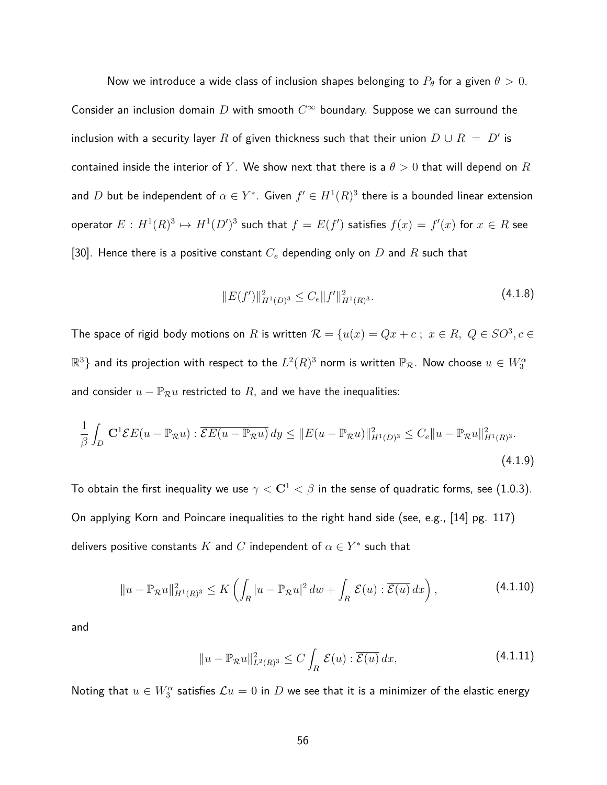Now we introduce a wide class of inclusion shapes belonging to  $P_\theta$  for a given  $\theta > 0$ . Consider an inclusion domain *D* with smooth *C* <sup>∞</sup> boundary. Suppose we can surround the inclusion with a security layer  $R$  of given thickness such that their union  $D\cup R\ =\ D'$  is contained inside the interior of *Y*. We show next that there is a  $\theta > 0$  that will depend on *R* and  $D$  but be independent of  $\alpha \in Y^*.$  Given  $f' \in H^1(R)^3$  there is a bounded linear extension  $\mathcal{L} \circ \mathcal{L} \circ \mathcal{L} \circ \mathcal{L} \circ \mathcal{L} \circ \mathcal{L} \circ \mathcal{L} \circ \mathcal{L} \circ \mathcal{L} \circ \mathcal{L} \circ \mathcal{L} \circ \mathcal{L} \circ \mathcal{L} \circ \mathcal{L} \circ \mathcal{L} \circ \mathcal{L} \circ \mathcal{L} \circ \mathcal{L} \circ \mathcal{L} \circ \mathcal{L} \circ \mathcal{L} \circ \mathcal{L} \circ \mathcal{L} \circ \mathcal{L} \circ \mathcal{L} \circ \mathcal{L} \circ \mathcal{L} \circ \mathcal{$ [30]. Hence there is a positive constant *C<sup>e</sup>* depending only on *D* and *R* such that

$$
||E(f')||_{H^{1}(D)^{3}}^{2} \leq C_{e}||f'||_{H^{1}(R)^{3}}^{2}.
$$
\n(4.1.8)

The space of rigid body motions on *R* is written  $\mathcal{R} = \{u(x) = Qx + c \; ; \; x \in R, \; Q \in SO^3, c \in \mathcal{R} \}$  $\mathbb{R}^3\}$  and its projection with respect to the  $L^2(R)^3$  norm is written  $\mathbb{P}_\mathcal{R}.$  Now choose  $u\in W_3^\alpha$ and consider  $u - \mathbb{P}_{\mathcal{R}}u$  restricted to  $R$ , and we have the inequalities:

$$
\frac{1}{\beta} \int_D \mathbf{C}^1 \mathcal{E} E(u - \mathbb{P}_{\mathcal{R}} u) : \overline{\mathcal{E} E(u - \mathbb{P}_{\mathcal{R}} u)} dy \le ||E(u - \mathbb{P}_{\mathcal{R}} u)||_{H^1(D)^3}^2 \le C_e ||u - \mathbb{P}_{\mathcal{R}} u||_{H^1(R)^3}^2.
$$
\n(4.1.9)

To obtain the first inequality we use  $\gamma <$  C<sup>1</sup>  $< \beta$  in the sense of quadratic forms, see (1.0.3). On applying Korn and Poincare inequalities to the right hand side (see, e.g., [14] pg. 117) delivers positive constants  $K$  and  $C$  independent of  $\alpha \in Y^*$  such that

$$
||u - \mathbb{P}_{\mathcal{R}}u||_{H^1(R)^3}^2 \le K\left(\int_R |u - \mathbb{P}_{\mathcal{R}}u|^2 \, dw + \int_R \mathcal{E}(u) : \overline{\mathcal{E}(u)} \, dx\right),\tag{4.1.10}
$$

and

$$
||u - \mathbb{P}_{\mathcal{R}}u||_{L^{2}(R)^{3}}^{2} \leq C \int_{R} \mathcal{E}(u) : \overline{\mathcal{E}(u)} dx,
$$
\n(4.1.11)

Noting that  $u\in W_3^\alpha$  satisfies  $\mathcal{L}u=0$  in  $D$  we see that it is a minimizer of the elastic energy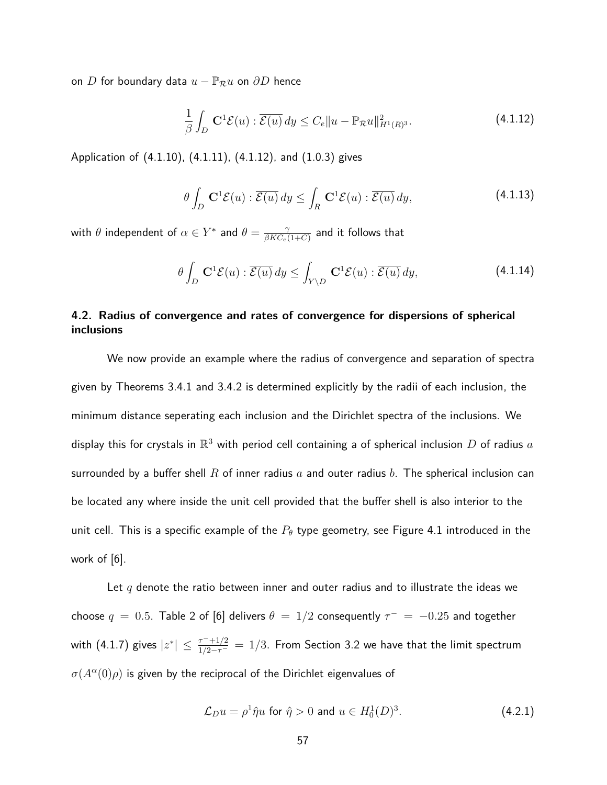on *D* for boundary data  $u - \mathbb{P}_R u$  on  $\partial D$  hence

$$
\frac{1}{\beta} \int_{D} \mathbf{C}^{1} \mathcal{E}(u) : \overline{\mathcal{E}(u)} dy \leq C_{e} \|u - \mathbb{P}_{\mathcal{R}} u\|_{H^{1}(R)^{3}}^{2}.
$$
\n(4.1.12)

Application of (4.1.10), (4.1.11), (4.1.12), and (1.0.3) gives

$$
\theta \int_{D} \mathbf{C}^{1} \mathcal{E}(u) : \overline{\mathcal{E}(u)} dy \le \int_{R} \mathbf{C}^{1} \mathcal{E}(u) : \overline{\mathcal{E}(u)} dy,
$$
\n(4.1.13)

with  $\theta$  independent of  $\alpha \in Y^*$  and  $\theta = \frac{\gamma}{\beta K C}$  $\frac{\gamma}{\beta KC_e(1+C)}$  and it follows that

$$
\theta \int_{D} \mathbf{C}^{1} \mathcal{E}(u) : \overline{\mathcal{E}(u)} dy \le \int_{Y \setminus D} \mathbf{C}^{1} \mathcal{E}(u) : \overline{\mathcal{E}(u)} dy,
$$
\n(4.1.14)

# **4.2. Radius of convergence and rates of convergence for dispersions of spherical inclusions**

We now provide an example where the radius of convergence and separation of spectra given by Theorems 3.4.1 and 3.4.2 is determined explicitly by the radii of each inclusion, the minimum distance seperating each inclusion and the Dirichlet spectra of the inclusions. We display this for crystals in  $\mathbb{R}^3$  with period cell containing a of spherical inclusion  $D$  of radius  $a$ surrounded by a buffer shell *R* of inner radius *a* and outer radius *b*. The spherical inclusion can be located any where inside the unit cell provided that the buffer shell is also interior to the unit cell. This is a specific example of the *P<sup>θ</sup>* type geometry, see Figure 4.1 introduced in the work of [6].

Let *q* denote the ratio between inner and outer radius and to illustrate the ideas we choose  $q = 0.5$ . Table 2 of [6] delivers  $\theta = 1/2$  consequently  $\tau^+ = -0.25$  and together with (4.1.7) gives  $|z^*|\leq \frac{\tau^-+1/2}{1/2-\tau^-}=1/3.$  From Section 3.2 we have that the limit spectrum  $\sigma(A^{\alpha}(0)\rho)$  is given by the reciprocal of the Dirichlet eigenvalues of

$$
\mathcal{L}_D u = \rho^1 \hat{\eta} u \text{ for } \hat{\eta} > 0 \text{ and } u \in H_0^1(D)^3. \tag{4.2.1}
$$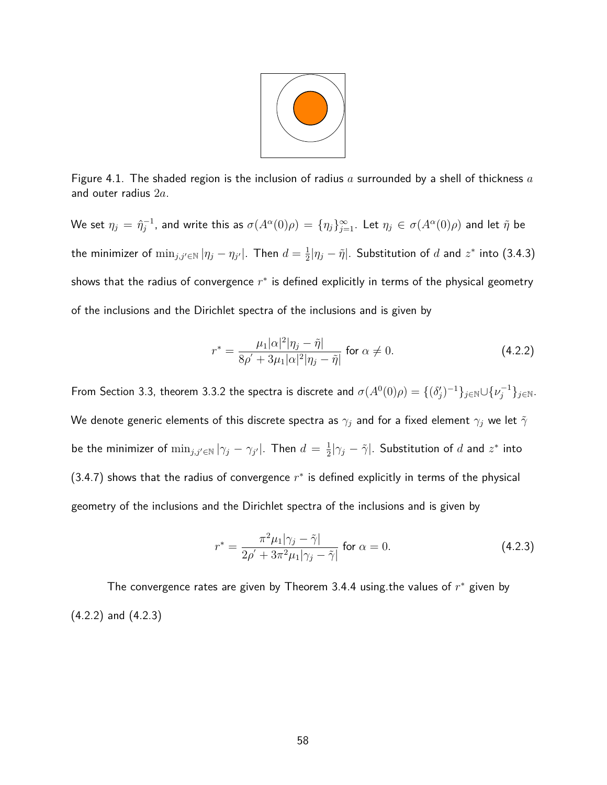

Figure 4.1. The shaded region is the inclusion of radius *a* surrounded by a shell of thickness *a* and outer radius 2*a*.

 $\mathsf{W}\mathsf{e}$  set  $\eta_j = \hat{\eta}_j^{-1}$ , and write this as  $\sigma(A^\alpha(0)\rho) = \{\eta_j\}_{j=1}^\infty.$  Let  $\eta_j\in\sigma(A^\alpha(0)\rho)$  and let  $\tilde{\eta}$  be the minimizer of  $\min_{j,j'\in\mathbb{N}}|\eta_j-\eta_{j'}|$ . Then  $d=\frac{1}{2}$  $\frac{1}{2}|\eta_j-\tilde{\eta}|.$  Substitution of  $d$  and  $z^*$  into (3.4.3) shows that the radius of convergence *r* ∗ is defined explicitly in terms of the physical geometry of the inclusions and the Dirichlet spectra of the inclusions and is given by

$$
r^* = \frac{\mu_1|\alpha|^2|\eta_j - \tilde{\eta}|}{8\rho' + 3\mu_1|\alpha|^2|\eta_j - \tilde{\eta}|} \text{ for } \alpha \neq 0.
$$
 (4.2.2)

From Section 3.3, theorem 3.3.2 the spectra is discrete and  $\sigma(A^0(0)\rho)=\{(\delta_j')^{-1}\}_{j\in\mathbb{N}}\cup\{\nu_j^{-1}\}_{j\in\mathbb{N}}.$ We denote generic elements of this discrete spectra as  $\gamma_j$  and for a fixed element  $\gamma_j$  we let  $\tilde{\gamma}$ be the minimizer of  $\min_{j,j'\in\mathbb{N}}|\gamma_j-\gamma_{j'}|$ . Then  $d=\frac{1}{2}$  $\frac{1}{2}|\gamma_j-\tilde{\gamma}|.$  Substitution of  $d$  and  $z^*$  into  $(3.4.7)$  shows that the radius of convergence  $r^*$  is defined explicitly in terms of the physical geometry of the inclusions and the Dirichlet spectra of the inclusions and is given by

$$
r^* = \frac{\pi^2 \mu_1 |\gamma_j - \tilde{\gamma}|}{2\rho' + 3\pi^2 \mu_1 |\gamma_j - \tilde{\gamma}|} \text{ for } \alpha = 0.
$$
 (4.2.3)

The convergence rates are given by Theorem 3.4.4 using.the values of *r* <sup>∗</sup> given by (4.2.2) and (4.2.3)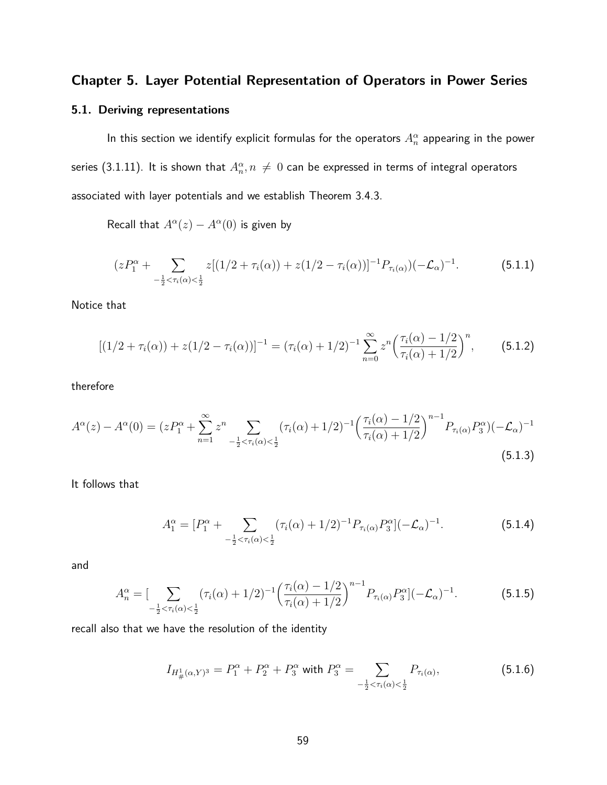# **Chapter 5. Layer Potential Representation of Operators in Power Series**

## **5.1. Deriving representations**

In this section we identify explicit formulas for the operators  $A^\alpha_n$  appearing in the power series (3.1.11). It is shown that  $A^{\alpha}_{n}, n \, \neq \, 0$  can be expressed in terms of integral operators associated with layer potentials and we establish Theorem 3.4.3.

Recall that  $A^{\alpha}(z) - A^{\alpha}(0)$  is given by

$$
(zP_1^{\alpha} + \sum_{-\frac{1}{2} < \tau_i(\alpha) < \frac{1}{2}} z[(1/2 + \tau_i(\alpha)) + z(1/2 - \tau_i(\alpha))]^{-1} P_{\tau_i(\alpha)}(-\mathcal{L}_{\alpha})^{-1}.
$$
 (5.1.1)

Notice that

$$
[(1/2 + \tau_i(\alpha)) + z(1/2 - \tau_i(\alpha))]^{-1} = (\tau_i(\alpha) + 1/2)^{-1} \sum_{n=0}^{\infty} z^n \left(\frac{\tau_i(\alpha) - 1/2}{\tau_i(\alpha) + 1/2}\right)^n, \tag{5.1.2}
$$

therefore

$$
A^{\alpha}(z) - A^{\alpha}(0) = (zP_1^{\alpha} + \sum_{n=1}^{\infty} z^n \sum_{-\frac{1}{2} < \tau_i(\alpha) < \frac{1}{2}} (\tau_i(\alpha) + 1/2)^{-1} \left(\frac{\tau_i(\alpha) - 1/2}{\tau_i(\alpha) + 1/2}\right)^{n-1} P_{\tau_i(\alpha)} P_3^{\alpha} \left| (-\mathcal{L}_{\alpha})^{-1} \right]
$$
\n(5.1.3)

It follows that

$$
A_1^{\alpha} = [P_1^{\alpha} + \sum_{-\frac{1}{2} < \tau_i(\alpha) < \frac{1}{2}} (\tau_i(\alpha) + 1/2)^{-1} P_{\tau_i(\alpha)} P_3^{\alpha}] (-\mathcal{L}_{\alpha})^{-1}.\tag{5.1.4}
$$

and

$$
A_n^{\alpha} = \left[ \sum_{-\frac{1}{2} < \tau_i(\alpha) < \frac{1}{2}} (\tau_i(\alpha) + 1/2)^{-1} \left( \frac{\tau_i(\alpha) - 1/2}{\tau_i(\alpha) + 1/2} \right)^{n-1} P_{\tau_i(\alpha)} P_3^{\alpha} \right] (-\mathcal{L}_{\alpha})^{-1} . \tag{5.1.5}
$$

recall also that we have the resolution of the identity

$$
I_{H^1_{\#}(\alpha,Y)^3} = P_1^{\alpha} + P_2^{\alpha} + P_3^{\alpha} \text{ with } P_3^{\alpha} = \sum_{-\frac{1}{2} < \tau_i(\alpha) < \frac{1}{2}} P_{\tau_i(\alpha)},\tag{5.1.6}
$$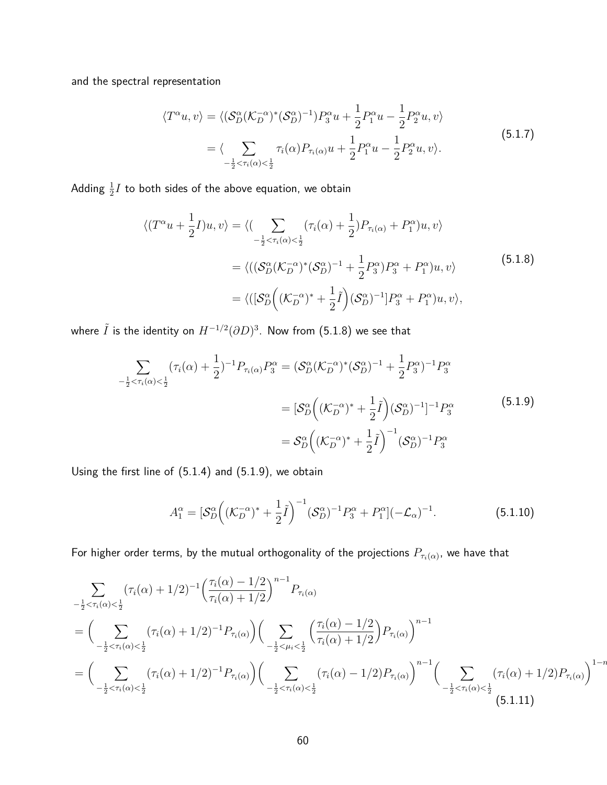and the spectral representation

$$
\langle T^{\alpha}u, v \rangle = \langle (\mathcal{S}_D^{\alpha}(\mathcal{K}_D^{-\alpha})^*(\mathcal{S}_D^{\alpha})^{-1}) P_3^{\alpha} u + \frac{1}{2} P_1^{\alpha} u - \frac{1}{2} P_2^{\alpha} u, v \rangle
$$
  
= 
$$
\langle \sum_{-\frac{1}{2} < \tau_i(\alpha) < \frac{1}{2}} \tau_i(\alpha) P_{\tau_i(\alpha)} u + \frac{1}{2} P_1^{\alpha} u - \frac{1}{2} P_2^{\alpha} u, v \rangle. \tag{5.1.7}
$$

Adding  $\frac{1}{2} I$  to both sides of the above equation, we obtain

$$
\langle (T^{\alpha}u + \frac{1}{2}I)u, v \rangle = \langle \left( \sum_{-\frac{1}{2} < \tau_i(\alpha) < \frac{1}{2}} (\tau_i(\alpha) + \frac{1}{2})P_{\tau_i(\alpha)} + P_1^{\alpha} u, v \rangle \right)
$$
  

$$
= \langle \left( (\mathcal{S}_D^{\alpha}(\mathcal{K}_D^{-\alpha})^*(\mathcal{S}_D^{\alpha})^{-1} + \frac{1}{2}P_3^{\alpha} P_3^{\alpha} + P_1^{\alpha} u, v \right) \rangle
$$
  

$$
= \langle \left( [\mathcal{S}_D^{\alpha}((\mathcal{K}_D^{-\alpha})^* + \frac{1}{2}\tilde{I})(\mathcal{S}_D^{\alpha})^{-1} P_3^{\alpha} + P_1^{\alpha} u, v \right), \rangle
$$
(5.1.8)

where  $\tilde{I}$  is the identity on  $H^{-1/2}(\partial D)^3.$  Now from (5.1.8) we see that

$$
\sum_{-\frac{1}{2} < \tau_i(\alpha) < \frac{1}{2}} (\tau_i(\alpha) + \frac{1}{2})^{-1} P_{\tau_i(\alpha)} P_3^{\alpha} = (\mathcal{S}_D^{\alpha} (\mathcal{K}_D^{-\alpha})^* (\mathcal{S}_D^{\alpha})^{-1} + \frac{1}{2} P_3^{\alpha})^{-1} P_3^{\alpha}
$$
\n
$$
= [\mathcal{S}_D^{\alpha} ((\mathcal{K}_D^{-\alpha})^* + \frac{1}{2}\tilde{I})(\mathcal{S}_D^{\alpha})^{-1}]^{-1} P_3^{\alpha}
$$
\n
$$
= \mathcal{S}_D^{\alpha} ((\mathcal{K}_D^{-\alpha})^* + \frac{1}{2}\tilde{I})^{-1} (\mathcal{S}_D^{\alpha})^{-1} P_3^{\alpha}
$$
\n(5.1.9)

Using the first line of (5.1.4) and (5.1.9), we obtain

$$
A_1^{\alpha} = \left[ \mathcal{S}_D^{\alpha} \left( (\mathcal{K}_D^{-\alpha})^* + \frac{1}{2} \tilde{I} \right)^{-1} (\mathcal{S}_D^{\alpha})^{-1} P_3^{\alpha} + P_1^{\alpha} \right] (-\mathcal{L}_{\alpha})^{-1}.
$$
 (5.1.10)

For higher order terms, by the mutual orthogonality of the projections  $P_{\tau_i(\alpha)}$ , we have that

$$
\sum_{-\frac{1}{2}<\tau_i(\alpha)<\frac{1}{2}} (\tau_i(\alpha)+1/2)^{-1} \left(\frac{\tau_i(\alpha)-1/2}{\tau_i(\alpha)+1/2}\right)^{n-1} P_{\tau_i(\alpha)} \n= \Big( \sum_{-\frac{1}{2}<\tau_i(\alpha)<\frac{1}{2}} (\tau_i(\alpha)+1/2)^{-1} P_{\tau_i(\alpha)} \Big) \Big( \sum_{-\frac{1}{2}<\mu_i<\frac{1}{2}} \left(\frac{\tau_i(\alpha)-1/2}{\tau_i(\alpha)+1/2}\right) P_{\tau_i(\alpha)} \Big)^{n-1} \n= \Big( \sum_{-\frac{1}{2}<\tau_i(\alpha)<\frac{1}{2}} (\tau_i(\alpha)+1/2)^{-1} P_{\tau_i(\alpha)} \Big) \Big( \sum_{-\frac{1}{2}<\tau_i(\alpha)<\frac{1}{2}} (\tau_i(\alpha)-1/2) P_{\tau_i(\alpha)} \Big)^{n-1} \Big( \sum_{-\frac{1}{2}<\tau_i(\alpha)<\frac{1}{2}} (\tau_i(\alpha)+1/2) P_{\tau_i(\alpha)} \Big)^{1} \n= 5.1.11
$$

1−*<sup>n</sup>*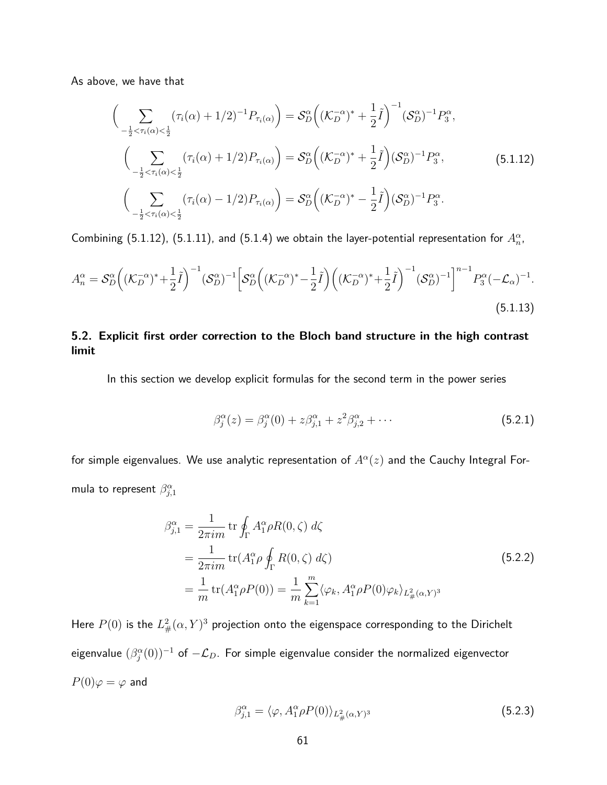As above, we have that

$$
\begin{aligned}\n&\left(\sum_{-\frac{1}{2}<\tau_i(\alpha)<\frac{1}{2}} (\tau_i(\alpha)+1/2)^{-1}P_{\tau_i(\alpha)}\right) = \mathcal{S}_D^{\alpha}\Big((\mathcal{K}_D^{-\alpha})^* + \frac{1}{2}\tilde{I}\Big)^{-1}(\mathcal{S}_D^{\alpha})^{-1}P_3^{\alpha}, \\
&\left(\sum_{-\frac{1}{2}<\tau_i(\alpha)<\frac{1}{2}} (\tau_i(\alpha)+1/2)P_{\tau_i(\alpha)}\right) = \mathcal{S}_D^{\alpha}\Big((\mathcal{K}_D^{-\alpha})^* + \frac{1}{2}\tilde{I}\Big)(\mathcal{S}_D^{\alpha})^{-1}P_3^{\alpha},\n\end{aligned} \tag{5.1.12}
$$
\n
$$
\left(\sum_{-\frac{1}{2}<\tau_i(\alpha)<\frac{1}{2}} (\tau_i(\alpha)-1/2)P_{\tau_i(\alpha)}\right) = \mathcal{S}_D^{\alpha}\Big((\mathcal{K}_D^{-\alpha})^* - \frac{1}{2}\tilde{I}\Big)(\mathcal{S}_D^{\alpha})^{-1}P_3^{\alpha}.
$$

Combining (5.1.12), (5.1.11), and (5.1.4) we obtain the layer-potential representation for  $A_n^{\alpha}$ ,

$$
A_n^{\alpha} = \mathcal{S}_D^{\alpha} \left( (\mathcal{K}_D^{-\alpha})^* + \frac{1}{2} \tilde{I} \right)^{-1} (\mathcal{S}_D^{\alpha})^{-1} \left[ \mathcal{S}_D^{\alpha} \left( (\mathcal{K}_D^{-\alpha})^* - \frac{1}{2} \tilde{I} \right) \left( (\mathcal{K}_D^{-\alpha})^* + \frac{1}{2} \tilde{I} \right)^{-1} (\mathcal{S}_D^{\alpha})^{-1} \right]^{n-1} P_3^{\alpha} (-\mathcal{L}_{\alpha})^{-1}.
$$
\n
$$
(5.1.13)
$$

# **5.2. Explicit first order correction to the Bloch band structure in the high contrast limit**

In this section we develop explicit formulas for the second term in the power series

$$
\beta_j^{\alpha}(z) = \beta_j^{\alpha}(0) + z\beta_{j,1}^{\alpha} + z^2\beta_{j,2}^{\alpha} + \cdots
$$
 (5.2.1)

for simple eigenvalues. We use analytic representation of  $A^\alpha(z)$  and the Cauchy Integral Formula to represent  $\beta_{j,1}^{\alpha}$ 

$$
\beta_{j,1}^{\alpha} = \frac{1}{2\pi im} \operatorname{tr} \oint_{\Gamma} A_1^{\alpha} \rho R(0,\zeta) d\zeta
$$
  
\n
$$
= \frac{1}{2\pi im} \operatorname{tr} (A_1^{\alpha} \rho \oint_{\Gamma} R(0,\zeta) d\zeta)
$$
  
\n
$$
= \frac{1}{m} \operatorname{tr} (A_1^{\alpha} \rho P(0)) = \frac{1}{m} \sum_{k=1}^{m} \langle \varphi_k, A_1^{\alpha} \rho P(0) \varphi_k \rangle_{L^2_{\#}(\alpha,Y)^3}
$$
\n(5.2.2)

Here  $P(0)$  is the  $L^2_{\#}(\alpha,Y)^3$  projection onto the eigenspace corresponding to the Dirichelt eigenvalue  $(\beta_j^{\alpha}(0))^{-1}$  of  $-\mathcal{L}_D.$  For simple eigenvalue consider the normalized eigenvector  $P(0)\varphi = \varphi$  and

$$
\beta_{j,1}^{\alpha} = \langle \varphi, A_1^{\alpha} \rho P(0) \rangle_{L^2_{\#}(\alpha, Y)^3}
$$
\n(5.2.3)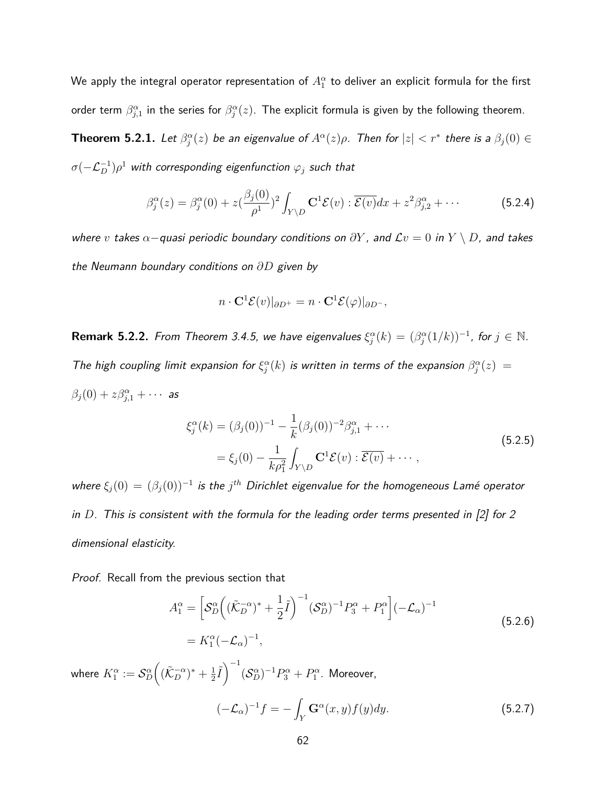We apply the integral operator representation of  $A_1^\alpha$  to deliver an explicit formula for the first order term  $\beta^{\alpha}_{j,1}$  in the series for  $\beta^{\alpha}_j(z)$ . The explicit formula is given by the following theorem.

**Theorem 5.2.1.** Let  $\beta_j^{\alpha}(z)$  be an eigenvalue of  $A^{\alpha}(z)\rho$ . Then for  $|z| < r^*$  there is a  $\beta_j(0) \in$  $\sigma(-\mathcal{L}_D^{-1})\rho^1$  with corresponding eigenfunction  $\varphi_j$  such that

$$
\beta_j^{\alpha}(z) = \beta_j^{\alpha}(0) + z \left(\frac{\beta_j(0)}{\rho^1}\right)^2 \int_{Y \setminus D} \mathbf{C}^1 \mathcal{E}(v) : \overline{\mathcal{E}(v)} dx + z^2 \beta_{j,2}^{\alpha} + \cdots
$$
 (5.2.4)

where *v* takes *α*−quasi periodic boundary conditions on *∂Y* , and L*v* = 0 in *Y* \ *D*, and takes the Neumann boundary conditions on *∂D* given by

$$
n \cdot \mathbf{C}^1 \mathcal{E}(v)|_{\partial D^+} = n \cdot \mathbf{C}^1 \mathcal{E}(\varphi)|_{\partial D^-},
$$

**Remark 5.2.2.** From Theorem 3.4.5, we have eigenvalues  $\xi_j^{\alpha}(k) = (\beta_j^{\alpha}(1/k))^{-1}$ , for  $j \in \mathbb{N}$ . The high coupling limit expansion for  $\xi_j^{\alpha}(k)$  is written in terms of the expansion  $\beta_j^{\alpha}(z) =$  $\beta_j(0) + z\beta_{j,1}^{\alpha} + \cdots$  as

$$
\xi_j^{\alpha}(k) = (\beta_j(0))^{-1} - \frac{1}{k} (\beta_j(0))^{-2} \beta_{j,1}^{\alpha} + \cdots
$$
  
=  $\xi_j(0) - \frac{1}{k \beta_1^2} \int_{Y \setminus D} \mathbf{C}^1 \mathcal{E}(v) : \overline{\mathcal{E}(v)} + \cdots,$  (5.2.5)

where  $\xi_j(0) = (\beta_j(0))^{-1}$  is the  $j^{th}$  Dirichlet eigenvalue for the homogeneous Lamé operator in *D*. This is consistent with the formula for the leading order terms presented in [2] for 2 dimensional elasticity.

Proof. Recall from the previous section that

*A*

$$
A_1^{\alpha} = \left[ S_D^{\alpha} \left( (\tilde{\mathcal{K}}_D^{-\alpha})^* + \frac{1}{2} \tilde{I} \right)^{-1} (\mathcal{S}_D^{\alpha})^{-1} P_3^{\alpha} + P_1^{\alpha} \right] (-\mathcal{L}_{\alpha})^{-1}
$$
  
=  $K_1^{\alpha} (-\mathcal{L}_{\alpha})^{-1},$  (5.2.6)

where  $K_1^{\alpha} := \mathcal{S}_D^{\alpha}$  $\left( (\tilde{\mathcal{K}}_D^{-\alpha})^* + \frac{1}{2} \right)$  $\frac{1}{2}\widetilde{I}\Bigr)^{-1}(\mathcal{S}_D^\alpha)^{-1}P_3^\alpha+P_1^\alpha.$  Moreover,

$$
(-\mathcal{L}_{\alpha})^{-1}f = -\int_{Y} \mathbf{G}^{\alpha}(x, y)f(y)dy.
$$
 (5.2.7)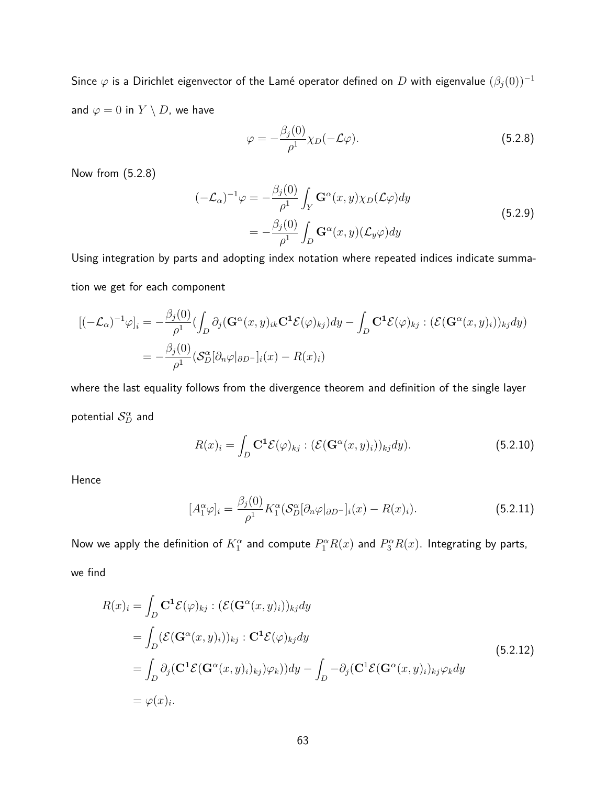Since  $\varphi$  is a Dirichlet eigenvector of the Lamé operator defined on *D* with eigenvalue  $(\beta_j(0))^{-1}$ and  $\varphi = 0$  in  $Y \setminus D$ , we have

$$
\varphi = -\frac{\beta_j(0)}{\rho^1} \chi_D(-\mathcal{L}\varphi). \tag{5.2.8}
$$

Now from (5.2.8)

$$
(-\mathcal{L}_{\alpha})^{-1}\varphi = -\frac{\beta_j(0)}{\rho^1} \int_Y \mathbf{G}^{\alpha}(x, y) \chi_D(\mathcal{L}\varphi) dy
$$
  
= 
$$
-\frac{\beta_j(0)}{\rho^1} \int_D \mathbf{G}^{\alpha}(x, y) (\mathcal{L}_y \varphi) dy
$$
 (5.2.9)

Using integration by parts and adopting index notation where repeated indices indicate summation we get for each component

$$
\begin{aligned} \left[ (-\mathcal{L}_{\alpha})^{-1} \varphi \right]_i &= -\frac{\beta_j(0)}{\rho^1} \left( \int_D \partial_j (\mathbf{G}^{\alpha}(x, y)_{ik} \mathbf{C}^1 \mathcal{E}(\varphi)_{kj}) dy - \int_D \mathbf{C}^1 \mathcal{E}(\varphi)_{kj} : (\mathcal{E}(\mathbf{G}^{\alpha}(x, y)_i))_{kj} dy \right) \\ &= -\frac{\beta_j(0)}{\rho^1} (\mathcal{S}^{\alpha}_D [\partial_n \varphi]_{\partial D^-}]_i(x) - R(x)_i) \end{aligned}
$$

where the last equality follows from the divergence theorem and definition of the single layer potential  $\mathcal{S}_D^\alpha$  and

$$
R(x)_i = \int_D \mathbf{C}^1 \mathcal{E}(\varphi)_{kj} : (\mathcal{E}(\mathbf{G}^\alpha(x, y)_i))_{kj} dy). \tag{5.2.10}
$$

Hence

$$
[A_1^{\alpha}\varphi]_i = \frac{\beta_j(0)}{\rho^1} K_1^{\alpha} (\mathcal{S}_D^{\alpha}[\partial_n \varphi]_{\partial D^-}]_i(x) - R(x)_i). \tag{5.2.11}
$$

Now we apply the definition of  $K_1^\alpha$  and compute  $P_1^\alpha R(x)$  and  $P_3^\alpha R(x)$ . Integrating by parts,

we find

$$
R(x)_i = \int_D \mathbf{C}^1 \mathcal{E}(\varphi)_{kj} : (\mathcal{E}(\mathbf{G}^{\alpha}(x, y)_i))_{kj} dy
$$
  
\n
$$
= \int_D (\mathcal{E}(\mathbf{G}^{\alpha}(x, y)_i))_{kj} : \mathbf{C}^1 \mathcal{E}(\varphi)_{kj} dy
$$
  
\n
$$
= \int_D \partial_j (\mathbf{C}^1 \mathcal{E}(\mathbf{G}^{\alpha}(x, y)_i)_{kj}) \varphi_k) dy - \int_D -\partial_j (\mathbf{C}^1 \mathcal{E}(\mathbf{G}^{\alpha}(x, y)_i)_{kj} \varphi_k dy)
$$
  
\n
$$
= \varphi(x)_i.
$$
\n(5.2.12)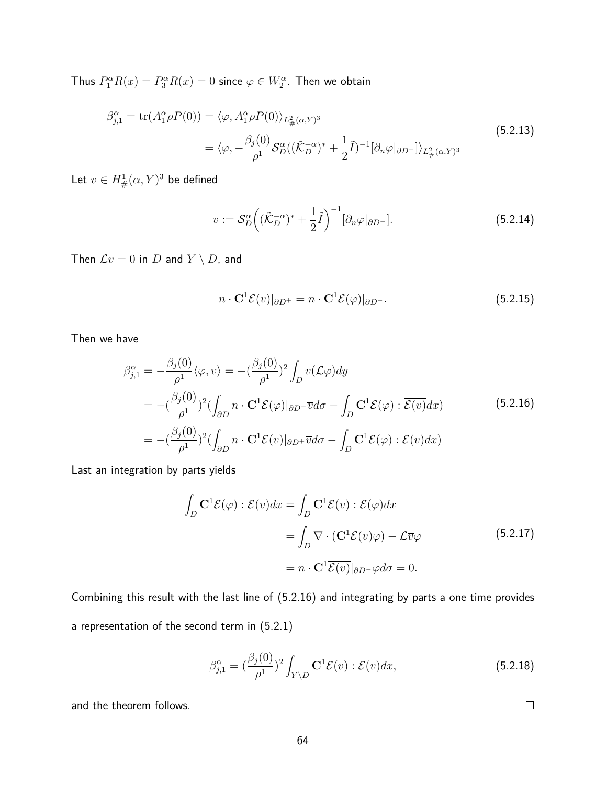Thus  $P_1^{\alpha}R(x) = P_3^{\alpha}R(x) = 0$  since  $\varphi \in W_2^{\alpha}$ . Then we obtain

$$
\beta_{j,1}^{\alpha} = \text{tr}(A_1^{\alpha} \rho P(0)) = \langle \varphi, A_1^{\alpha} \rho P(0) \rangle_{L^2_{\#}(\alpha, Y)^3} \n= \langle \varphi, -\frac{\beta_j(0)}{\rho^1} S_D^{\alpha}((\tilde{\mathcal{K}}_D^{-\alpha})^* + \frac{1}{2}\tilde{I})^{-1}[\partial_n \varphi|_{\partial D^-}] \rangle_{L^2_{\#}(\alpha, Y)^3}
$$
\n(5.2.13)

Let  $v\in H^1_{\#}(\alpha,Y)^3$  be defined

$$
v := \mathcal{S}_D^{\alpha} \Big( (\tilde{\mathcal{K}}_D^{-\alpha})^* + \frac{1}{2} \tilde{I} \Big)^{-1} [\partial_n \varphi |_{\partial D^-}]. \tag{5.2.14}
$$

Then  $\mathcal{L}v = 0$  in D and  $Y \setminus D$ , and

$$
n \cdot \mathbf{C}^1 \mathcal{E}(v)|_{\partial D^+} = n \cdot \mathbf{C}^1 \mathcal{E}(\varphi)|_{\partial D^-}.
$$
 (5.2.15)

Then we have

$$
\beta_{j,1}^{\alpha} = -\frac{\beta_j(0)}{\rho^1} \langle \varphi, v \rangle = -(\frac{\beta_j(0)}{\rho^1})^2 \int_D v(\mathcal{L}\overline{\varphi}) dy
$$
  
\n
$$
= -(\frac{\beta_j(0)}{\rho^1})^2 (\int_{\partial D} n \cdot \mathbf{C}^1 \mathcal{E}(\varphi)|_{\partial D} - \overline{v} d\sigma - \int_D \mathbf{C}^1 \mathcal{E}(\varphi) : \overline{\mathcal{E}(v)} dx)
$$
(5.2.16)  
\n
$$
= -(\frac{\beta_j(0)}{\rho^1})^2 (\int_{\partial D} n \cdot \mathbf{C}^1 \mathcal{E}(v)|_{\partial D} + \overline{v} d\sigma - \int_D \mathbf{C}^1 \mathcal{E}(\varphi) : \overline{\mathcal{E}(v)} dx)
$$

Last an integration by parts yields

$$
\int_{D} \mathbf{C}^{1} \mathcal{E}(\varphi) : \overline{\mathcal{E}(v)} dx = \int_{D} \mathbf{C}^{1} \overline{\mathcal{E}(v)} : \mathcal{E}(\varphi) dx
$$
\n
$$
= \int_{D} \nabla \cdot (\mathbf{C}^{1} \overline{\mathcal{E}(v)} \varphi) - \mathcal{L} \overline{v} \varphi \qquad (5.2.17)
$$
\n
$$
= n \cdot \mathbf{C}^{1} \overline{\mathcal{E}(v)} |_{\partial D^{-}} \varphi d\sigma = 0.
$$

Combining this result with the last line of (5.2.16) and integrating by parts a one time provides a representation of the second term in (5.2.1)

$$
\beta_{j,1}^{\alpha} = \left(\frac{\beta_j(0)}{\rho^1}\right)^2 \int_{Y \backslash D} \mathbf{C}^1 \mathcal{E}(v) : \overline{\mathcal{E}(v)} dx,\tag{5.2.18}
$$

and the theorem follows.

 $\Box$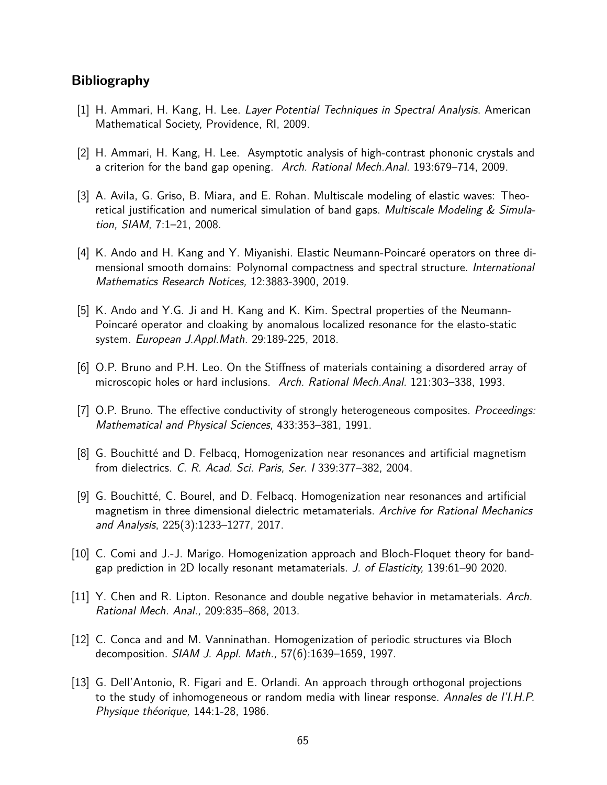# **Bibliography**

- [1] H. Ammari, H. Kang, H. Lee. Layer Potential Techniques in Spectral Analysis. American Mathematical Society, Providence, RI, 2009.
- [2] H. Ammari, H. Kang, H. Lee. Asymptotic analysis of high-contrast phononic crystals and a criterion for the band gap opening. Arch. Rational Mech.Anal. 193:679–714, 2009.
- [3] A. Avila, G. Griso, B. Miara, and E. Rohan. Multiscale modeling of elastic waves: Theoretical justification and numerical simulation of band gaps. Multiscale Modeling  $&$  Simulation, SIAM, 7:1–21, 2008.
- [4] K. Ando and H. Kang and Y. Miyanishi. Elastic Neumann-Poincaré operators on three dimensional smooth domains: Polynomal compactness and spectral structure. International Mathematics Research Notices, 12:3883-3900, 2019.
- [5] K. Ando and Y.G. Ji and H. Kang and K. Kim. Spectral properties of the Neumann-Poincaré operator and cloaking by anomalous localized resonance for the elasto-static system. European J.Appl.Math. 29:189-225, 2018.
- [6] O.P. Bruno and P.H. Leo. On the Stiffness of materials containing a disordered array of microscopic holes or hard inclusions. Arch. Rational Mech.Anal. 121:303–338, 1993.
- [7] O.P. Bruno. The effective conductivity of strongly heterogeneous composites. *Proceedings:* Mathematical and Physical Sciences, 433:353–381, 1991.
- [8] G. Bouchitté and D. Felbacq, Homogenization near resonances and artificial magnetism from dielectrics. C. R. Acad. Sci. Paris, Ser. I 339:377–382, 2004.
- [9] G. Bouchitté, C. Bourel, and D. Felbacq. Homogenization near resonances and artificial magnetism in three dimensional dielectric metamaterials. Archive for Rational Mechanics and Analysis, 225(3):1233–1277, 2017.
- [10] C. Comi and J.-J. Marigo. Homogenization approach and Bloch-Floquet theory for bandgap prediction in 2D locally resonant metamaterials. J. of Elasticity, 139:61–90 2020.
- $[11]$  Y. Chen and R. Lipton. Resonance and double negative behavior in metamaterials. Arch. Rational Mech. Anal., 209:835–868, 2013.
- [12] C. Conca and and M. Vanninathan. Homogenization of periodic structures via Bloch decomposition. SIAM J. Appl. Math., 57(6):1639–1659, 1997.
- [13] G. Dell'Antonio, R. Figari and E. Orlandi. An approach through orthogonal projections to the study of inhomogeneous or random media with linear response. Annales de l'I.H.P. Physique théorique,  $144:1-28$ , 1986.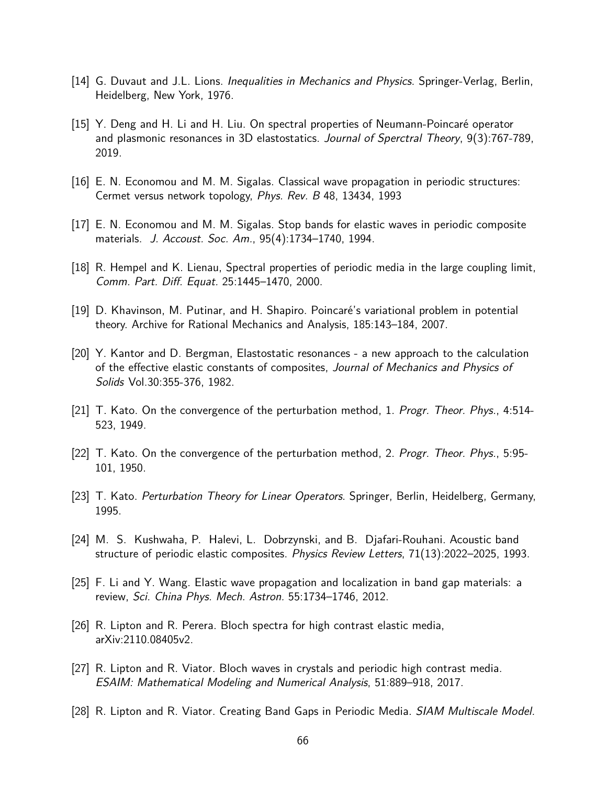- [14] G. Duvaut and J.L. Lions. Inequalities in Mechanics and Physics. Springer-Verlag, Berlin, Heidelberg, New York, 1976.
- [15] Y. Deng and H. Li and H. Liu. On spectral properties of Neumann-Poincaré operator and plasmonic resonances in 3D elastostatics. Journal of Sperctral Theory, 9(3):767-789, 2019.
- [16] E. N. Economou and M. M. Sigalas. Classical wave propagation in periodic structures: Cermet versus network topology, Phys. Rev. B 48, 13434, 1993
- [17] E. N. Economou and M. M. Sigalas. Stop bands for elastic waves in periodic composite materials. J. Accoust. Soc. Am., 95(4):1734–1740, 1994.
- [18] R. Hempel and K. Lienau, Spectral properties of periodic media in the large coupling limit, Comm. Part. Diff. Equat. 25:1445–1470, 2000.
- [19] D. Khavinson, M. Putinar, and H. Shapiro. Poincaré's variational problem in potential theory. Archive for Rational Mechanics and Analysis, 185:143–184, 2007.
- [20] Y. Kantor and D. Bergman, Elastostatic resonances a new approach to the calculation of the effective elastic constants of composites, Journal of Mechanics and Physics of Solids Vol.30:355-376, 1982.
- [21] T. Kato. On the convergence of the perturbation method, 1. Progr. Theor. Phys., 4:514- 523, 1949.
- [22] T. Kato. On the convergence of the perturbation method, 2. Progr. Theor. Phys., 5:95- 101, 1950.
- [23] T. Kato. Perturbation Theory for Linear Operators. Springer, Berlin, Heidelberg, Germany, 1995.
- [24] M. S. Kushwaha, P. Halevi, L. Dobrzynski, and B. Djafari-Rouhani. Acoustic band structure of periodic elastic composites. Physics Review Letters, 71(13):2022–2025, 1993.
- [25] F. Li and Y. Wang. Elastic wave propagation and localization in band gap materials: a review, Sci. China Phys. Mech. Astron. 55:1734–1746, 2012.
- [26] R. Lipton and R. Perera. Bloch spectra for high contrast elastic media, arXiv:2110.08405v2.
- [27] R. Lipton and R. Viator. Bloch waves in crystals and periodic high contrast media. ESAIM: Mathematical Modeling and Numerical Analysis, 51:889–918, 2017.
- [28] R. Lipton and R. Viator. Creating Band Gaps in Periodic Media. *SIAM Multiscale Model.*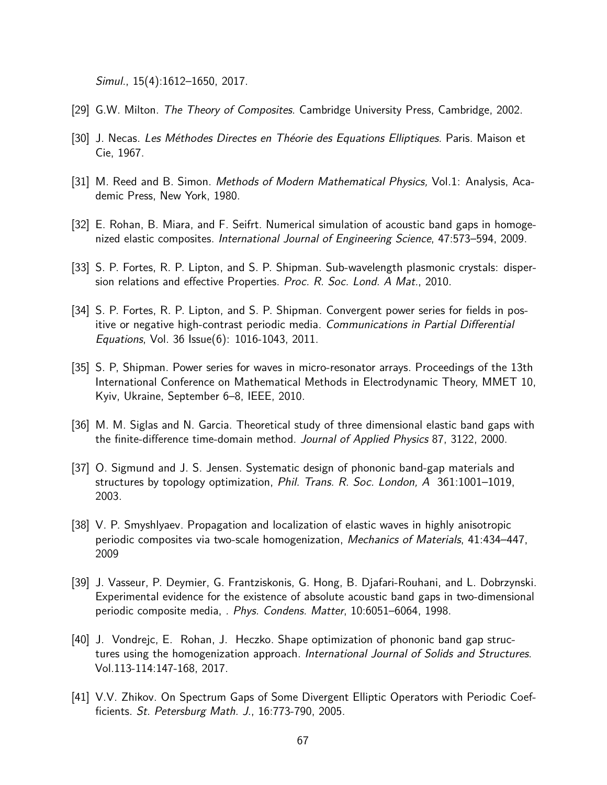Simul., 15(4):1612–1650, 2017.

- [29] G.W. Milton. The Theory of Composites. Cambridge University Press, Cambridge, 2002.
- [30] J. Necas. Les Méthodes Directes en Théorie des Equations Elliptiques. Paris. Maison et Cie, 1967.
- [31] M. Reed and B. Simon. Methods of Modern Mathematical Physics, Vol.1: Analysis, Academic Press, New York, 1980.
- [32] E. Rohan, B. Miara, and F. Seifrt. Numerical simulation of acoustic band gaps in homogenized elastic composites. International Journal of Engineering Science, 47:573–594, 2009.
- [33] S. P. Fortes, R. P. Lipton, and S. P. Shipman. Sub-wavelength plasmonic crystals: dispersion relations and effective Properties. Proc. R. Soc. Lond. A Mat., 2010.
- [34] S. P. Fortes, R. P. Lipton, and S. P. Shipman. Convergent power series for fields in positive or negative high-contrast periodic media. Communications in Partial Differential Equations, Vol. 36 Issue(6): 1016-1043, 2011.
- [35] S. P, Shipman. Power series for waves in micro-resonator arrays. Proceedings of the 13th International Conference on Mathematical Methods in Electrodynamic Theory, MMET 10, Kyiv, Ukraine, September 6–8, IEEE, 2010.
- [36] M. M. Siglas and N. Garcia. Theoretical study of three dimensional elastic band gaps with the finite-difference time-domain method. Journal of Applied Physics 87, 3122, 2000.
- [37] O. Sigmund and J. S. Jensen. Systematic design of phononic band-gap materials and structures by topology optimization, Phil. Trans. R. Soc. London, A 361:1001–1019, 2003.
- [38] V. P. Smyshlyaev. Propagation and localization of elastic waves in highly anisotropic periodic composites via two-scale homogenization, Mechanics of Materials, 41:434–447, 2009
- [39] J. Vasseur, P. Deymier, G. Frantziskonis, G. Hong, B. Djafari-Rouhani, and L. Dobrzynski. Experimental evidence for the existence of absolute acoustic band gaps in two-dimensional periodic composite media, . Phys. Condens. Matter, 10:6051–6064, 1998.
- [40] J. Vondrejc, E. Rohan, J. Heczko. Shape optimization of phononic band gap structures using the homogenization approach. International Journal of Solids and Structures. Vol.113-114:147-168, 2017.
- [41] V.V. Zhikov. On Spectrum Gaps of Some Divergent Elliptic Operators with Periodic Coefficients. St. Petersburg Math. J., 16:773-790, 2005.